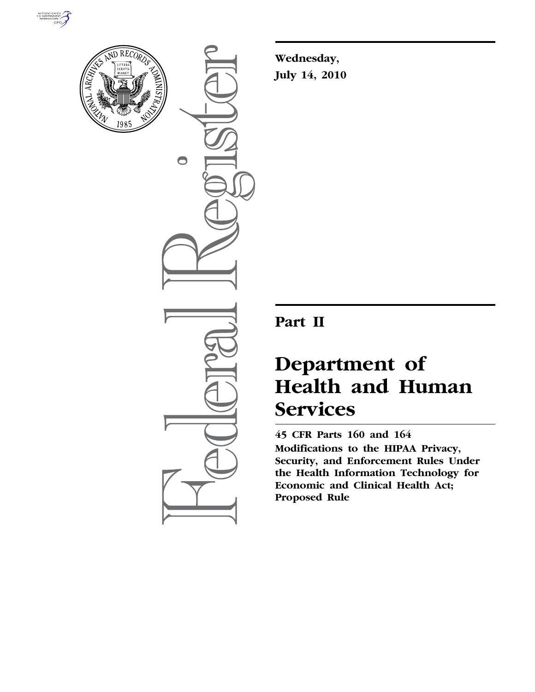



 $\bigcirc$ 

**Wednesday, July 14, 2010** 

## **Part II**

# **Department of Health and Human Services**

**45 CFR Parts 160 and 164 Modifications to the HIPAA Privacy, Security, and Enforcement Rules Under the Health Information Technology for Economic and Clinical Health Act; Proposed Rule**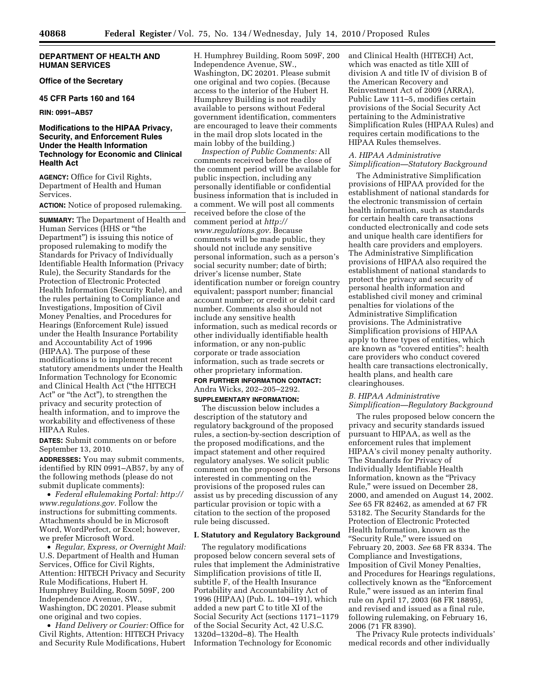## **DEPARTMENT OF HEALTH AND HUMAN SERVICES**

**Office of the Secretary** 

#### **45 CFR Parts 160 and 164**

**RIN: 0991–AB57** 

## **Modifications to the HIPAA Privacy, Security, and Enforcement Rules Under the Health Information Technology for Economic and Clinical Health Act**

**AGENCY:** Office for Civil Rights, Department of Health and Human Services.

#### **ACTION:** Notice of proposed rulemaking.

**SUMMARY:** The Department of Health and Human Services (HHS or ''the Department'') is issuing this notice of proposed rulemaking to modify the Standards for Privacy of Individually Identifiable Health Information (Privacy Rule), the Security Standards for the Protection of Electronic Protected Health Information (Security Rule), and the rules pertaining to Compliance and Investigations, Imposition of Civil Money Penalties, and Procedures for Hearings (Enforcement Rule) issued under the Health Insurance Portability and Accountability Act of 1996 (HIPAA). The purpose of these modifications is to implement recent statutory amendments under the Health Information Technology for Economic and Clinical Health Act (''the HITECH Act'' or ''the Act''), to strengthen the privacy and security protection of health information, and to improve the workability and effectiveness of these HIPAA Rules.

**DATES:** Submit comments on or before September 13, 2010.

**ADDRESSES:** You may submit comments, identified by RIN 0991–AB57, by any of the following methods (please do not submit duplicate comments):

• *Federal eRulemaking Portal: http:// www.regulations.gov.* Follow the instructions for submitting comments. Attachments should be in Microsoft Word, WordPerfect, or Excel; however, we prefer Microsoft Word.

• *Regular, Express, or Overnight Mail:*  U.S. Department of Health and Human Services, Office for Civil Rights, Attention: HITECH Privacy and Security Rule Modifications, Hubert H. Humphrey Building, Room 509F, 200 Independence Avenue, SW., Washington, DC 20201. Please submit one original and two copies.

• *Hand Delivery or Courier:* Office for Civil Rights, Attention: HITECH Privacy and Security Rule Modifications, Hubert H. Humphrey Building, Room 509F, 200 Independence Avenue, SW., Washington, DC 20201. Please submit one original and two copies. (Because access to the interior of the Hubert H. Humphrey Building is not readily available to persons without Federal government identification, commenters are encouraged to leave their comments in the mail drop slots located in the main lobby of the building.)

*Inspection of Public Comments:* All comments received before the close of the comment period will be available for public inspection, including any personally identifiable or confidential business information that is included in a comment. We will post all comments received before the close of the comment period at *http:// www.regulations.gov.* Because comments will be made public, they should not include any sensitive personal information, such as a person's social security number; date of birth; driver's license number, State identification number or foreign country equivalent; passport number; financial account number; or credit or debit card number. Comments also should not include any sensitive health information, such as medical records or other individually identifiable health information, or any non-public corporate or trade association information, such as trade secrets or other proprietary information.

## **FOR FURTHER INFORMATION CONTACT:**  Andra Wicks, 202–205–2292.

## **SUPPLEMENTARY INFORMATION:**

The discussion below includes a description of the statutory and regulatory background of the proposed rules, a section-by-section description of the proposed modifications, and the impact statement and other required regulatory analyses. We solicit public comment on the proposed rules. Persons interested in commenting on the provisions of the proposed rules can assist us by preceding discussion of any particular provision or topic with a citation to the section of the proposed rule being discussed.

#### **I. Statutory and Regulatory Background**

The regulatory modifications proposed below concern several sets of rules that implement the Administrative Simplification provisions of title II, subtitle F, of the Health Insurance Portability and Accountability Act of 1996 (HIPAA) (Pub. L. 104–191), which added a new part C to title XI of the Social Security Act (sections 1171–1179 of the Social Security Act, 42 U.S.C. 1320d–1320d–8). The Health Information Technology for Economic

and Clinical Health (HITECH) Act, which was enacted as title XIII of division A and title IV of division B of the American Recovery and Reinvestment Act of 2009 (ARRA), Public Law 111–5, modifies certain provisions of the Social Security Act pertaining to the Administrative Simplification Rules (HIPAA Rules) and requires certain modifications to the HIPAA Rules themselves.

## *A. HIPAA Administrative Simplification—Statutory Background*

The Administrative Simplification provisions of HIPAA provided for the establishment of national standards for the electronic transmission of certain health information, such as standards for certain health care transactions conducted electronically and code sets and unique health care identifiers for health care providers and employers. The Administrative Simplification provisions of HIPAA also required the establishment of national standards to protect the privacy and security of personal health information and established civil money and criminal penalties for violations of the Administrative Simplification provisions. The Administrative Simplification provisions of HIPAA apply to three types of entities, which are known as ''covered entities'': health care providers who conduct covered health care transactions electronically, health plans, and health care clearinghouses.

## *B. HIPAA Administrative Simplification—Regulatory Background*

The rules proposed below concern the privacy and security standards issued pursuant to HIPAA, as well as the enforcement rules that implement HIPAA's civil money penalty authority. The Standards for Privacy of Individually Identifiable Health Information, known as the ''Privacy Rule,'' were issued on December 28, 2000, and amended on August 14, 2002. *See* 65 FR 82462, as amended at 67 FR 53182. The Security Standards for the Protection of Electronic Protected Health Information, known as the ''Security Rule,'' were issued on February 20, 2003. *See* 68 FR 8334. The Compliance and Investigations, Imposition of Civil Money Penalties, and Procedures for Hearings regulations, collectively known as the ''Enforcement Rule,'' were issued as an interim final rule on April 17, 2003 (68 FR 18895), and revised and issued as a final rule, following rulemaking, on February 16, 2006 (71 FR 8390).

The Privacy Rule protects individuals' medical records and other individually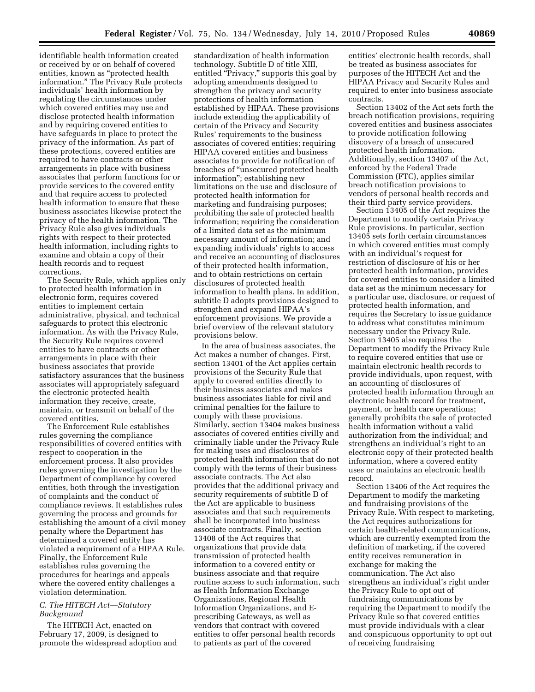identifiable health information created or received by or on behalf of covered entities, known as ''protected health information.'' The Privacy Rule protects individuals' health information by regulating the circumstances under which covered entities may use and disclose protected health information and by requiring covered entities to have safeguards in place to protect the privacy of the information. As part of these protections, covered entities are required to have contracts or other arrangements in place with business associates that perform functions for or provide services to the covered entity and that require access to protected health information to ensure that these business associates likewise protect the privacy of the health information. The Privacy Rule also gives individuals rights with respect to their protected health information, including rights to examine and obtain a copy of their health records and to request corrections.

The Security Rule, which applies only to protected health information in electronic form, requires covered entities to implement certain administrative, physical, and technical safeguards to protect this electronic information. As with the Privacy Rule, the Security Rule requires covered entities to have contracts or other arrangements in place with their business associates that provide satisfactory assurances that the business associates will appropriately safeguard the electronic protected health information they receive, create, maintain, or transmit on behalf of the covered entities.

The Enforcement Rule establishes rules governing the compliance responsibilities of covered entities with respect to cooperation in the enforcement process. It also provides rules governing the investigation by the Department of compliance by covered entities, both through the investigation of complaints and the conduct of compliance reviews. It establishes rules governing the process and grounds for establishing the amount of a civil money penalty where the Department has determined a covered entity has violated a requirement of a HIPAA Rule. Finally, the Enforcement Rule establishes rules governing the procedures for hearings and appeals where the covered entity challenges a violation determination.

## *C. The HITECH Act—Statutory Background*

The HITECH Act, enacted on February 17, 2009, is designed to promote the widespread adoption and

standardization of health information technology. Subtitle D of title XIII, entitled "Privacy," supports this goal by adopting amendments designed to strengthen the privacy and security protections of health information established by HIPAA. These provisions include extending the applicability of certain of the Privacy and Security Rules' requirements to the business associates of covered entities; requiring HIPAA covered entities and business associates to provide for notification of breaches of ''unsecured protected health information''; establishing new limitations on the use and disclosure of protected health information for marketing and fundraising purposes; prohibiting the sale of protected health information; requiring the consideration of a limited data set as the minimum necessary amount of information; and expanding individuals' rights to access and receive an accounting of disclosures of their protected health information, and to obtain restrictions on certain disclosures of protected health information to health plans. In addition, subtitle D adopts provisions designed to strengthen and expand HIPAA's enforcement provisions. We provide a brief overview of the relevant statutory provisions below.

In the area of business associates, the Act makes a number of changes. First, section 13401 of the Act applies certain provisions of the Security Rule that apply to covered entities directly to their business associates and makes business associates liable for civil and criminal penalties for the failure to comply with these provisions. Similarly, section 13404 makes business associates of covered entities civilly and criminally liable under the Privacy Rule for making uses and disclosures of protected health information that do not comply with the terms of their business associate contracts. The Act also provides that the additional privacy and security requirements of subtitle D of the Act are applicable to business associates and that such requirements shall be incorporated into business associate contracts. Finally, section 13408 of the Act requires that organizations that provide data transmission of protected health information to a covered entity or business associate and that require routine access to such information, such as Health Information Exchange Organizations, Regional Health Information Organizations, and Eprescribing Gateways, as well as vendors that contract with covered entities to offer personal health records to patients as part of the covered

entities' electronic health records, shall be treated as business associates for purposes of the HITECH Act and the HIPAA Privacy and Security Rules and required to enter into business associate contracts.

Section 13402 of the Act sets forth the breach notification provisions, requiring covered entities and business associates to provide notification following discovery of a breach of unsecured protected health information. Additionally, section 13407 of the Act, enforced by the Federal Trade Commission (FTC), applies similar breach notification provisions to vendors of personal health records and their third party service providers.

Section 13405 of the Act requires the Department to modify certain Privacy Rule provisions. In particular, section 13405 sets forth certain circumstances in which covered entities must comply with an individual's request for restriction of disclosure of his or her protected health information, provides for covered entities to consider a limited data set as the minimum necessary for a particular use, disclosure, or request of protected health information, and requires the Secretary to issue guidance to address what constitutes minimum necessary under the Privacy Rule. Section 13405 also requires the Department to modify the Privacy Rule to require covered entities that use or maintain electronic health records to provide individuals, upon request, with an accounting of disclosures of protected health information through an electronic health record for treatment, payment, or health care operations; generally prohibits the sale of protected health information without a valid authorization from the individual; and strengthens an individual's right to an electronic copy of their protected health information, where a covered entity uses or maintains an electronic health record.

Section 13406 of the Act requires the Department to modify the marketing and fundraising provisions of the Privacy Rule. With respect to marketing, the Act requires authorizations for certain health-related communications, which are currently exempted from the definition of marketing, if the covered entity receives remuneration in exchange for making the communication. The Act also strengthens an individual's right under the Privacy Rule to opt out of fundraising communications by requiring the Department to modify the Privacy Rule so that covered entities must provide individuals with a clear and conspicuous opportunity to opt out of receiving fundraising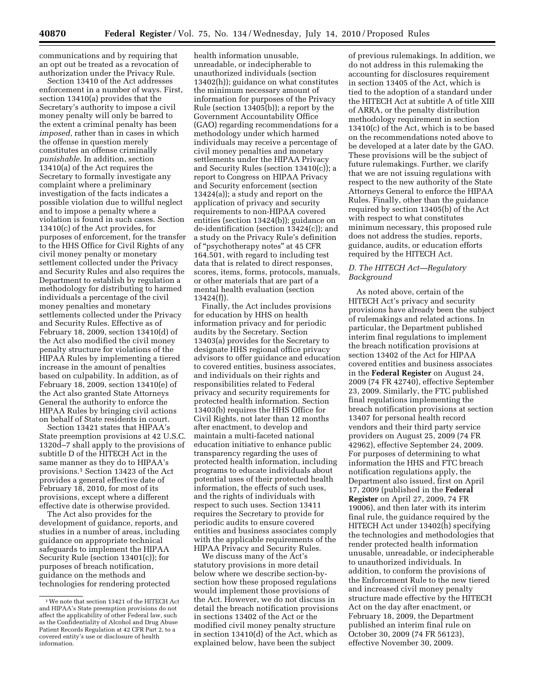communications and by requiring that an opt out be treated as a revocation of authorization under the Privacy Rule.

Section 13410 of the Act addresses enforcement in a number of ways. First, section 13410(a) provides that the Secretary's authority to impose a civil money penalty will only be barred to the extent a criminal penalty has been *imposed*, rather than in cases in which the offense in question merely constitutes an offense criminally *punishable.* In addition, section 13410(a) of the Act requires the Secretary to formally investigate any complaint where a preliminary investigation of the facts indicates a possible violation due to willful neglect and to impose a penalty where a violation is found in such cases. Section 13410(c) of the Act provides, for purposes of enforcement, for the transfer to the HHS Office for Civil Rights of any civil money penalty or monetary settlement collected under the Privacy and Security Rules and also requires the Department to establish by regulation a methodology for distributing to harmed individuals a percentage of the civil money penalties and monetary settlements collected under the Privacy and Security Rules. Effective as of February 18, 2009, section 13410(d) of the Act also modified the civil money penalty structure for violations of the HIPAA Rules by implementing a tiered increase in the amount of penalties based on culpability. In addition, as of February 18, 2009, section 13410(e) of the Act also granted State Attorneys General the authority to enforce the HIPAA Rules by bringing civil actions on behalf of State residents in court.

Section 13421 states that HIPAA's State preemption provisions at 42 U.S.C. 1320d–7 shall apply to the provisions of subtitle D of the HITECH Act in the same manner as they do to HIPAA's provisions.1 Section 13423 of the Act provides a general effective date of February 18, 2010, for most of its provisions, except where a different effective date is otherwise provided.

The Act also provides for the development of guidance, reports, and studies in a number of areas, including guidance on appropriate technical safeguards to implement the HIPAA Security Rule (section 13401(c)); for purposes of breach notification, guidance on the methods and technologies for rendering protected

health information unusable, unreadable, or indecipherable to unauthorized individuals (section 13402(h)); guidance on what constitutes the minimum necessary amount of information for purposes of the Privacy Rule (section 13405(b)); a report by the Government Accountability Office (GAO) regarding recommendations for a methodology under which harmed individuals may receive a percentage of civil money penalties and monetary settlements under the HIPAA Privacy and Security Rules (section 13410(c)); a report to Congress on HIPAA Privacy and Security enforcement (section 13424(a)); a study and report on the application of privacy and security requirements to non-HIPAA covered entities (section 13424(b)); guidance on de-identification (section 13424(c)); and a study on the Privacy Rule's definition of ''psychotherapy notes'' at 45 CFR 164.501, with regard to including test data that is related to direct responses, scores, items, forms, protocols, manuals, or other materials that are part of a mental health evaluation (section 13424(f)).

Finally, the Act includes provisions for education by HHS on health information privacy and for periodic audits by the Secretary. Section 13403(a) provides for the Secretary to designate HHS regional office privacy advisors to offer guidance and education to covered entities, business associates, and individuals on their rights and responsibilities related to Federal privacy and security requirements for protected health information. Section 13403(b) requires the HHS Office for Civil Rights, not later than 12 months after enactment, to develop and maintain a multi-faceted national education initiative to enhance public transparency regarding the uses of protected health information, including programs to educate individuals about potential uses of their protected health information, the effects of such uses, and the rights of individuals with respect to such uses. Section 13411 requires the Secretary to provide for periodic audits to ensure covered entities and business associates comply with the applicable requirements of the HIPAA Privacy and Security Rules.

We discuss many of the Act's statutory provisions in more detail below where we describe section-bysection how these proposed regulations would implement those provisions of the Act. However, we do not discuss in detail the breach notification provisions in sections 13402 of the Act or the modified civil money penalty structure in section 13410(d) of the Act, which as explained below, have been the subject

of previous rulemakings. In addition, we do not address in this rulemaking the accounting for disclosures requirement in section 13405 of the Act, which is tied to the adoption of a standard under the HITECH Act at subtitle A of title XIII of ARRA, or the penalty distribution methodology requirement in section 13410(c) of the Act, which is to be based on the recommendations noted above to be developed at a later date by the GAO. These provisions will be the subject of future rulemakings. Further, we clarify that we are not issuing regulations with respect to the new authority of the State Attorneys General to enforce the HIPAA Rules. Finally, other than the guidance required by section 13405(b) of the Act with respect to what constitutes minimum necessary, this proposed rule does not address the studies, reports, guidance, audits, or education efforts required by the HITECH Act.

## *D. The HITECH Act—Regulatory Background*

As noted above, certain of the HITECH Act's privacy and security provisions have already been the subject of rulemakings and related actions. In particular, the Department published interim final regulations to implement the breach notification provisions at section 13402 of the Act for HIPAA covered entities and business associates in the **Federal Register** on August 24, 2009 (74 FR 42740), effective September 23, 2009. Similarly, the FTC published final regulations implementing the breach notification provisions at section 13407 for personal health record vendors and their third party service providers on August 25, 2009 (74 FR 42962), effective September 24, 2009. For purposes of determining to what information the HHS and FTC breach notification regulations apply, the Department also issued, first on April 17, 2009 (published in the **Federal Register** on April 27, 2009, 74 FR 19006), and then later with its interim final rule, the guidance required by the HITECH Act under 13402(h) specifying the technologies and methodologies that render protected health information unusable, unreadable, or indecipherable to unauthorized individuals. In addition, to conform the provisions of the Enforcement Rule to the new tiered and increased civil money penalty structure made effective by the HITECH Act on the day after enactment, or February 18, 2009, the Department published an interim final rule on October 30, 2009 (74 FR 56123), effective November 30, 2009.

<sup>1</sup>We note that section 13421 of the HITECH Act and HIPAA's State preemption provisions do not affect the applicability of other Federal law, such as the Confidentiality of Alcohol and Drug Abuse Patient Records Regulation at 42 CFR Part 2, to a covered entity's use or disclosure of health information.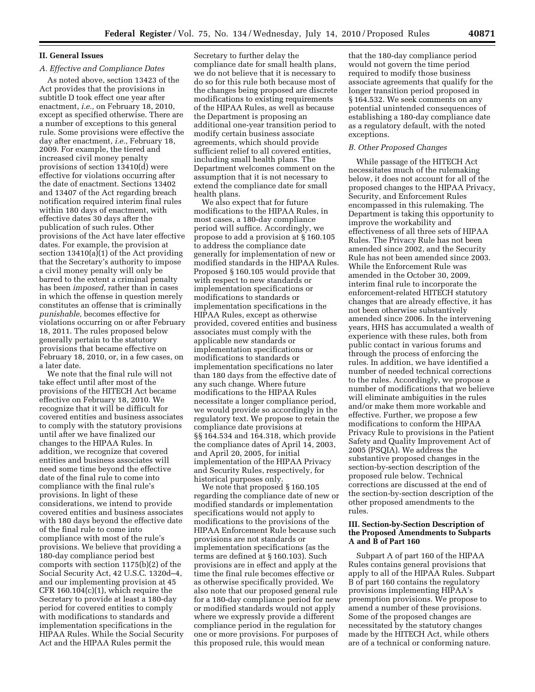## **II. General Issues**

## *A. Effective and Compliance Dates*

As noted above, section 13423 of the Act provides that the provisions in subtitle D took effect one year after enactment, *i.e.,* on February 18, 2010, except as specified otherwise. There are a number of exceptions to this general rule. Some provisions were effective the day after enactment, *i.e.,* February 18, 2009. For example, the tiered and increased civil money penalty provisions of section 13410(d) were effective for violations occurring after the date of enactment. Sections 13402 and 13407 of the Act regarding breach notification required interim final rules within 180 days of enactment, with effective dates 30 days after the publication of such rules. Other provisions of the Act have later effective dates. For example, the provision at section  $13410(a)(1)$  of the Act providing that the Secretary's authority to impose a civil money penalty will only be barred to the extent a criminal penalty has been *imposed,* rather than in cases in which the offense in question merely constitutes an offense that is criminally *punishable,* becomes effective for violations occurring on or after February 18, 2011. The rules proposed below generally pertain to the statutory provisions that became effective on February 18, 2010, or, in a few cases, on a later date.

We note that the final rule will not take effect until after most of the provisions of the HITECH Act became effective on February 18, 2010. We recognize that it will be difficult for covered entities and business associates to comply with the statutory provisions until after we have finalized our changes to the HIPAA Rules. In addition, we recognize that covered entities and business associates will need some time beyond the effective date of the final rule to come into compliance with the final rule's provisions. In light of these considerations, we intend to provide covered entities and business associates with 180 days beyond the effective date of the final rule to come into compliance with most of the rule's provisions. We believe that providing a 180-day compliance period best comports with section 1175(b)(2) of the Social Security Act, 42 U.S.C. 1320d–4, and our implementing provision at 45 CFR  $160.104(c)(1)$ , which require the Secretary to provide at least a 180-day period for covered entities to comply with modifications to standards and implementation specifications in the HIPAA Rules. While the Social Security Act and the HIPAA Rules permit the

Secretary to further delay the compliance date for small health plans, we do not believe that it is necessary to do so for this rule both because most of the changes being proposed are discrete modifications to existing requirements of the HIPAA Rules, as well as because the Department is proposing an additional one-year transition period to modify certain business associate agreements, which should provide sufficient relief to all covered entities, including small health plans. The Department welcomes comment on the assumption that it is not necessary to extend the compliance date for small health plans.

We also expect that for future modifications to the HIPAA Rules, in most cases, a 180-day compliance period will suffice. Accordingly, we propose to add a provision at § 160.105 to address the compliance date generally for implementation of new or modified standards in the HIPAA Rules. Proposed § 160.105 would provide that with respect to new standards or implementation specifications or modifications to standards or implementation specifications in the HIPAA Rules, except as otherwise provided, covered entities and business associates must comply with the applicable new standards or implementation specifications or modifications to standards or implementation specifications no later than 180 days from the effective date of any such change. Where future modifications to the HIPAA Rules necessitate a longer compliance period, we would provide so accordingly in the regulatory text. We propose to retain the compliance date provisions at §§ 164.534 and 164.318, which provide the compliance dates of April 14, 2003, and April 20, 2005, for initial implementation of the HIPAA Privacy and Security Rules, respectively, for historical purposes only.

We note that proposed § 160.105 regarding the compliance date of new or modified standards or implementation specifications would not apply to modifications to the provisions of the HIPAA Enforcement Rule because such provisions are not standards or implementation specifications (as the terms are defined at § 160.103). Such provisions are in effect and apply at the time the final rule becomes effective or as otherwise specifically provided. We also note that our proposed general rule for a 180-day compliance period for new or modified standards would not apply where we expressly provide a different compliance period in the regulation for one or more provisions. For purposes of this proposed rule, this would mean

that the 180-day compliance period would not govern the time period required to modify those business associate agreements that qualify for the longer transition period proposed in § 164.532. We seek comments on any potential unintended consequences of establishing a 180-day compliance date as a regulatory default, with the noted exceptions.

## *B. Other Proposed Changes*

While passage of the HITECH Act necessitates much of the rulemaking below, it does not account for all of the proposed changes to the HIPAA Privacy, Security, and Enforcement Rules encompassed in this rulemaking. The Department is taking this opportunity to improve the workability and effectiveness of all three sets of HIPAA Rules. The Privacy Rule has not been amended since 2002, and the Security Rule has not been amended since 2003. While the Enforcement Rule was amended in the October 30, 2009, interim final rule to incorporate the enforcement-related HITECH statutory changes that are already effective, it has not been otherwise substantively amended since 2006. In the intervening years, HHS has accumulated a wealth of experience with these rules, both from public contact in various forums and through the process of enforcing the rules. In addition, we have identified a number of needed technical corrections to the rules. Accordingly, we propose a number of modifications that we believe will eliminate ambiguities in the rules and/or make them more workable and effective. Further, we propose a few modifications to conform the HIPAA Privacy Rule to provisions in the Patient Safety and Quality Improvement Act of 2005 (PSQIA). We address the substantive proposed changes in the section-by-section description of the proposed rule below. Technical corrections are discussed at the end of the section-by-section description of the other proposed amendments to the rules.

## **III. Section-by-Section Description of the Proposed Amendments to Subparts A and B of Part 160**

Subpart A of part 160 of the HIPAA Rules contains general provisions that apply to all of the HIPAA Rules. Subpart B of part 160 contains the regulatory provisions implementing HIPAA's preemption provisions. We propose to amend a number of these provisions. Some of the proposed changes are necessitated by the statutory changes made by the HITECH Act, while others are of a technical or conforming nature.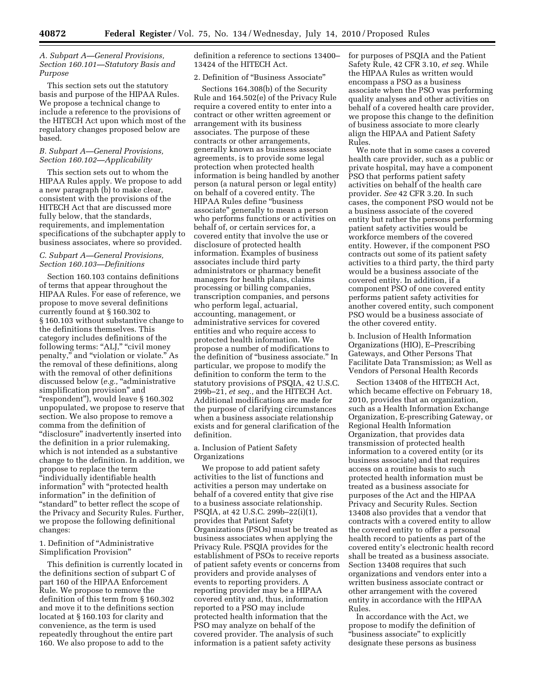## *A. Subpart A—General Provisions, Section 160.101—Statutory Basis and Purpose*

This section sets out the statutory basis and purpose of the HIPAA Rules. We propose a technical change to include a reference to the provisions of the HITECH Act upon which most of the regulatory changes proposed below are based.

## *B. Subpart A—General Provisions, Section 160.102—Applicability*

This section sets out to whom the HIPAA Rules apply. We propose to add a new paragraph (b) to make clear, consistent with the provisions of the HITECH Act that are discussed more fully below, that the standards, requirements, and implementation specifications of the subchapter apply to business associates, where so provided.

## *C. Subpart A—General Provisions, Section 160.103—Definitions*

Section 160.103 contains definitions of terms that appear throughout the HIPAA Rules. For ease of reference, we propose to move several definitions currently found at § 160.302 to § 160.103 without substantive change to the definitions themselves. This category includes definitions of the following terms: "ALJ," "civil money penalty,'' and ''violation or violate.'' As the removal of these definitions, along with the removal of other definitions discussed below (e.g., "administrative simplification provision'' and ''respondent''), would leave § 160.302 unpopulated, we propose to reserve that section. We also propose to remove a comma from the definition of "disclosure" inadvertently inserted into the definition in a prior rulemaking, which is not intended as a substantive change to the definition. In addition, we propose to replace the term ''individually identifiable health information'' with ''protected health information'' in the definition of "standard" to better reflect the scope of the Privacy and Security Rules. Further, we propose the following definitional changes:

## 1. Definition of ''Administrative Simplification Provision''

This definition is currently located in the definitions section of subpart C of part 160 of the HIPAA Enforcement Rule. We propose to remove the definition of this term from § 160.302 and move it to the definitions section located at § 160.103 for clarity and convenience, as the term is used repeatedly throughout the entire part 160. We also propose to add to the

definition a reference to sections 13400– 13424 of the HITECH Act.

## 2. Definition of ''Business Associate''

Sections 164.308(b) of the Security Rule and 164.502(e) of the Privacy Rule require a covered entity to enter into a contract or other written agreement or arrangement with its business associates. The purpose of these contracts or other arrangements, generally known as business associate agreements, is to provide some legal protection when protected health information is being handled by another person (a natural person or legal entity) on behalf of a covered entity. The HIPAA Rules define ''business associate'' generally to mean a person who performs functions or activities on behalf of, or certain services for, a covered entity that involve the use or disclosure of protected health information. Examples of business associates include third party administrators or pharmacy benefit managers for health plans, claims processing or billing companies, transcription companies, and persons who perform legal, actuarial, accounting, management, or administrative services for covered entities and who require access to protected health information. We propose a number of modifications to the definition of ''business associate.'' In particular, we propose to modify the definition to conform the term to the statutory provisions of PSQIA, 42 U.S.C. 299b–21, *et seq.,* and the HITECH Act. Additional modifications are made for the purpose of clarifying circumstances when a business associate relationship exists and for general clarification of the definition.

## a. Inclusion of Patient Safety Organizations

We propose to add patient safety activities to the list of functions and activities a person may undertake on behalf of a covered entity that give rise to a business associate relationship. PSQIA, at 42 U.S.C. 299b–22(i)(1), provides that Patient Safety Organizations (PSOs) must be treated as business associates when applying the Privacy Rule. PSQIA provides for the establishment of PSOs to receive reports of patient safety events or concerns from providers and provide analyses of events to reporting providers. A reporting provider may be a HIPAA covered entity and, thus, information reported to a PSO may include protected health information that the PSO may analyze on behalf of the covered provider. The analysis of such information is a patient safety activity

for purposes of PSQIA and the Patient Safety Rule, 42 CFR 3.10, *et seq.* While the HIPAA Rules as written would encompass a PSO as a business associate when the PSO was performing quality analyses and other activities on behalf of a covered health care provider, we propose this change to the definition of business associate to more clearly align the HIPAA and Patient Safety Rules.

We note that in some cases a covered health care provider, such as a public or private hospital, may have a component PSO that performs patient safety activities on behalf of the health care provider. *See* 42 CFR 3.20. In such cases, the component PSO would not be a business associate of the covered entity but rather the persons performing patient safety activities would be workforce members of the covered entity. However, if the component PSO contracts out some of its patient safety activities to a third party, the third party would be a business associate of the covered entity. In addition, if a component PSO of one covered entity performs patient safety activities for another covered entity, such component PSO would be a business associate of the other covered entity.

b. Inclusion of Health Information Organizations (HIO), E–Prescribing Gateways, and Other Persons That Facilitate Data Transmission; as Well as Vendors of Personal Health Records

Section 13408 of the HITECH Act, which became effective on February 18, 2010, provides that an organization, such as a Health Information Exchange Organization, E-prescribing Gateway, or Regional Health Information Organization, that provides data transmission of protected health information to a covered entity (or its business associate) and that requires access on a routine basis to such protected health information must be treated as a business associate for purposes of the Act and the HIPAA Privacy and Security Rules. Section 13408 also provides that a vendor that contracts with a covered entity to allow the covered entity to offer a personal health record to patients as part of the covered entity's electronic health record shall be treated as a business associate. Section 13408 requires that such organizations and vendors enter into a written business associate contract or other arrangement with the covered entity in accordance with the HIPAA Rules.

In accordance with the Act, we propose to modify the definition of ''business associate'' to explicitly designate these persons as business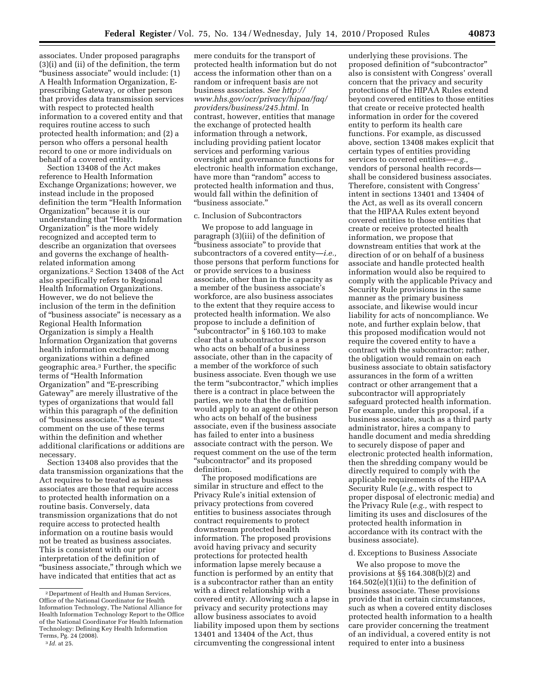associates. Under proposed paragraphs (3)(i) and (ii) of the definition, the term ''business associate'' would include: (1) A Health Information Organization, Eprescribing Gateway, or other person that provides data transmission services with respect to protected health information to a covered entity and that requires routine access to such protected health information; and (2) a person who offers a personal health record to one or more individuals on behalf of a covered entity.

Section 13408 of the Act makes reference to Health Information Exchange Organizations; however, we instead include in the proposed definition the term ''Health Information Organization'' because it is our understanding that ''Health Information Organization'' is the more widely recognized and accepted term to describe an organization that oversees and governs the exchange of healthrelated information among organizations.2 Section 13408 of the Act also specifically refers to Regional Health Information Organizations. However, we do not believe the inclusion of the term in the definition of ''business associate'' is necessary as a Regional Health Information Organization is simply a Health Information Organization that governs health information exchange among organizations within a defined geographic area.3 Further, the specific terms of ''Health Information Organization'' and ''E-prescribing Gateway'' are merely illustrative of the types of organizations that would fall within this paragraph of the definition of ''business associate.'' We request comment on the use of these terms within the definition and whether additional clarifications or additions are necessary.

Section 13408 also provides that the data transmission organizations that the Act requires to be treated as business associates are those that require access to protected health information on a routine basis. Conversely, data transmission organizations that do not require access to protected health information on a routine basis would not be treated as business associates. This is consistent with our prior interpretation of the definition of "business associate," through which we have indicated that entities that act as

mere conduits for the transport of protected health information but do not access the information other than on a random or infrequent basis are not business associates. *See http:// www.hhs.gov/ocr/privacy/hipaa/faq/ providers/business/245.html.* In contrast, however, entities that manage the exchange of protected health information through a network, including providing patient locator services and performing various oversight and governance functions for electronic health information exchange, have more than "random" access to protected health information and thus, would fall within the definition of ''business associate.''

#### c. Inclusion of Subcontractors

We propose to add language in paragraph (3)(iii) of the definition of ''business associate'' to provide that subcontractors of a covered entity—*i.e.,*  those persons that perform functions for or provide services to a business associate, other than in the capacity as a member of the business associate's workforce, are also business associates to the extent that they require access to protected health information. We also propose to include a definition of  $\mathrm{``subcontractor''}$  in § 160.103 to make clear that a subcontractor is a person who acts on behalf of a business associate, other than in the capacity of a member of the workforce of such business associate. Even though we use the term "subcontractor," which implies there is a contract in place between the parties, we note that the definition would apply to an agent or other person who acts on behalf of the business associate, even if the business associate has failed to enter into a business associate contract with the person. We request comment on the use of the term ''subcontractor'' and its proposed definition.

The proposed modifications are similar in structure and effect to the Privacy Rule's initial extension of privacy protections from covered entities to business associates through contract requirements to protect downstream protected health information. The proposed provisions avoid having privacy and security protections for protected health information lapse merely because a function is performed by an entity that is a subcontractor rather than an entity with a direct relationship with a covered entity. Allowing such a lapse in privacy and security protections may allow business associates to avoid liability imposed upon them by sections 13401 and 13404 of the Act, thus circumventing the congressional intent

underlying these provisions. The proposed definition of "subcontractor" also is consistent with Congress' overall concern that the privacy and security protections of the HIPAA Rules extend beyond covered entities to those entities that create or receive protected health information in order for the covered entity to perform its health care functions. For example, as discussed above, section 13408 makes explicit that certain types of entities providing services to covered entities—*e.g.,*  vendors of personal health records shall be considered business associates. Therefore, consistent with Congress' intent in sections 13401 and 13404 of the Act, as well as its overall concern that the HIPAA Rules extent beyond covered entities to those entities that create or receive protected health information, we propose that downstream entities that work at the direction of or on behalf of a business associate and handle protected health information would also be required to comply with the applicable Privacy and Security Rule provisions in the same manner as the primary business associate, and likewise would incur liability for acts of noncompliance. We note, and further explain below, that this proposed modification would not require the covered entity to have a contract with the subcontractor; rather, the obligation would remain on each business associate to obtain satisfactory assurances in the form of a written contract or other arrangement that a subcontractor will appropriately safeguard protected health information. For example, under this proposal, if a business associate, such as a third party administrator, hires a company to handle document and media shredding to securely dispose of paper and electronic protected health information, then the shredding company would be directly required to comply with the applicable requirements of the HIPAA Security Rule (*e.g.,* with respect to proper disposal of electronic media) and the Privacy Rule (*e.g.,* with respect to limiting its uses and disclosures of the protected health information in accordance with its contract with the business associate).

#### d. Exceptions to Business Associate

We also propose to move the provisions at §§ 164.308(b)(2) and  $164.502(e)(1)(ii)$  to the definition of business associate. These provisions provide that in certain circumstances, such as when a covered entity discloses protected health information to a health care provider concerning the treatment of an individual, a covered entity is not required to enter into a business

<sup>2</sup> Department of Health and Human Services, Office of the National Coordinator for Health Information Technology, The National Alliance for Health Information Technology Report to the Office of the National Coordinator For Health Information Technology: Defining Key Health Information Terms, Pg. 24 (2008).

<sup>3</sup> *Id.* at 25.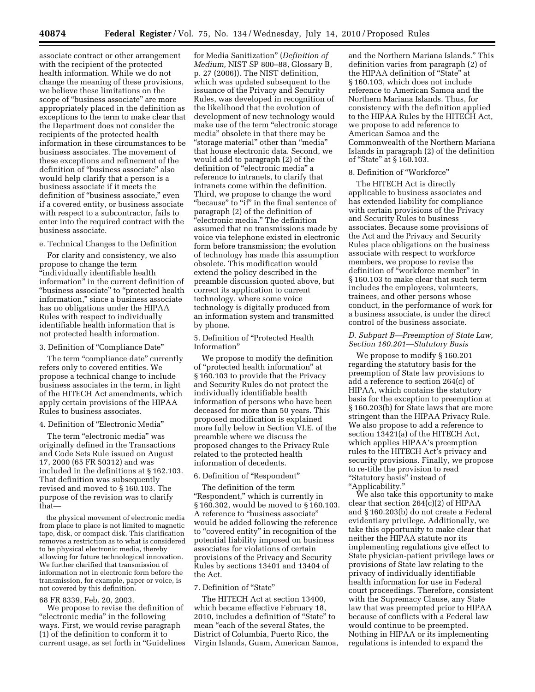associate contract or other arrangement with the recipient of the protected health information. While we do not change the meaning of these provisions, we believe these limitations on the scope of ''business associate'' are more appropriately placed in the definition as exceptions to the term to make clear that the Department does not consider the recipients of the protected health information in these circumstances to be business associates. The movement of these exceptions and refinement of the definition of ''business associate'' also would help clarify that a person is a business associate if it meets the definition of "business associate," even if a covered entity, or business associate with respect to a subcontractor, fails to enter into the required contract with the business associate.

e. Technical Changes to the Definition

For clarity and consistency, we also propose to change the term ''individually identifiable health information'' in the current definition of "business associate" to "protected health information,'' since a business associate has no obligations under the HIPAA Rules with respect to individually identifiable health information that is not protected health information.

#### 3. Definition of ''Compliance Date''

The term "compliance date" currently refers only to covered entities. We propose a technical change to include business associates in the term, in light of the HITECH Act amendments, which apply certain provisions of the HIPAA Rules to business associates.

#### 4. Definition of ''Electronic Media''

The term "electronic media" was originally defined in the Transactions and Code Sets Rule issued on August 17, 2000 (65 FR 50312) and was included in the definitions at § 162.103. That definition was subsequently revised and moved to § 160.103. The purpose of the revision was to clarify that—

the physical movement of electronic media from place to place is not limited to magnetic tape, disk, or compact disk. This clarification removes a restriction as to what is considered to be physical electronic media, thereby allowing for future technological innovation. We further clarified that transmission of information not in electronic form before the transmission, for example, paper or voice, is not covered by this definition.

#### 68 FR 8339, Feb. 20, 2003.

We propose to revise the definition of "electronic media" in the following ways. First, we would revise paragraph (1) of the definition to conform it to current usage, as set forth in ''Guidelines

for Media Sanitization'' (*Definition of Medium,* NIST SP 800–88, Glossary B, p. 27 (2006)). The NIST definition, which was updated subsequent to the issuance of the Privacy and Security Rules, was developed in recognition of the likelihood that the evolution of development of new technology would make use of the term ''electronic storage media'' obsolete in that there may be ''storage material'' other than ''media'' that house electronic data. Second, we would add to paragraph (2) of the definition of ''electronic media'' a reference to intranets, to clarify that intranets come within the definition. Third, we propose to change the word "because" to "if" in the final sentence of paragraph (2) of the definition of ''electronic media.'' The definition assumed that no transmissions made by voice via telephone existed in electronic form before transmission; the evolution of technology has made this assumption obsolete. This modification would extend the policy described in the preamble discussion quoted above, but correct its application to current technology, where some voice technology is digitally produced from an information system and transmitted by phone.

5. Definition of ''Protected Health Information''

We propose to modify the definition of ''protected health information'' at § 160.103 to provide that the Privacy and Security Rules do not protect the individually identifiable health information of persons who have been deceased for more than 50 years. This proposed modification is explained more fully below in Section VI.E. of the preamble where we discuss the proposed changes to the Privacy Rule related to the protected health information of decedents.

## 6. Definition of ''Respondent''

The definition of the term ''Respondent,'' which is currently in § 160.302, would be moved to § 160.103. A reference to "business associate" would be added following the reference to ''covered entity'' in recognition of the potential liability imposed on business associates for violations of certain provisions of the Privacy and Security Rules by sections 13401 and 13404 of the Act.

#### 7. Definition of ''State''

The HITECH Act at section 13400, which became effective February 18, 2010, includes a definition of ''State'' to mean ''each of the several States, the District of Columbia, Puerto Rico, the Virgin Islands, Guam, American Samoa, and the Northern Mariana Islands.'' This definition varies from paragraph (2) of the HIPAA definition of ''State'' at § 160.103, which does not include reference to American Samoa and the Northern Mariana Islands. Thus, for consistency with the definition applied to the HIPAA Rules by the HITECH Act, we propose to add reference to American Samoa and the Commonwealth of the Northern Mariana Islands in paragraph (2) of the definition of ''State'' at § 160.103.

## 8. Definition of ''Workforce''

The HITECH Act is directly applicable to business associates and has extended liability for compliance with certain provisions of the Privacy and Security Rules to business associates. Because some provisions of the Act and the Privacy and Security Rules place obligations on the business associate with respect to workforce members, we propose to revise the definition of ''workforce member'' in § 160.103 to make clear that such term includes the employees, volunteers, trainees, and other persons whose conduct, in the performance of work for a business associate, is under the direct control of the business associate.

## *D. Subpart B—Preemption of State Law, Section 160.201—Statutory Basis*

We propose to modify § 160.201 regarding the statutory basis for the preemption of State law provisions to add a reference to section 264(c) of HIPAA, which contains the statutory basis for the exception to preemption at § 160.203(b) for State laws that are more stringent than the HIPAA Privacy Rule. We also propose to add a reference to section 13421(a) of the HITECH Act, which applies HIPAA's preemption rules to the HITECH Act's privacy and security provisions. Finally, we propose to re-title the provision to read ''Statutory basis'' instead of ''Applicability.''

We also take this opportunity to make clear that section 264(c)(2) of HIPAA and § 160.203(b) do not create a Federal evidentiary privilege. Additionally, we take this opportunity to make clear that neither the HIPAA statute nor its implementing regulations give effect to State physician-patient privilege laws or provisions of State law relating to the privacy of individually identifiable health information for use in Federal court proceedings. Therefore, consistent with the Supremacy Clause, any State law that was preempted prior to HIPAA because of conflicts with a Federal law would continue to be preempted. Nothing in HIPAA or its implementing regulations is intended to expand the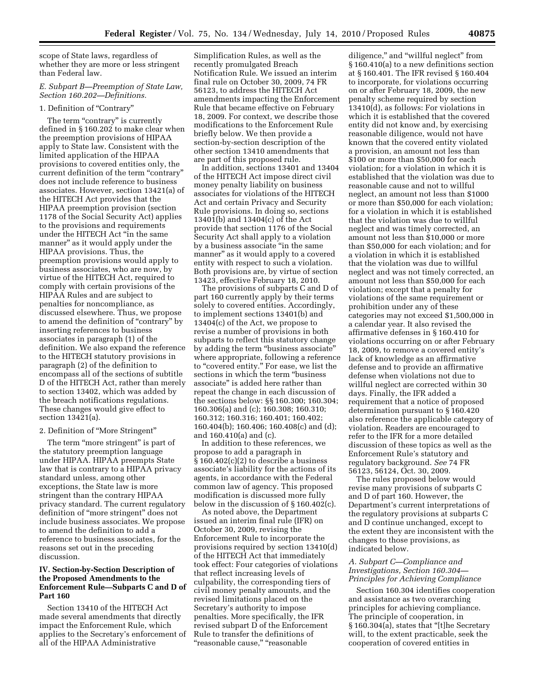scope of State laws, regardless of whether they are more or less stringent than Federal law.

## *E. Subpart B—Preemption of State Law, Section 160.202—Definitions.*

## 1. Definition of ''Contrary''

The term "contrary" is currently defined in § 160.202 to make clear when the preemption provisions of HIPAA apply to State law. Consistent with the limited application of the HIPAA provisions to covered entities only, the current definition of the term ''contrary'' does not include reference to business associates. However, section 13421(a) of the HITECH Act provides that the HIPAA preemption provision (section 1178 of the Social Security Act) applies to the provisions and requirements under the HITECH Act ''in the same manner'' as it would apply under the HIPAA provisions. Thus, the preemption provisions would apply to business associates, who are now, by virtue of the HITECH Act, required to comply with certain provisions of the HIPAA Rules and are subject to penalties for noncompliance, as discussed elsewhere. Thus, we propose to amend the definition of ''contrary'' by inserting references to business associates in paragraph (1) of the definition. We also expand the reference to the HITECH statutory provisions in paragraph (2) of the definition to encompass all of the sections of subtitle D of the HITECH Act, rather than merely to section 13402, which was added by the breach notifications regulations. These changes would give effect to section 13421(a).

#### 2. Definition of ''More Stringent''

The term "more stringent" is part of the statutory preemption language under HIPAA. HIPAA preempts State law that is contrary to a HIPAA privacy standard unless, among other exceptions, the State law is more stringent than the contrary HIPAA privacy standard. The current regulatory definition of ''more stringent'' does not include business associates. We propose to amend the definition to add a reference to business associates, for the reasons set out in the preceding discussion.

## **IV. Section-by-Section Description of the Proposed Amendments to the Enforcement Rule—Subparts C and D of Part 160**

Section 13410 of the HITECH Act made several amendments that directly impact the Enforcement Rule, which applies to the Secretary's enforcement of all of the HIPAA Administrative

Simplification Rules, as well as the recently promulgated Breach Notification Rule. We issued an interim final rule on October 30, 2009, 74 FR 56123, to address the HITECH Act amendments impacting the Enforcement Rule that became effective on February 18, 2009. For context, we describe those modifications to the Enforcement Rule briefly below. We then provide a section-by-section description of the other section 13410 amendments that are part of this proposed rule.

In addition, sections 13401 and 13404 of the HITECH Act impose direct civil money penalty liability on business associates for violations of the HITECH Act and certain Privacy and Security Rule provisions. In doing so, sections  $13401(b)$  and  $13404(c)$  of the Act provide that section 1176 of the Social Security Act shall apply to a violation by a business associate ''in the same manner'' as it would apply to a covered entity with respect to such a violation. Both provisions are, by virtue of section 13423, effective February 18, 2010.

The provisions of subparts C and D of part 160 currently apply by their terms solely to covered entities. Accordingly, to implement sections 13401(b) and 13404(c) of the Act, we propose to revise a number of provisions in both subparts to reflect this statutory change by adding the term ''business associate'' where appropriate, following a reference to "covered entity." For ease, we list the sections in which the term "business associate'' is added here rather than repeat the change in each discussion of the sections below: §§ 160.300; 160.304; 160.306(a) and (c); 160.308; 160.310; 160.312; 160.316; 160.401; 160.402; 160.404(b); 160.406; 160.408(c) and (d); and 160.410(a) and (c).

In addition to these references, we propose to add a paragraph in § 160.402(c)(2) to describe a business associate's liability for the actions of its agents, in accordance with the Federal common law of agency. This proposed modification is discussed more fully below in the discussion of § 160.402(c).

As noted above, the Department issued an interim final rule (IFR) on October 30, 2009, revising the Enforcement Rule to incorporate the provisions required by section 13410(d) of the HITECH Act that immediately took effect: Four categories of violations that reflect increasing levels of culpability, the corresponding tiers of civil money penalty amounts, and the revised limitations placed on the Secretary's authority to impose penalties. More specifically, the IFR revised subpart D of the Enforcement Rule to transfer the definitions of ''reasonable cause,'' ''reasonable

diligence,'' and ''willful neglect'' from § 160.410(a) to a new definitions section at § 160.401. The IFR revised § 160.404 to incorporate, for violations occurring on or after February 18, 2009, the new penalty scheme required by section 13410(d), as follows: For violations in which it is established that the covered entity did not know and, by exercising reasonable diligence, would not have known that the covered entity violated a provision, an amount not less than \$100 or more than \$50,000 for each violation; for a violation in which it is established that the violation was due to reasonable cause and not to willful neglect, an amount not less than \$1000 or more than \$50,000 for each violation; for a violation in which it is established that the violation was due to willful neglect and was timely corrected, an amount not less than \$10,000 or more than \$50,000 for each violation; and for a violation in which it is established that the violation was due to willful neglect and was not timely corrected, an amount not less than \$50,000 for each violation; except that a penalty for violations of the same requirement or prohibition under any of these categories may not exceed \$1,500,000 in a calendar year. It also revised the affirmative defenses in § 160.410 for violations occurring on or after February 18, 2009, to remove a covered entity's lack of knowledge as an affirmative defense and to provide an affirmative defense when violations not due to willful neglect are corrected within 30 days. Finally, the IFR added a requirement that a notice of proposed determination pursuant to § 160.420 also reference the applicable category of violation. Readers are encouraged to refer to the IFR for a more detailed discussion of these topics as well as the Enforcement Rule's statutory and regulatory background. *See* 74 FR 56123, 56124, Oct. 30, 2009.

The rules proposed below would revise many provisions of subparts C and D of part 160. However, the Department's current interpretations of the regulatory provisions at subparts C and D continue unchanged, except to the extent they are inconsistent with the changes to those provisions, as indicated below.

## *A. Subpart C—Compliance and Investigations, Section 160.304— Principles for Achieving Compliance*

Section 160.304 identifies cooperation and assistance as two overarching principles for achieving compliance. The principle of cooperation, in § 160.304(a), states that "[t]he Secretary will, to the extent practicable, seek the cooperation of covered entities in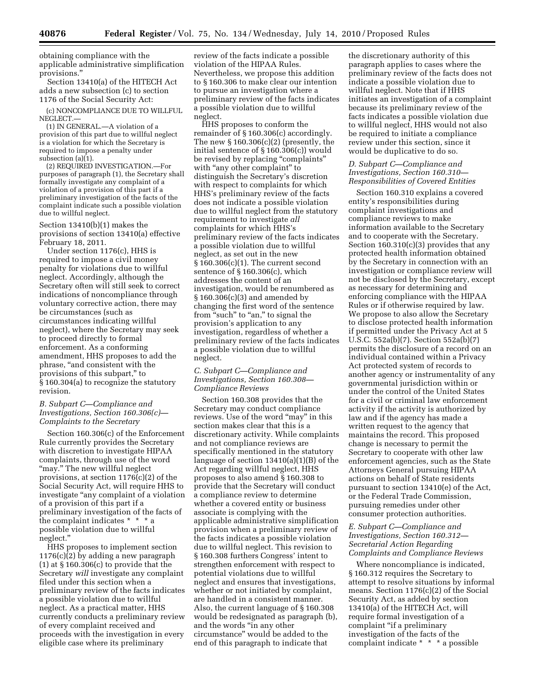obtaining compliance with the applicable administrative simplification provisions.''

Section 13410(a) of the HITECH Act adds a new subsection (c) to section 1176 of the Social Security Act:

(c) NONCOMPLIANCE DUE TO WILLFUL NEGLECT.—

(1) IN GENERAL.—A violation of a provision of this part due to willful neglect is a violation for which the Secretary is required to impose a penalty under subsection (a)(1).

(2) REQUIRED INVESTIGATION.—For purposes of paragraph (1), the Secretary shall formally investigate any complaint of a violation of a provision of this part if a preliminary investigation of the facts of the complaint indicate such a possible violation due to willful neglect.

Section 13410(b)(1) makes the provisions of section 13410(a) effective February 18, 2011.

Under section 1176(c), HHS is required to impose a civil money penalty for violations due to willful neglect. Accordingly, although the Secretary often will still seek to correct indications of noncompliance through voluntary corrective action, there may be circumstances (such as circumstances indicating willful neglect), where the Secretary may seek to proceed directly to formal enforcement. As a conforming amendment, HHS proposes to add the phrase, "and consistent with the provisions of this subpart,'' to § 160.304(a) to recognize the statutory revision.

## *B. Subpart C—Compliance and Investigations, Section 160.306(c)— Complaints to the Secretary*

Section 160.306(c) of the Enforcement Rule currently provides the Secretary with discretion to investigate HIPAA complaints, through use of the word "may." The new willful neglect provisions, at section 1176(c)(2) of the Social Security Act, will require HHS to investigate ''any complaint of a violation of a provision of this part if a preliminary investigation of the facts of the complaint indicates \* \* \* a possible violation due to willful neglect.''

HHS proposes to implement section  $1176(c)(2)$  by adding a new paragraph (1) at § 160.306(c) to provide that the Secretary *will* investigate any complaint filed under this section when a preliminary review of the facts indicates a possible violation due to willful neglect. As a practical matter, HHS currently conducts a preliminary review of every complaint received and proceeds with the investigation in every eligible case where its preliminary

review of the facts indicate a possible violation of the HIPAA Rules. Nevertheless, we propose this addition to § 160.306 to make clear our intention to pursue an investigation where a preliminary review of the facts indicates a possible violation due to willful neglect.

HHS proposes to conform the remainder of § 160.306(c) accordingly. The new § 160.306(c)(2) (presently, the initial sentence of § 160.306(c)) would be revised by replacing "complaints" with "any other complaint" to distinguish the Secretary's discretion with respect to complaints for which HHS's preliminary review of the facts does not indicate a possible violation due to willful neglect from the statutory requirement to investigate *all*  complaints for which HHS's preliminary review of the facts indicates a possible violation due to willful neglect, as set out in the new § 160.306(c)(1). The current second sentence of § 160.306(c), which addresses the content of an investigation, would be renumbered as § 160.306(c)(3) and amended by changing the first word of the sentence from "such" to "an," to signal the provision's application to any investigation, regardless of whether a preliminary review of the facts indicates a possible violation due to willful neglect.

## *C. Subpart C—Compliance and Investigations, Section 160.308— Compliance Reviews*

Section 160.308 provides that the Secretary may conduct compliance reviews. Use of the word "may" in this section makes clear that this is a discretionary activity. While complaints and not compliance reviews are specifically mentioned in the statutory language of section 13410(a)(1)(B) of the Act regarding willful neglect, HHS proposes to also amend § 160.308 to provide that the Secretary will conduct a compliance review to determine whether a covered entity or business associate is complying with the applicable administrative simplification provision when a preliminary review of the facts indicates a possible violation due to willful neglect. This revision to § 160.308 furthers Congress' intent to strengthen enforcement with respect to potential violations due to willful neglect and ensures that investigations, whether or not initiated by complaint, are handled in a consistent manner. Also, the current language of § 160.308 would be redesignated as paragraph (b), and the words ''in any other circumstance'' would be added to the end of this paragraph to indicate that

the discretionary authority of this paragraph applies to cases where the preliminary review of the facts does not indicate a possible violation due to willful neglect. Note that if HHS initiates an investigation of a complaint because its preliminary review of the facts indicates a possible violation due to willful neglect, HHS would not also be required to initiate a compliance review under this section, since it would be duplicative to do so.

## *D. Subpart C—Compliance and Investigations, Section 160.310— Responsibilities of Covered Entities*

Section 160.310 explains a covered entity's responsibilities during complaint investigations and compliance reviews to make information available to the Secretary and to cooperate with the Secretary. Section 160.310(c)(3) provides that any protected health information obtained by the Secretary in connection with an investigation or compliance review will not be disclosed by the Secretary, except as necessary for determining and enforcing compliance with the HIPAA Rules or if otherwise required by law. We propose to also allow the Secretary to disclose protected health information if permitted under the Privacy Act at 5 U.S.C. 552a(b)(7). Section 552a(b)(7) permits the disclosure of a record on an individual contained within a Privacy Act protected system of records to another agency or instrumentality of any governmental jurisdiction within or under the control of the United States for a civil or criminal law enforcement activity if the activity is authorized by law and if the agency has made a written request to the agency that maintains the record. This proposed change is necessary to permit the Secretary to cooperate with other law enforcement agencies, such as the State Attorneys General pursuing HIPAA actions on behalf of State residents pursuant to section 13410(e) of the Act, or the Federal Trade Commission, pursuing remedies under other consumer protection authorities.

## *E. Subpart C—Compliance and Investigations, Section 160.312— Secretarial Action Regarding Complaints and Compliance Reviews*

Where noncompliance is indicated, § 160.312 requires the Secretary to attempt to resolve situations by informal means. Section 1176(c)(2) of the Social Security Act, as added by section 13410(a) of the HITECH Act, will require formal investigation of a complaint "if a preliminary investigation of the facts of the complaint indicate \* \* \* a possible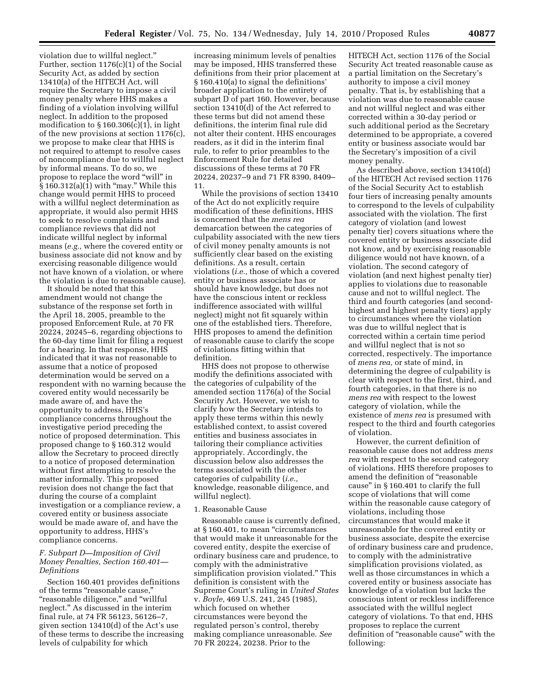violation due to willful neglect.'' Further, section 1176(c)(1) of the Social Security Act, as added by section 13410(a) of the HITECH Act, will require the Secretary to impose a civil money penalty where HHS makes a finding of a violation involving willful neglect. In addition to the proposed modification to § 160.306(c)(1), in light of the new provisions at section 1176(c), we propose to make clear that HHS is not required to attempt to resolve cases of noncompliance due to willful neglect by informal means. To do so, we propose to replace the word "will" in  $§ 160.312(a)(1)$  with "may." While this change would permit HHS to proceed with a willful neglect determination as appropriate, it would also permit HHS to seek to resolve complaints and compliance reviews that did not indicate willful neglect by informal means (*e.g.,* where the covered entity or business associate did not know and by exercising reasonable diligence would not have known of a violation, or where the violation is due to reasonable cause).

It should be noted that this amendment would not change the substance of the response set forth in the April 18, 2005, preamble to the proposed Enforcement Rule, at 70 FR 20224, 20245–6, regarding objections to the 60-day time limit for filing a request for a hearing. In that response, HHS indicated that it was not reasonable to assume that a notice of proposed determination would be served on a respondent with no warning because the covered entity would necessarily be made aware of, and have the opportunity to address, HHS's compliance concerns throughout the investigative period preceding the notice of proposed determination. This proposed change to § 160.312 would allow the Secretary to proceed directly to a notice of proposed determination without first attempting to resolve the matter informally. This proposed revision does not change the fact that during the course of a complaint investigation or a compliance review, a covered entity or business associate would be made aware of, and have the opportunity to address, HHS's compliance concerns.

## *F. Subpart D—Imposition of Civil Money Penalties, Section 160.401— Definitions*

Section 160.401 provides definitions of the terms "reasonable cause," ''reasonable diligence,'' and ''willful neglect.'' As discussed in the interim final rule, at 74 FR 56123, 56126–7, given section 13410(d) of the Act's use of these terms to describe the increasing levels of culpability for which

increasing minimum levels of penalties may be imposed, HHS transferred these definitions from their prior placement at § 160.410(a) to signal the definitions' broader application to the entirety of subpart D of part 160. However, because section 13410(d) of the Act referred to these terms but did not amend these definitions, the interim final rule did not alter their content. HHS encourages readers, as it did in the interim final rule, to refer to prior preambles to the Enforcement Rule for detailed discussions of these terms at 70 FR 20224, 20237–9 and 71 FR 8390, 8409– 11.

While the provisions of section 13410 of the Act do not explicitly require modification of these definitions, HHS is concerned that the *mens rea*  demarcation between the categories of culpability associated with the new tiers of civil money penalty amounts is not sufficiently clear based on the existing definitions. As a result, certain violations (*i.e.,* those of which a covered entity or business associate has or should have knowledge, but does not have the conscious intent or reckless indifference associated with willful neglect) might not fit squarely within one of the established tiers. Therefore, HHS proposes to amend the definition of reasonable cause to clarify the scope of violations fitting within that definition.

HHS does not propose to otherwise modify the definitions associated with the categories of culpability of the amended section 1176(a) of the Social Security Act. However, we wish to clarify how the Secretary intends to apply these terms within this newly established context, to assist covered entities and business associates in tailoring their compliance activities appropriately. Accordingly, the discussion below also addresses the terms associated with the other categories of culpability (*i.e.,*  knowledge, reasonable diligence, and willful neglect).

## 1. Reasonable Cause

Reasonable cause is currently defined, at § 160.401, to mean ''circumstances that would make it unreasonable for the covered entity, despite the exercise of ordinary business care and prudence, to comply with the administrative simplification provision violated.'' This definition is consistent with the Supreme Court's ruling in *United States*  v. *Boyle,* 469 U.S. 241, 245 (1985), which focused on whether circumstances were beyond the regulated person's control, thereby making compliance unreasonable. *See*  70 FR 20224, 20238. Prior to the

HITECH Act, section 1176 of the Social Security Act treated reasonable cause as a partial limitation on the Secretary's authority to impose a civil money penalty. That is, by establishing that a violation was due to reasonable cause and not willful neglect and was either corrected within a 30-day period or such additional period as the Secretary determined to be appropriate, a covered entity or business associate would bar the Secretary's imposition of a civil money penalty.

As described above, section 13410(d) of the HITECH Act revised section 1176 of the Social Security Act to establish four tiers of increasing penalty amounts to correspond to the levels of culpability associated with the violation. The first category of violation (and lowest penalty tier) covers situations where the covered entity or business associate did not know, and by exercising reasonable diligence would not have known, of a violation. The second category of violation (and next highest penalty tier) applies to violations due to reasonable cause and not to willful neglect. The third and fourth categories (and secondhighest and highest penalty tiers) apply to circumstances where the violation was due to willful neglect that is corrected within a certain time period and willful neglect that is not so corrected, respectively. The importance of *mens rea,* or state of mind, in determining the degree of culpability is clear with respect to the first, third, and fourth categories, in that there is no *mens rea* with respect to the lowest category of violation, while the existence of *mens rea* is presumed with respect to the third and fourth categories of violation.

However, the current definition of reasonable cause does not address *mens rea* with respect to the second category of violations. HHS therefore proposes to amend the definition of ''reasonable cause'' in § 160.401 to clarify the full scope of violations that will come within the reasonable cause category of violations, including those circumstances that would make it unreasonable for the covered entity or business associate, despite the exercise of ordinary business care and prudence, to comply with the administrative simplification provisions violated, as well as those circumstances in which a covered entity or business associate has knowledge of a violation but lacks the conscious intent or reckless indifference associated with the willful neglect category of violations. To that end, HHS proposes to replace the current definition of "reasonable cause" with the following: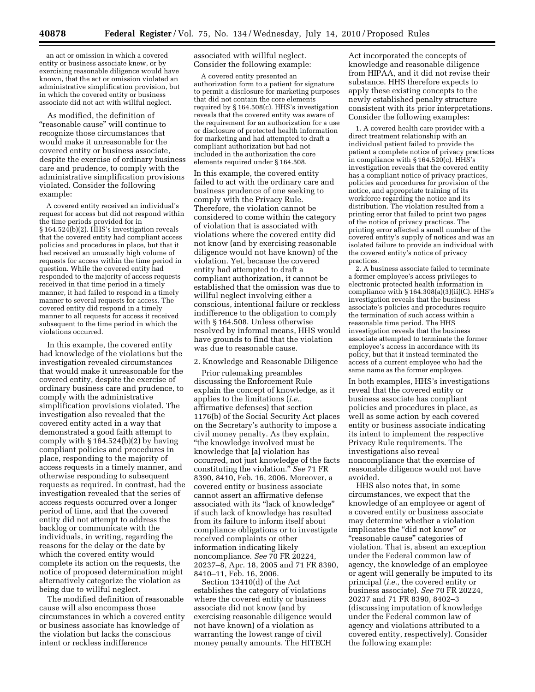an act or omission in which a covered entity or business associate knew, or by exercising reasonable diligence would have known, that the act or omission violated an administrative simplification provision, but in which the covered entity or business associate did not act with willful neglect.

As modified, the definition of "reasonable cause" will continue to recognize those circumstances that would make it unreasonable for the covered entity or business associate, despite the exercise of ordinary business care and prudence, to comply with the administrative simplification provisions violated. Consider the following example:

A covered entity received an individual's request for access but did not respond within the time periods provided for in § 164.524(b)(2). HHS's investigation reveals that the covered entity had compliant access policies and procedures in place, but that it had received an unusually high volume of requests for access within the time period in question. While the covered entity had responded to the majority of access requests received in that time period in a timely manner, it had failed to respond in a timely manner to several requests for access. The covered entity did respond in a timely manner to all requests for access it received subsequent to the time period in which the violations occurred.

In this example, the covered entity had knowledge of the violations but the investigation revealed circumstances that would make it unreasonable for the covered entity, despite the exercise of ordinary business care and prudence, to comply with the administrative simplification provisions violated. The investigation also revealed that the covered entity acted in a way that demonstrated a good faith attempt to comply with  $§ 164.524(b)(2)$  by having compliant policies and procedures in place, responding to the majority of access requests in a timely manner, and otherwise responding to subsequent requests as required. In contrast, had the investigation revealed that the series of access requests occurred over a longer period of time, and that the covered entity did not attempt to address the backlog or communicate with the individuals, in writing, regarding the reasons for the delay or the date by which the covered entity would complete its action on the requests, the notice of proposed determination might alternatively categorize the violation as being due to willful neglect.

The modified definition of reasonable cause will also encompass those circumstances in which a covered entity or business associate has knowledge of the violation but lacks the conscious intent or reckless indifference

associated with willful neglect. Consider the following example:

A covered entity presented an authorization form to a patient for signature to permit a disclosure for marketing purposes that did not contain the core elements required by § 164.508(c). HHS's investigation reveals that the covered entity was aware of the requirement for an authorization for a use or disclosure of protected health information for marketing and had attempted to draft a compliant authorization but had not included in the authorization the core elements required under § 164.508.

In this example, the covered entity failed to act with the ordinary care and business prudence of one seeking to comply with the Privacy Rule. Therefore, the violation cannot be considered to come within the category of violation that is associated with violations where the covered entity did not know (and by exercising reasonable diligence would not have known) of the violation. Yet, because the covered entity had attempted to draft a compliant authorization, it cannot be established that the omission was due to willful neglect involving either a conscious, intentional failure or reckless indifference to the obligation to comply with § 164.508. Unless otherwise resolved by informal means, HHS would have grounds to find that the violation was due to reasonable cause.

#### 2. Knowledge and Reasonable Diligence

Prior rulemaking preambles discussing the Enforcement Rule explain the concept of knowledge, as it applies to the limitations (*i.e.,*  affirmative defenses) that section 1176(b) of the Social Security Act places on the Secretary's authority to impose a civil money penalty. As they explain, ''the knowledge involved must be knowledge that [a] violation has occurred, not just knowledge of the facts constituting the violation.'' *See* 71 FR 8390, 8410, Feb. 16, 2006. Moreover, a covered entity or business associate cannot assert an affirmative defense associated with its ''lack of knowledge'' if such lack of knowledge has resulted from its failure to inform itself about compliance obligations or to investigate received complaints or other information indicating likely noncompliance. *See* 70 FR 20224, 20237–8, Apr. 18, 2005 and 71 FR 8390, 8410–11, Feb. 16, 2006.

Section 13410(d) of the Act establishes the category of violations where the covered entity or business associate did not know (and by exercising reasonable diligence would not have known) of a violation as warranting the lowest range of civil money penalty amounts. The HITECH

Act incorporated the concepts of knowledge and reasonable diligence from HIPAA, and it did not revise their substance. HHS therefore expects to apply these existing concepts to the newly established penalty structure consistent with its prior interpretations. Consider the following examples:

1. A covered health care provider with a direct treatment relationship with an individual patient failed to provide the patient a complete notice of privacy practices in compliance with  $\S 164.520(c)$ . HHS's investigation reveals that the covered entity has a compliant notice of privacy practices, policies and procedures for provision of the notice, and appropriate training of its workforce regarding the notice and its distribution. The violation resulted from a printing error that failed to print two pages of the notice of privacy practices. The printing error affected a small number of the covered entity's supply of notices and was an isolated failure to provide an individual with the covered entity's notice of privacy practices.

2. A business associate failed to terminate a former employee's access privileges to electronic protected health information in compliance with § 164.308(a)(3)(ii)(C). HHS's investigation reveals that the business associate's policies and procedures require the termination of such access within a reasonable time period. The HHS investigation reveals that the business associate attempted to terminate the former employee's access in accordance with its policy, but that it instead terminated the access of a current employee who had the same name as the former employee.

In both examples, HHS's investigations reveal that the covered entity or business associate has compliant policies and procedures in place, as well as some action by each covered entity or business associate indicating its intent to implement the respective Privacy Rule requirements. The investigations also reveal noncompliance that the exercise of reasonable diligence would not have avoided.

HHS also notes that, in some circumstances, we expect that the knowledge of an employee or agent of a covered entity or business associate may determine whether a violation implicates the "did not know" or ''reasonable cause'' categories of violation. That is, absent an exception under the Federal common law of agency, the knowledge of an employee or agent will generally be imputed to its principal (*i.e.,* the covered entity or business associate). *See* 70 FR 20224, 20237 and 71 FR 8390, 8402–3 (discussing imputation of knowledge under the Federal common law of agency and violations attributed to a covered entity, respectively). Consider the following example: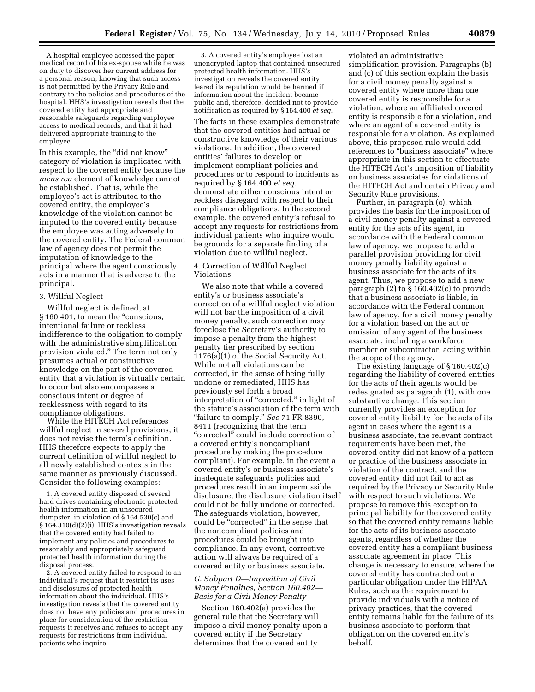A hospital employee accessed the paper medical record of his ex-spouse while he was on duty to discover her current address for a personal reason, knowing that such access is not permitted by the Privacy Rule and contrary to the policies and procedures of the hospital. HHS's investigation reveals that the covered entity had appropriate and reasonable safeguards regarding employee access to medical records, and that it had delivered appropriate training to the employee.

In this example, the ''did not know'' category of violation is implicated with respect to the covered entity because the *mens rea* element of knowledge cannot be established. That is, while the employee's act is attributed to the covered entity, the employee's knowledge of the violation cannot be imputed to the covered entity because the employee was acting adversely to the covered entity. The Federal common law of agency does not permit the imputation of knowledge to the principal where the agent consciously acts in a manner that is adverse to the principal.

#### 3. Willful Neglect

Willful neglect is defined, at § 160.401, to mean the "conscious, intentional failure or reckless indifference to the obligation to comply with the administrative simplification provision violated.'' The term not only presumes actual or constructive knowledge on the part of the covered entity that a violation is virtually certain to occur but also encompasses a conscious intent or degree of recklessness with regard to its compliance obligations.

While the HITECH Act references willful neglect in several provisions, it does not revise the term's definition. HHS therefore expects to apply the current definition of willful neglect to all newly established contexts in the same manner as previously discussed. Consider the following examples:

1. A covered entity disposed of several hard drives containing electronic protected health information in an unsecured dumpster, in violation of § 164.530(c) and § 164.310(d)(2)(i). HHS's investigation reveals that the covered entity had failed to implement any policies and procedures to reasonably and appropriately safeguard protected health information during the disposal process.

2. A covered entity failed to respond to an individual's request that it restrict its uses and disclosures of protected health information about the individual. HHS's investigation reveals that the covered entity does not have any policies and procedures in place for consideration of the restriction requests it receives and refuses to accept any requests for restrictions from individual patients who inquire.

3. A covered entity's employee lost an unencrypted laptop that contained unsecured protected health information. HHS's investigation reveals the covered entity feared its reputation would be harmed if information about the incident became public and, therefore, decided not to provide notification as required by § 164.400 *et seq.* 

The facts in these examples demonstrate that the covered entities had actual or constructive knowledge of their various violations. In addition, the covered entities' failures to develop or implement compliant policies and procedures or to respond to incidents as required by § 164.400 *et seq.*  demonstrate either conscious intent or reckless disregard with respect to their compliance obligations. In the second example, the covered entity's refusal to accept any requests for restrictions from individual patients who inquire would be grounds for a separate finding of a violation due to willful neglect.

## 4. Correction of Willful Neglect Violations

We also note that while a covered entity's or business associate's correction of a willful neglect violation will not bar the imposition of a civil money penalty, such correction may foreclose the Secretary's authority to impose a penalty from the highest penalty tier prescribed by section 1176(a)(1) of the Social Security Act. While not all violations can be corrected, in the sense of being fully undone or remediated, HHS has previously set forth a broad interpretation of "corrected," in light of the statute's association of the term with ''failure to comply.'' *See* 71 FR 8390, 8411 (recognizing that the term ''corrected'' could include correction of a covered entity's noncompliant procedure by making the procedure compliant). For example, in the event a covered entity's or business associate's inadequate safeguards policies and procedures result in an impermissible disclosure, the disclosure violation itself could not be fully undone or corrected. The safeguards violation, however, could be "corrected" in the sense that the noncompliant policies and procedures could be brought into compliance. In any event, corrective action will always be required of a covered entity or business associate.

## *G. Subpart D—Imposition of Civil Money Penalties, Section 160.402— Basis for a Civil Money Penalty*

Section 160.402(a) provides the general rule that the Secretary will impose a civil money penalty upon a covered entity if the Secretary determines that the covered entity

violated an administrative simplification provision. Paragraphs (b) and (c) of this section explain the basis for a civil money penalty against a covered entity where more than one covered entity is responsible for a violation, where an affiliated covered entity is responsible for a violation, and where an agent of a covered entity is responsible for a violation. As explained above, this proposed rule would add references to "business associate" where appropriate in this section to effectuate the HITECH Act's imposition of liability on business associates for violations of the HITECH Act and certain Privacy and Security Rule provisions.

Further, in paragraph (c), which provides the basis for the imposition of a civil money penalty against a covered entity for the acts of its agent, in accordance with the Federal common law of agency, we propose to add a parallel provision providing for civil money penalty liability against a business associate for the acts of its agent. Thus, we propose to add a new paragraph (2) to § 160.402(c) to provide that a business associate is liable, in accordance with the Federal common law of agency, for a civil money penalty for a violation based on the act or omission of any agent of the business associate, including a workforce member or subcontractor, acting within the scope of the agency.

The existing language of § 160.402(c) regarding the liability of covered entities for the acts of their agents would be redesignated as paragraph (1), with one substantive change. This section currently provides an exception for covered entity liability for the acts of its agent in cases where the agent is a business associate, the relevant contract requirements have been met, the covered entity did not know of a pattern or practice of the business associate in violation of the contract, and the covered entity did not fail to act as required by the Privacy or Security Rule with respect to such violations. We propose to remove this exception to principal liability for the covered entity so that the covered entity remains liable for the acts of its business associate agents, regardless of whether the covered entity has a compliant business associate agreement in place. This change is necessary to ensure, where the covered entity has contracted out a particular obligation under the HIPAA Rules, such as the requirement to provide individuals with a notice of privacy practices, that the covered entity remains liable for the failure of its business associate to perform that obligation on the covered entity's behalf.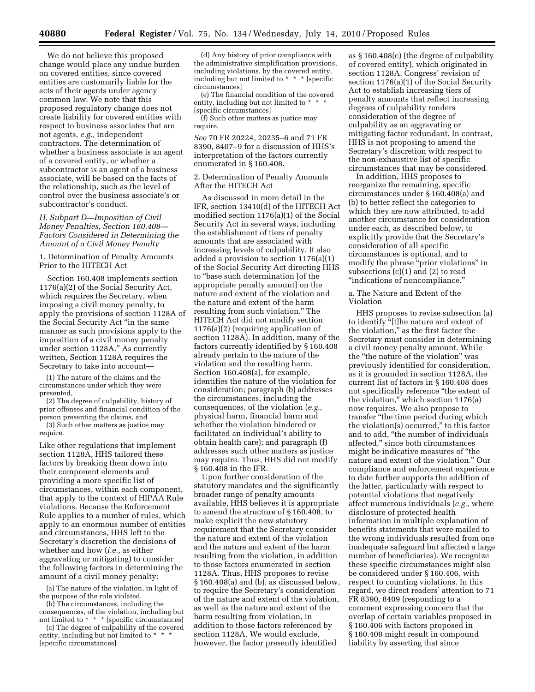We do not believe this proposed change would place any undue burden on covered entities, since covered entities are customarily liable for the acts of their agents under agency common law. We note that this proposed regulatory change does not create liability for covered entities with respect to business associates that are not agents, *e.g.,* independent contractors. The determination of whether a business associate is an agent of a covered entity, or whether a subcontractor is an agent of a business associate, will be based on the facts of the relationship, such as the level of control over the business associate's or subcontractor's conduct.

## *H. Subpart D—Imposition of Civil Money Penalties, Section 160.408— Factors Considered in Determining the Amount of a Civil Money Penalty*

1. Determination of Penalty Amounts Prior to the HITECH Act

Section 160.408 implements section 1176(a)(2) of the Social Security Act, which requires the Secretary, when imposing a civil money penalty, to apply the provisions of section 1128A of the Social Security Act ''in the same manner as such provisions apply to the imposition of a civil money penalty under section 1128A.'' As currently written, Section 1128A requires the Secretary to take into account—

(1) The nature of the claims and the circumstances under which they were presented,

(2) The degree of culpability, history of prior offenses and financial condition of the person presenting the claims, and

(3) Such other matters as justice may require.

Like other regulations that implement section 1128A, HHS tailored these factors by breaking them down into their component elements and providing a more specific list of circumstances, within each component, that apply to the context of HIPAA Rule violations. Because the Enforcement Rule applies to a number of rules, which apply to an enormous number of entities and circumstances, HHS left to the Secretary's discretion the decisions of whether and how (*i.e.,* as either aggravating or mitigating) to consider the following factors in determining the amount of a civil money penalty:

(a) The nature of the violation, in light of the purpose of the rule violated.

(b) The circumstances, including the consequences, of the violation, including but not limited to \* \* \* [specific circumstances]

(c) The degree of culpability of the covered entity, including but not limited to \* \* \*

[specific circumstances]

(d) Any history of prior compliance with the administrative simplification provisions, including violations, by the covered entity, including but not limited to \* \* \* [specific circumstances]

(e) The financial condition of the covered entity, including but not limited to  $*$  \* [specific circumstances]

(f) Such other matters as justice may require.

*See* 70 FR 20224, 20235–6 and 71 FR 8390, 8407–9 for a discussion of HHS's interpretation of the factors currently enumerated in § 160.408.

2. Determination of Penalty Amounts After the HITECH Act

As discussed in more detail in the IFR, section 13410(d) of the HITECH Act modified section 1176(a)(1) of the Social Security Act in several ways, including the establishment of tiers of penalty amounts that are associated with increasing levels of culpability. It also added a provision to section 1176(a)(1) of the Social Security Act directing HHS to ''base such determination [of the appropriate penalty amount] on the nature and extent of the violation and the nature and extent of the harm resulting from such violation.'' The HITECH Act did not modify section 1176(a)(2) (requiring application of section 1128A). In addition, many of the factors currently identified by § 160.408 already pertain to the nature of the violation and the resulting harm. Section 160.408(a), for example, identifies the nature of the violation for consideration; paragraph (b) addresses the circumstances, including the consequences, of the violation (*e.g.,*  physical harm, financial harm and whether the violation hindered or facilitated an individual's ability to obtain health care); and paragraph (f) addresses such other matters as justice may require. Thus, HHS did not modify § 160.408 in the IFR.

Upon further consideration of the statutory mandates and the significantly broader range of penalty amounts available, HHS believes it is appropriate to amend the structure of § 160.408, to make explicit the new statutory requirement that the Secretary consider the nature and extent of the violation and the nature and extent of the harm resulting from the violation, in addition to those factors enumerated in section 1128A. Thus, HHS proposes to revise § 160.408(a) and (b), as discussed below, to require the Secretary's consideration of the nature and extent of the violation, as well as the nature and extent of the harm resulting from violation, in addition to those factors referenced by section 1128A. We would exclude, however, the factor presently identified

as § 160.408(c) (the degree of culpability of covered entity), which originated in section 1128A. Congress' revision of section 1176(a)(1) of the Social Security Act to establish increasing tiers of penalty amounts that reflect increasing degrees of culpability renders consideration of the degree of culpability as an aggravating or mitigating factor redundant. In contrast, HHS is not proposing to amend the Secretary's discretion with respect to the non-exhaustive list of specific circumstances that may be considered.

In addition, HHS proposes to reorganize the remaining, specific circumstances under § 160.408(a) and (b) to better reflect the categories to which they are now attributed, to add another circumstance for consideration under each, as described below, to explicitly provide that the Secretary's consideration of all specific circumstances is optional, and to modify the phrase "prior violations" in subsections (c)(1) and (2) to read ''indications of noncompliance.''

a. The Nature and Extent of the Violation

HHS proposes to revise subsection (a) to identify "[t]he nature and extent of the violation,'' as the first factor the Secretary must consider in determining a civil money penalty amount. While the ''the nature of the violation'' was previously identified for consideration, as it is grounded in section 1128A, the current list of factors in § 160.408 does not specifically reference "the extent of the violation,'' which section 1176(a) now requires. We also propose to transfer ''the time period during which the violation(s) occurred,'' to this factor and to add, ''the number of individuals affected,'' since both circumstances might be indicative measures of ''the nature and extent of the violation.'' Our compliance and enforcement experience to date further supports the addition of the latter, particularly with respect to potential violations that negatively affect numerous individuals (*e.g.,* where disclosure of protected health information in multiple explanation of benefits statements that were mailed to the wrong individuals resulted from one inadequate safeguard but affected a large number of beneficiaries). We recognize these specific circumstances might also be considered under § 160.406, with respect to counting violations. In this regard, we direct readers' attention to 71 FR 8390, 8409 (responding to a comment expressing concern that the overlap of certain variables proposed in § 160.406 with factors proposed in § 160.408 might result in compound liability by asserting that since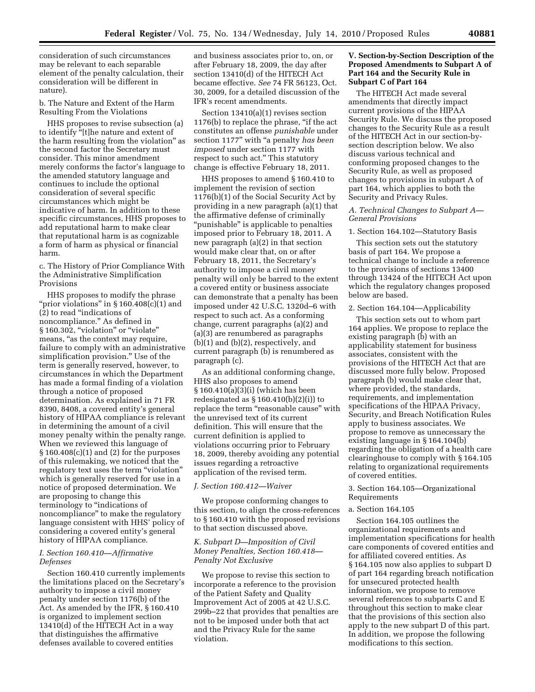consideration of such circumstances may be relevant to each separable element of the penalty calculation, their consideration will be different in nature).

b. The Nature and Extent of the Harm Resulting From the Violations

HHS proposes to revise subsection (a) to identify ''[t]he nature and extent of the harm resulting from the violation'' as the second factor the Secretary must consider. This minor amendment merely conforms the factor's language to the amended statutory language and continues to include the optional consideration of several specific circumstances which might be indicative of harm. In addition to these specific circumstances, HHS proposes to add reputational harm to make clear that reputational harm is as cognizable a form of harm as physical or financial harm.

c. The History of Prior Compliance With the Administrative Simplification Provisions

HHS proposes to modify the phrase "prior violations" in § 160.408(c)(1) and (2) to read ''indications of noncompliance.'' As defined in § 160.302, "violation" or "violate" means, "as the context may require, failure to comply with an administrative simplification provision.'' Use of the term is generally reserved, however, to circumstances in which the Department has made a formal finding of a violation through a notice of proposed determination. As explained in 71 FR 8390, 8408, a covered entity's general history of HIPAA compliance is relevant in determining the amount of a civil money penalty within the penalty range. When we reviewed this language of  $§ 160.408(c)(1)$  and (2) for the purposes of this rulemaking, we noticed that the regulatory text uses the term "violation" which is generally reserved for use in a notice of proposed determination. We are proposing to change this terminology to ''indications of noncompliance'' to make the regulatory language consistent with HHS' policy of considering a covered entity's general history of HIPAA compliance.

## *I. Section 160.410—Affirmative Defenses*

Section 160.410 currently implements the limitations placed on the Secretary's authority to impose a civil money penalty under section 1176(b) of the Act. As amended by the IFR, § 160.410 is organized to implement section 13410(d) of the HITECH Act in a way that distinguishes the affirmative defenses available to covered entities

and business associates prior to, on, or after February 18, 2009, the day after section 13410(d) of the HITECH Act became effective. *See* 74 FR 56123, Oct. 30, 2009, for a detailed discussion of the IFR's recent amendments.

Section 13410(a)(1) revises section 1176(b) to replace the phrase, "if the act constitutes an offense *punishable* under section 1177'' with ''a penalty *has been imposed* under section 1177 with respect to such act.'' This statutory change is effective February 18, 2011.

HHS proposes to amend § 160.410 to implement the revision of section 1176(b)(1) of the Social Security Act by providing in a new paragraph (a)(1) that the affirmative defense of criminally "punishable" is applicable to penalties imposed prior to February 18, 2011. A new paragraph (a)(2) in that section would make clear that, on or after February 18, 2011, the Secretary's authority to impose a civil money penalty will only be barred to the extent a covered entity or business associate can demonstrate that a penalty has been imposed under 42 U.S.C. 1320d–6 with respect to such act. As a conforming change, current paragraphs (a)(2) and (a)(3) are renumbered as paragraphs (b)(1) and (b)(2), respectively, and current paragraph (b) is renumbered as paragraph (c).

As an additional conforming change, HHS also proposes to amend § 160.410(a)(3)(i) (which has been redesignated as  $\S 160.410(b)(2)(i)$  to replace the term "reasonable cause" with the unrevised text of its current definition. This will ensure that the current definition is applied to violations occurring prior to February 18, 2009, thereby avoiding any potential issues regarding a retroactive application of the revised term.

## *J. Section 160.412—Waiver*

We propose conforming changes to this section, to align the cross-references to § 160.410 with the proposed revisions to that section discussed above.

## *K. Subpart D—Imposition of Civil Money Penalties, Section 160.418— Penalty Not Exclusive*

We propose to revise this section to incorporate a reference to the provision of the Patient Safety and Quality Improvement Act of 2005 at 42 U.S.C. 299b–22 that provides that penalties are not to be imposed under both that act and the Privacy Rule for the same violation.

## **V. Section-by-Section Description of the Proposed Amendments to Subpart A of Part 164 and the Security Rule in Subpart C of Part 164**

The HITECH Act made several amendments that directly impact current provisions of the HIPAA Security Rule. We discuss the proposed changes to the Security Rule as a result of the HITECH Act in our section-bysection description below. We also discuss various technical and conforming proposed changes to the Security Rule, as well as proposed changes to provisions in subpart A of part 164, which applies to both the Security and Privacy Rules.

## *A. Technical Changes to Subpart A— General Provisions*

#### 1. Section 164.102—Statutory Basis

This section sets out the statutory basis of part 164. We propose a technical change to include a reference to the provisions of sections 13400 through 13424 of the HITECH Act upon which the regulatory changes proposed below are based.

#### 2. Section 164.104—Applicability

This section sets out to whom part 164 applies. We propose to replace the existing paragraph (b) with an applicability statement for business associates, consistent with the provisions of the HITECH Act that are discussed more fully below. Proposed paragraph (b) would make clear that, where provided, the standards, requirements, and implementation specifications of the HIPAA Privacy, Security, and Breach Notification Rules apply to business associates. We propose to remove as unnecessary the existing language in § 164.104(b) regarding the obligation of a health care clearinghouse to comply with § 164.105 relating to organizational requirements of covered entities.

## 3. Section 164.105—Organizational Requirements

#### a. Section 164.105

Section 164.105 outlines the organizational requirements and implementation specifications for health care components of covered entities and for affiliated covered entities. As § 164.105 now also applies to subpart D of part 164 regarding breach notification for unsecured protected health information, we propose to remove several references to subparts C and E throughout this section to make clear that the provisions of this section also apply to the new subpart D of this part. In addition, we propose the following modifications to this section.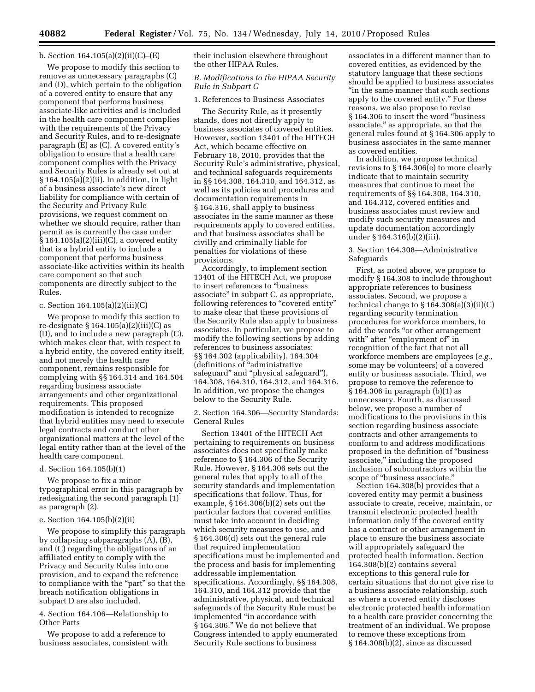## b. Section 164.105(a)(2)(ii)(C)–(E)

We propose to modify this section to remove as unnecessary paragraphs (C) and (D), which pertain to the obligation of a covered entity to ensure that any component that performs business associate-like activities and is included in the health care component complies with the requirements of the Privacy and Security Rules, and to re-designate paragraph (E) as (C). A covered entity's obligation to ensure that a health care component complies with the Privacy and Security Rules is already set out at § 164.105(a)(2)(ii). In addition, in light of a business associate's new direct liability for compliance with certain of the Security and Privacy Rule provisions, we request comment on whether we should require, rather than permit as is currently the case under § 164.105(a)(2)(iii)(C), a covered entity that is a hybrid entity to include a component that performs business associate-like activities within its health care component so that such components are directly subject to the Rules.

#### c. Section 164.105(a)(2)(iii)(C)

We propose to modify this section to re-designate § 164.105(a)(2)(iii)(C) as (D), and to include a new paragraph (C), which makes clear that, with respect to a hybrid entity, the covered entity itself, and not merely the health care component, remains responsible for complying with §§ 164.314 and 164.504 regarding business associate arrangements and other organizational requirements. This proposed modification is intended to recognize that hybrid entities may need to execute legal contracts and conduct other organizational matters at the level of the legal entity rather than at the level of the health care component.

## d. Section 164.105(b)(1)

We propose to fix a minor typographical error in this paragraph by redesignating the second paragraph (1) as paragraph (2).

## e. Section 164.105(b)(2)(ii)

We propose to simplify this paragraph by collapsing subparagraphs (A), (B), and (C) regarding the obligations of an affiliated entity to comply with the Privacy and Security Rules into one provision, and to expand the reference to compliance with the ''part'' so that the breach notification obligations in subpart D are also included.

4. Section 164.106—Relationship to Other Parts

We propose to add a reference to business associates, consistent with their inclusion elsewhere throughout the other HIPAA Rules.

## *B. Modifications to the HIPAA Security Rule in Subpart C*

#### 1. References to Business Associates

The Security Rule, as it presently stands, does not directly apply to business associates of covered entities. However, section 13401 of the HITECH Act, which became effective on February 18, 2010, provides that the Security Rule's administrative, physical, and technical safeguards requirements in §§ 164.308, 164.310, and 164.312, as well as its policies and procedures and documentation requirements in § 164.316, shall apply to business associates in the same manner as these requirements apply to covered entities, and that business associates shall be civilly and criminally liable for penalties for violations of these provisions.

Accordingly, to implement section 13401 of the HITECH Act, we propose to insert references to ''business associate'' in subpart C, as appropriate, following references to "covered entity" to make clear that these provisions of the Security Rule also apply to business associates. In particular, we propose to modify the following sections by adding references to business associates: §§ 164.302 (applicability), 164.304 (definitions of ''administrative safeguard'' and ''physical safeguard''), 164.308, 164.310, 164.312, and 164.316. In addition, we propose the changes below to the Security Rule.

2. Section 164.306—Security Standards: General Rules

Section 13401 of the HITECH Act pertaining to requirements on business associates does not specifically make reference to § 164.306 of the Security Rule. However, § 164.306 sets out the general rules that apply to all of the security standards and implementation specifications that follow. Thus, for example, § 164.306(b)(2) sets out the particular factors that covered entities must take into account in deciding which security measures to use, and § 164.306(d) sets out the general rule that required implementation specifications must be implemented and the process and basis for implementing addressable implementation specifications. Accordingly, §§ 164.308, 164.310, and 164.312 provide that the administrative, physical, and technical safeguards of the Security Rule must be implemented ''in accordance with § 164.306.'' We do not believe that Congress intended to apply enumerated Security Rule sections to business

associates in a different manner than to covered entities, as evidenced by the statutory language that these sections should be applied to business associates "in the same manner that such sections apply to the covered entity.'' For these reasons, we also propose to revise § 164.306 to insert the word ''business associate,'' as appropriate, so that the general rules found at § 164.306 apply to business associates in the same manner as covered entities.

In addition, we propose technical revisions to § 164.306(e) to more clearly indicate that to maintain security measures that continue to meet the requirements of §§ 164.308, 164.310, and 164.312, covered entities and business associates must review and modify such security measures and update documentation accordingly under § 164.316(b)(2)(iii).

## 3. Section 164.308—Administrative Safeguards

First, as noted above, we propose to modify § 164.308 to include throughout appropriate references to business associates. Second, we propose a technical change to § 164.308(a)(3)(ii)(C) regarding security termination procedures for workforce members, to add the words ''or other arrangement with" after "employment of" in recognition of the fact that not all workforce members are employees (*e.g.,*  some may be volunteers) of a covered entity or business associate. Third, we propose to remove the reference to § 164.306 in paragraph (b)(1) as unnecessary. Fourth, as discussed below, we propose a number of modifications to the provisions in this section regarding business associate contracts and other arrangements to conform to and address modifications proposed in the definition of ''business associate,'' including the proposed inclusion of subcontractors within the scope of "business associate."

Section 164.308(b) provides that a covered entity may permit a business associate to create, receive, maintain, or transmit electronic protected health information only if the covered entity has a contract or other arrangement in place to ensure the business associate will appropriately safeguard the protected health information. Section 164.308(b)(2) contains several exceptions to this general rule for certain situations that do not give rise to a business associate relationship, such as where a covered entity discloses electronic protected health information to a health care provider concerning the treatment of an individual. We propose to remove these exceptions from § 164.308(b)(2), since as discussed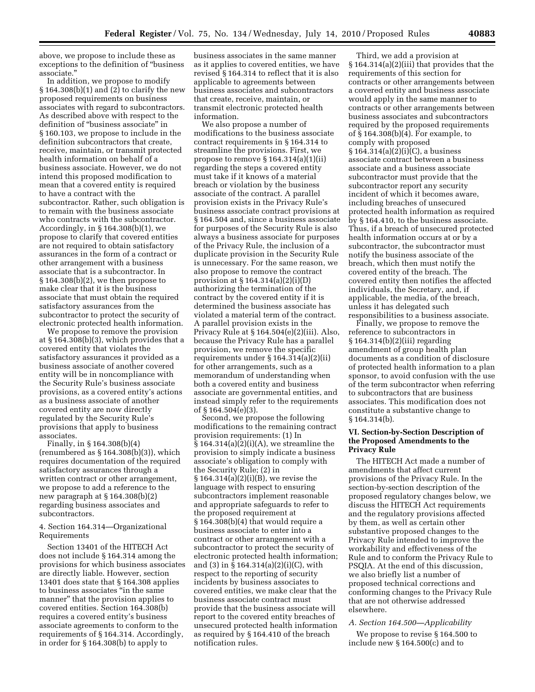above, we propose to include these as exceptions to the definition of ''business associate.''

In addition, we propose to modify § 164.308(b)(1) and (2) to clarify the new proposed requirements on business associates with regard to subcontractors. As described above with respect to the definition of ''business associate'' in § 160.103, we propose to include in the definition subcontractors that create, receive, maintain, or transmit protected health information on behalf of a business associate. However, we do not intend this proposed modification to mean that a covered entity is required to have a contract with the subcontractor. Rather, such obligation is to remain with the business associate who contracts with the subcontractor. Accordingly, in § 164.308(b)(1), we propose to clarify that covered entities are not required to obtain satisfactory assurances in the form of a contract or other arrangement with a business associate that is a subcontractor. In § 164.308(b)(2), we then propose to make clear that it is the business associate that must obtain the required satisfactory assurances from the subcontractor to protect the security of electronic protected health information.

We propose to remove the provision at § 164.308(b)(3), which provides that a covered entity that violates the satisfactory assurances it provided as a business associate of another covered entity will be in noncompliance with the Security Rule's business associate provisions, as a covered entity's actions as a business associate of another covered entity are now directly regulated by the Security Rule's provisions that apply to business associates.

Finally, in § 164.308(b)(4) (renumbered as § 164.308(b)(3)), which requires documentation of the required satisfactory assurances through a written contract or other arrangement, we propose to add a reference to the new paragraph at § 164.308(b)(2) regarding business associates and subcontractors.

## 4. Section 164.314—Organizational Requirements

Section 13401 of the HITECH Act does not include § 164.314 among the provisions for which business associates are directly liable. However, section 13401 does state that § 164.308 applies to business associates ''in the same manner'' that the provision applies to covered entities. Section 164.308(b) requires a covered entity's business associate agreements to conform to the requirements of § 164.314. Accordingly, in order for § 164.308(b) to apply to

business associates in the same manner as it applies to covered entities, we have revised § 164.314 to reflect that it is also applicable to agreements between business associates and subcontractors that create, receive, maintain, or transmit electronic protected health information.

We also propose a number of modifications to the business associate contract requirements in § 164.314 to streamline the provisions. First, we propose to remove § 164.314(a)(1)(ii) regarding the steps a covered entity must take if it knows of a material breach or violation by the business associate of the contract. A parallel provision exists in the Privacy Rule's business associate contract provisions at § 164.504 and, since a business associate for purposes of the Security Rule is also always a business associate for purposes of the Privacy Rule, the inclusion of a duplicate provision in the Security Rule is unnecessary. For the same reason, we also propose to remove the contract provision at § 164.314(a)(2)(i)(D) authorizing the termination of the contract by the covered entity if it is determined the business associate has violated a material term of the contract. A parallel provision exists in the Privacy Rule at § 164.504(e)(2)(iii). Also, because the Privacy Rule has a parallel provision, we remove the specific requirements under § 164.314(a)(2)(ii) for other arrangements, such as a memorandum of understanding when both a covered entity and business associate are governmental entities, and instead simply refer to the requirements of § 164.504(e)(3).

Second, we propose the following modifications to the remaining contract provision requirements: (1) In  $§ 164.314(a)(2)(i)(A)$ , we streamline the provision to simply indicate a business associate's obligation to comply with the Security Rule; (2) in § 164.314(a)(2)(i)(B), we revise the language with respect to ensuring subcontractors implement reasonable and appropriate safeguards to refer to the proposed requirement at § 164.308(b)(4) that would require a business associate to enter into a contract or other arrangement with a subcontractor to protect the security of electronic protected health information; and (3) in § 164.314(a)(2)(i)(C), with respect to the reporting of security incidents by business associates to covered entities, we make clear that the business associate contract must provide that the business associate will report to the covered entity breaches of unsecured protected health information as required by § 164.410 of the breach notification rules.

Third, we add a provision at § 164.314(a)(2)(iii) that provides that the requirements of this section for contracts or other arrangements between a covered entity and business associate would apply in the same manner to contracts or other arrangements between business associates and subcontractors required by the proposed requirements of § 164.308(b)(4). For example, to comply with proposed § 164.314(a)(2)(i)(C), a business associate contract between a business associate and a business associate subcontractor must provide that the subcontractor report any security incident of which it becomes aware, including breaches of unsecured protected health information as required by § 164.410, to the business associate. Thus, if a breach of unsecured protected health information occurs at or by a subcontractor, the subcontractor must notify the business associate of the breach, which then must notify the covered entity of the breach. The covered entity then notifies the affected individuals, the Secretary, and, if applicable, the media, of the breach, unless it has delegated such responsibilities to a business associate.

Finally, we propose to remove the reference to subcontractors in § 164.314(b)(2)(iii) regarding amendment of group health plan documents as a condition of disclosure of protected health information to a plan sponsor, to avoid confusion with the use of the term subcontractor when referring to subcontractors that are business associates. This modification does not constitute a substantive change to § 164.314(b).

## **VI. Section-by-Section Description of the Proposed Amendments to the Privacy Rule**

The HITECH Act made a number of amendments that affect current provisions of the Privacy Rule. In the section-by-section description of the proposed regulatory changes below, we discuss the HITECH Act requirements and the regulatory provisions affected by them, as well as certain other substantive proposed changes to the Privacy Rule intended to improve the workability and effectiveness of the Rule and to conform the Privacy Rule to PSQIA. At the end of this discussion, we also briefly list a number of proposed technical corrections and conforming changes to the Privacy Rule that are not otherwise addressed elsewhere.

#### *A. Section 164.500—Applicability*

We propose to revise § 164.500 to include new § 164.500(c) and to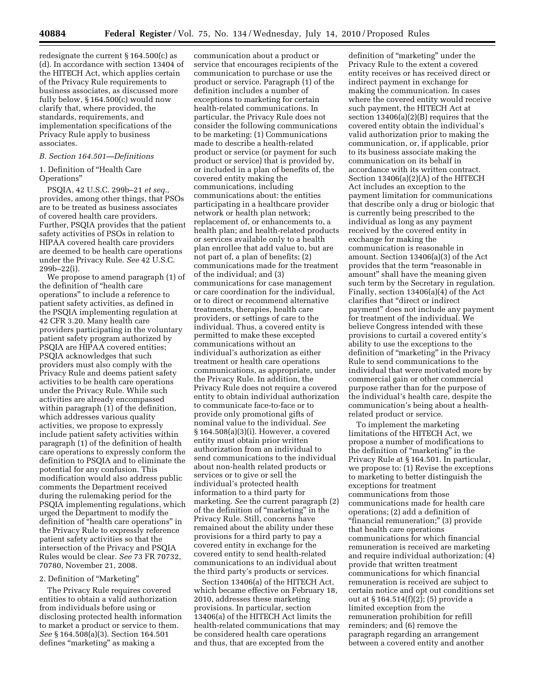redesignate the current § 164.500(c) as (d). In accordance with section 13404 of the HITECH Act, which applies certain of the Privacy Rule requirements to business associates, as discussed more fully below, § 164.500(c) would now clarify that, where provided, the standards, requirements, and implementation specifications of the Privacy Rule apply to business associates.

#### *B. Section 164.501—Definitions*

## 1. Definition of ''Health Care Operations''

PSQIA, 42 U.S.C. 299b–21 *et seq.,*  provides, among other things, that PSOs are to be treated as business associates of covered health care providers. Further, PSQIA provides that the patient safety activities of PSOs in relation to HIPAA covered health care providers are deemed to be health care operations under the Privacy Rule. *See* 42 U.S.C. 299b–22(i).

We propose to amend paragraph (1) of the definition of ''health care operations'' to include a reference to patient safety activities, as defined in the PSQIA implementing regulation at 42 CFR 3.20. Many health care providers participating in the voluntary patient safety program authorized by PSQIA are HIPAA covered entities; PSQIA acknowledges that such providers must also comply with the Privacy Rule and deems patient safety activities to be health care operations under the Privacy Rule. While such activities are already encompassed within paragraph (1) of the definition, which addresses various quality activities, we propose to expressly include patient safety activities within paragraph (1) of the definition of health care operations to expressly conform the definition to PSQIA and to eliminate the potential for any confusion. This modification would also address public comments the Department received during the rulemaking period for the PSQIA implementing regulations, which urged the Department to modify the definition of ''health care operations'' in the Privacy Rule to expressly reference patient safety activities so that the intersection of the Privacy and PSQIA Rules would be clear. *See* 73 FR 70732, 70780, November 21, 2008.

#### 2. Definition of ''Marketing''

The Privacy Rule requires covered entities to obtain a valid authorization from individuals before using or disclosing protected health information to market a product or service to them. *See* § 164.508(a)(3). Section 164.501 defines ''marketing'' as making a

communication about a product or service that encourages recipients of the communication to purchase or use the product or service. Paragraph (1) of the definition includes a number of exceptions to marketing for certain health-related communications. In particular, the Privacy Rule does not consider the following communications to be marketing: (1) Communications made to describe a health-related product or service (or payment for such product or service) that is provided by, or included in a plan of benefits of, the covered entity making the communications, including communications about: the entities participating in a healthcare provider network or health plan network; replacement of, or enhancements to, a health plan; and health-related products or services available only to a health plan enrollee that add value to, but are not part of, a plan of benefits; (2) communications made for the treatment of the individual; and (3) communications for case management or care coordination for the individual, or to direct or recommend alternative treatments, therapies, health care providers, or settings of care to the individual. Thus, a covered entity is permitted to make these excepted communications without an individual's authorization as either treatment or health care operations communications, as appropriate, under the Privacy Rule. In addition, the Privacy Rule does not require a covered entity to obtain individual authorization to communicate face-to-face or to provide only promotional gifts of nominal value to the individual. *See*  § 164.508(a)(3)(i). However, a covered entity must obtain prior written authorization from an individual to send communications to the individual about non-health related products or services or to give or sell the individual's protected health information to a third party for marketing. *See* the current paragraph (2) of the definition of ''marketing'' in the Privacy Rule. Still, concerns have remained about the ability under these provisions for a third party to pay a covered entity in exchange for the covered entity to send health-related communications to an individual about the third party's products or services.

Section 13406(a) of the HITECH Act, which became effective on February 18, 2010, addresses these marketing provisions. In particular, section 13406(a) of the HITECH Act limits the health-related communications that may be considered health care operations and thus, that are excepted from the

definition of "marketing" under the Privacy Rule to the extent a covered entity receives or has received direct or indirect payment in exchange for making the communication. In cases where the covered entity would receive such payment, the HITECH Act at section 13406(a)(2)(B) requires that the covered entity obtain the individual's valid authorization prior to making the communication, or, if applicable, prior to its business associate making the communication on its behalf in accordance with its written contract. Section 13406(a)(2)(A) of the HITECH Act includes an exception to the payment limitation for communications that describe only a drug or biologic that is currently being prescribed to the individual as long as any payment received by the covered entity in exchange for making the communication is reasonable in amount. Section 13406(a)(3) of the Act provides that the term "reasonable in amount'' shall have the meaning given such term by the Secretary in regulation. Finally, section 13406(a)(4) of the Act clarifies that ''direct or indirect payment'' does not include any payment for treatment of the individual. We believe Congress intended with these provisions to curtail a covered entity's ability to use the exceptions to the definition of "marketing" in the Privacy Rule to send communications to the individual that were motivated more by commercial gain or other commercial purpose rather than for the purpose of the individual's health care, despite the communication's being about a healthrelated product or service.

To implement the marketing limitations of the HITECH Act, we propose a number of modifications to the definition of ''marketing'' in the Privacy Rule at § 164.501. In particular, we propose to: (1) Revise the exceptions to marketing to better distinguish the exceptions for treatment communications from those communications made for health care operations; (2) add a definition of ''financial remuneration;'' (3) provide that health care operations communications for which financial remuneration is received are marketing and require individual authorization; (4) provide that written treatment communications for which financial remuneration is received are subject to certain notice and opt out conditions set out at § 164.514(f)(2); (5) provide a limited exception from the remuneration prohibition for refill reminders; and (6) remove the paragraph regarding an arrangement between a covered entity and another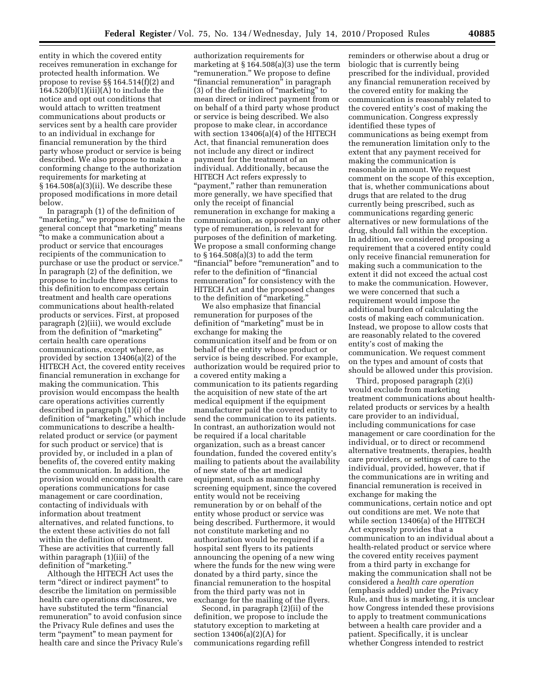entity in which the covered entity receives remuneration in exchange for protected health information. We propose to revise §§ 164.514(f)(2) and  $164.520(b)(1)(iii)(A)$  to include the notice and opt out conditions that would attach to written treatment communications about products or services sent by a health care provider to an individual in exchange for financial remuneration by the third party whose product or service is being described. We also propose to make a conforming change to the authorization requirements for marketing at § 164.508(a)(3)(ii). We describe these proposed modifications in more detail below.

In paragraph (1) of the definition of "marketing," we propose to maintain the general concept that ''marketing'' means ''to make a communication about a product or service that encourages recipients of the communication to purchase or use the product or service.'' In paragraph (2) of the definition, we propose to include three exceptions to this definition to encompass certain treatment and health care operations communications about health-related products or services. First, at proposed paragraph (2)(iii), we would exclude from the definition of "marketing" certain health care operations communications, except where, as provided by section 13406(a)(2) of the HITECH Act, the covered entity receives financial remuneration in exchange for making the communication. This provision would encompass the health care operations activities currently described in paragraph (1)(i) of the definition of "marketing," which include communications to describe a healthrelated product or service (or payment for such product or service) that is provided by, or included in a plan of benefits of, the covered entity making the communication. In addition, the provision would encompass health care operations communications for case management or care coordination, contacting of individuals with information about treatment alternatives, and related functions, to the extent these activities do not fall within the definition of treatment. These are activities that currently fall within paragraph (1)(iii) of the definition of "marketing.

Although the HITECH Act uses the term ''direct or indirect payment'' to describe the limitation on permissible health care operations disclosures, we have substituted the term ''financial remuneration'' to avoid confusion since the Privacy Rule defines and uses the term "payment" to mean payment for health care and since the Privacy Rule's

authorization requirements for marketing at  $\S 164.508(a)(3)$  use the term ''remuneration.'' We propose to define "financial remuneration" in paragraph (3) of the definition of ''marketing'' to mean direct or indirect payment from or on behalf of a third party whose product or service is being described. We also propose to make clear, in accordance with section 13406(a)(4) of the HITECH Act, that financial remuneration does not include any direct or indirect payment for the treatment of an individual. Additionally, because the HITECH Act refers expressly to ''payment,'' rather than remuneration more generally, we have specified that only the receipt of financial remuneration in exchange for making a communication, as opposed to any other type of remuneration, is relevant for purposes of the definition of marketing. We propose a small conforming change to § 164.508(a)(3) to add the term "financial" before "remuneration" and to refer to the definition of ''financial remuneration'' for consistency with the HITECH Act and the proposed changes to the definition of ''marketing.''

We also emphasize that financial remuneration for purposes of the definition of ''marketing'' must be in exchange for making the communication itself and be from or on behalf of the entity whose product or service is being described. For example, authorization would be required prior to a covered entity making a communication to its patients regarding the acquisition of new state of the art medical equipment if the equipment manufacturer paid the covered entity to send the communication to its patients. In contrast, an authorization would not be required if a local charitable organization, such as a breast cancer foundation, funded the covered entity's mailing to patients about the availability of new state of the art medical equipment, such as mammography screening equipment, since the covered entity would not be receiving remuneration by or on behalf of the entity whose product or service was being described. Furthermore, it would not constitute marketing and no authorization would be required if a hospital sent flyers to its patients announcing the opening of a new wing where the funds for the new wing were donated by a third party, since the financial remuneration to the hospital from the third party was not in exchange for the mailing of the flyers.

Second, in paragraph (2)(ii) of the definition, we propose to include the statutory exception to marketing at section 13406(a)(2)(A) for communications regarding refill

reminders or otherwise about a drug or biologic that is currently being prescribed for the individual, provided any financial remuneration received by the covered entity for making the communication is reasonably related to the covered entity's cost of making the communication. Congress expressly identified these types of communications as being exempt from the remuneration limitation only to the extent that any payment received for making the communication is reasonable in amount. We request comment on the scope of this exception, that is, whether communications about drugs that are related to the drug currently being prescribed, such as communications regarding generic alternatives or new formulations of the drug, should fall within the exception. In addition, we considered proposing a requirement that a covered entity could only receive financial remuneration for making such a communication to the extent it did not exceed the actual cost to make the communication. However, we were concerned that such a requirement would impose the additional burden of calculating the costs of making each communication. Instead, we propose to allow costs that are reasonably related to the covered entity's cost of making the communication. We request comment on the types and amount of costs that should be allowed under this provision.

Third, proposed paragraph (2)(i) would exclude from marketing treatment communications about healthrelated products or services by a health care provider to an individual, including communications for case management or care coordination for the individual, or to direct or recommend alternative treatments, therapies, health care providers, or settings of care to the individual, provided, however, that if the communications are in writing and financial remuneration is received in exchange for making the communications, certain notice and opt out conditions are met. We note that while section 13406(a) of the HITECH Act expressly provides that a communication to an individual about a health-related product or service where the covered entity receives payment from a third party in exchange for making the communication shall not be considered a *health care operation*  (emphasis added) under the Privacy Rule, and thus is marketing, it is unclear how Congress intended these provisions to apply to treatment communications between a health care provider and a patient. Specifically, it is unclear whether Congress intended to restrict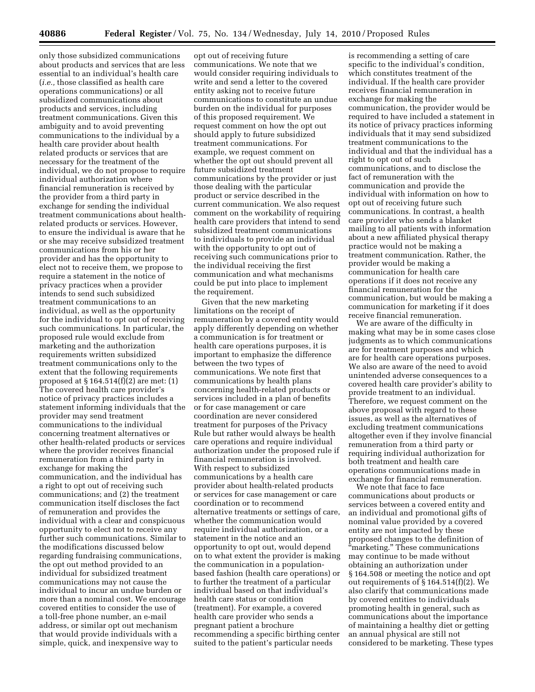only those subsidized communications about products and services that are less essential to an individual's health care (*i.e.,* those classified as health care operations communications) or all subsidized communications about products and services, including treatment communications. Given this ambiguity and to avoid preventing communications to the individual by a health care provider about health related products or services that are necessary for the treatment of the individual, we do not propose to require individual authorization where financial remuneration is received by the provider from a third party in exchange for sending the individual treatment communications about healthrelated products or services. However, to ensure the individual is aware that he or she may receive subsidized treatment communications from his or her provider and has the opportunity to elect not to receive them, we propose to require a statement in the notice of privacy practices when a provider intends to send such subsidized treatment communications to an individual, as well as the opportunity for the individual to opt out of receiving such communications. In particular, the proposed rule would exclude from marketing and the authorization requirements written subsidized treatment communications only to the extent that the following requirements proposed at § 164.514(f)(2) are met: (1) The covered health care provider's notice of privacy practices includes a statement informing individuals that the provider may send treatment communications to the individual concerning treatment alternatives or other health-related products or services where the provider receives financial remuneration from a third party in exchange for making the communication, and the individual has a right to opt out of receiving such communications; and (2) the treatment communication itself discloses the fact of remuneration and provides the individual with a clear and conspicuous opportunity to elect not to receive any further such communications. Similar to the modifications discussed below regarding fundraising communications, the opt out method provided to an individual for subsidized treatment communications may not cause the individual to incur an undue burden or more than a nominal cost. We encourage covered entities to consider the use of a toll-free phone number, an e-mail address, or similar opt out mechanism that would provide individuals with a simple, quick, and inexpensive way to

opt out of receiving future communications. We note that we would consider requiring individuals to write and send a letter to the covered entity asking not to receive future communications to constitute an undue burden on the individual for purposes of this proposed requirement. We request comment on how the opt out should apply to future subsidized treatment communications. For example, we request comment on whether the opt out should prevent all future subsidized treatment communications by the provider or just those dealing with the particular product or service described in the current communication. We also request comment on the workability of requiring health care providers that intend to send subsidized treatment communications to individuals to provide an individual with the opportunity to opt out of receiving such communications prior to the individual receiving the first communication and what mechanisms could be put into place to implement the requirement.

Given that the new marketing limitations on the receipt of remuneration by a covered entity would apply differently depending on whether a communication is for treatment or health care operations purposes, it is important to emphasize the difference between the two types of communications. We note first that communications by health plans concerning health-related products or services included in a plan of benefits or for case management or care coordination are never considered treatment for purposes of the Privacy Rule but rather would always be health care operations and require individual authorization under the proposed rule if financial remuneration is involved. With respect to subsidized communications by a health care provider about health-related products or services for case management or care coordination or to recommend alternative treatments or settings of care, whether the communication would require individual authorization, or a statement in the notice and an opportunity to opt out, would depend on to what extent the provider is making the communication in a populationbased fashion (health care operations) or to further the treatment of a particular individual based on that individual's health care status or condition (treatment). For example, a covered health care provider who sends a pregnant patient a brochure recommending a specific birthing center suited to the patient's particular needs

is recommending a setting of care specific to the individual's condition, which constitutes treatment of the individual. If the health care provider receives financial remuneration in exchange for making the communication, the provider would be required to have included a statement in its notice of privacy practices informing individuals that it may send subsidized treatment communications to the individual and that the individual has a right to opt out of such communications, and to disclose the fact of remuneration with the communication and provide the individual with information on how to opt out of receiving future such communications. In contrast, a health care provider who sends a blanket mailing to all patients with information about a new affiliated physical therapy practice would not be making a treatment communication. Rather, the provider would be making a communication for health care operations if it does not receive any financial remuneration for the communication, but would be making a communication for marketing if it does receive financial remuneration.

We are aware of the difficulty in making what may be in some cases close judgments as to which communications are for treatment purposes and which are for health care operations purposes. We also are aware of the need to avoid unintended adverse consequences to a covered health care provider's ability to provide treatment to an individual. Therefore, we request comment on the above proposal with regard to these issues, as well as the alternatives of excluding treatment communications altogether even if they involve financial remuneration from a third party or requiring individual authorization for both treatment and health care operations communications made in exchange for financial remuneration.

We note that face to face communications about products or services between a covered entity and an individual and promotional gifts of nominal value provided by a covered entity are not impacted by these proposed changes to the definition of "marketing." These communications may continue to be made without obtaining an authorization under § 164.508 or meeting the notice and opt out requirements of § 164.514(f)(2). We also clarify that communications made by covered entities to individuals promoting health in general, such as communications about the importance of maintaining a healthy diet or getting an annual physical are still not considered to be marketing. These types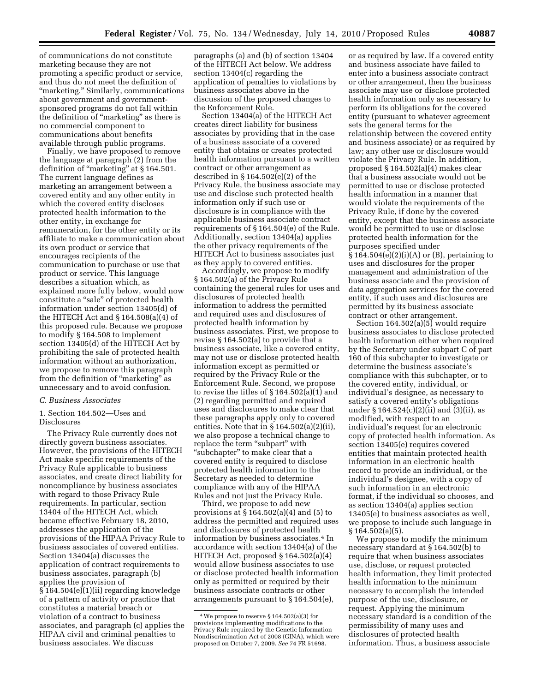of communications do not constitute marketing because they are not promoting a specific product or service, and thus do not meet the definition of "marketing." Similarly, communications about government and governmentsponsored programs do not fall within the definition of ''marketing'' as there is no commercial component to communications about benefits

available through public programs. Finally, we have proposed to remove the language at paragraph (2) from the definition of "marketing" at § 164.501. The current language defines as marketing an arrangement between a covered entity and any other entity in which the covered entity discloses protected health information to the other entity, in exchange for remuneration, for the other entity or its affiliate to make a communication about its own product or service that encourages recipients of the communication to purchase or use that product or service. This language describes a situation which, as explained more fully below, would now constitute a ''sale'' of protected health information under section 13405(d) of the HITECH Act and § 164.508(a)(4) of this proposed rule. Because we propose to modify § 164.508 to implement section 13405(d) of the HITECH Act by prohibiting the sale of protected health information without an authorization, we propose to remove this paragraph from the definition of "marketing" as unnecessary and to avoid confusion.

#### *C. Business Associates*

1. Section 164.502—Uses and Disclosures

The Privacy Rule currently does not directly govern business associates. However, the provisions of the HITECH Act make specific requirements of the Privacy Rule applicable to business associates, and create direct liability for noncompliance by business associates with regard to those Privacy Rule requirements. In particular, section 13404 of the HITECH Act, which became effective February 18, 2010, addresses the application of the provisions of the HIPAA Privacy Rule to business associates of covered entities. Section 13404(a) discusses the application of contract requirements to business associates, paragraph (b) applies the provision of § 164.504(e)(1)(ii) regarding knowledge of a pattern of activity or practice that constitutes a material breach or violation of a contract to business associates, and paragraph (c) applies the HIPAA civil and criminal penalties to business associates. We discuss

paragraphs (a) and (b) of section 13404 of the HITECH Act below. We address section 13404(c) regarding the application of penalties to violations by business associates above in the discussion of the proposed changes to the Enforcement Rule.

Section 13404(a) of the HITECH Act creates direct liability for business associates by providing that in the case of a business associate of a covered entity that obtains or creates protected health information pursuant to a written contract or other arrangement as described in § 164.502(e)(2) of the Privacy Rule, the business associate may use and disclose such protected health information only if such use or disclosure is in compliance with the applicable business associate contract requirements of § 164.504(e) of the Rule. Additionally, section 13404(a) applies the other privacy requirements of the HITECH Act to business associates just as they apply to covered entities.

Accordingly, we propose to modify § 164.502(a) of the Privacy Rule containing the general rules for uses and disclosures of protected health information to address the permitted and required uses and disclosures of protected health information by business associates. First, we propose to revise § 164.502(a) to provide that a business associate, like a covered entity, may not use or disclose protected health information except as permitted or required by the Privacy Rule or the Enforcement Rule. Second, we propose to revise the titles of § 164.502(a)(1) and (2) regarding permitted and required uses and disclosures to make clear that these paragraphs apply only to covered entities. Note that in  $\S 164.502(a)(2)(ii)$ , we also propose a technical change to replace the term "subpart" with "subchapter" to make clear that a covered entity is required to disclose protected health information to the Secretary as needed to determine compliance with any of the HIPAA Rules and not just the Privacy Rule.

Third, we propose to add new provisions at  $§ 164.502(a)(4)$  and  $(5)$  to address the permitted and required uses and disclosures of protected health information by business associates.4 In accordance with section 13404(a) of the HITECH Act, proposed § 164.502(a)(4) would allow business associates to use or disclose protected health information only as permitted or required by their business associate contracts or other arrangements pursuant to § 164.504(e),

or as required by law. If a covered entity and business associate have failed to enter into a business associate contract or other arrangement, then the business associate may use or disclose protected health information only as necessary to perform its obligations for the covered entity (pursuant to whatever agreement sets the general terms for the relationship between the covered entity and business associate) or as required by law; any other use or disclosure would violate the Privacy Rule. In addition, proposed § 164.502(a)(4) makes clear that a business associate would not be permitted to use or disclose protected health information in a manner that would violate the requirements of the Privacy Rule, if done by the covered entity, except that the business associate would be permitted to use or disclose protected health information for the purposes specified under § 164.504(e)(2)(i)(A) or (B), pertaining to uses and disclosures for the proper management and administration of the business associate and the provision of data aggregation services for the covered entity, if such uses and disclosures are permitted by its business associate contract or other arrangement.

Section 164.502(a)(5) would require business associates to disclose protected health information either when required by the Secretary under subpart C of part 160 of this subchapter to investigate or determine the business associate's compliance with this subchapter, or to the covered entity, individual, or individual's designee, as necessary to satisfy a covered entity's obligations under § 164.524(c)(2)(ii) and (3)(ii), as modified, with respect to an individual's request for an electronic copy of protected health information. As section 13405(e) requires covered entities that maintain protected health information in an electronic health record to provide an individual, or the individual's designee, with a copy of such information in an electronic format, if the individual so chooses, and as section 13404(a) applies section 13405(e) to business associates as well, we propose to include such language in § 164.502(a)(5).

We propose to modify the minimum necessary standard at § 164.502(b) to require that when business associates use, disclose, or request protected health information, they limit protected health information to the minimum necessary to accomplish the intended purpose of the use, disclosure, or request. Applying the minimum necessary standard is a condition of the permissibility of many uses and disclosures of protected health information. Thus, a business associate

<sup>4</sup>We propose to reserve § 164.502(a)(3) for provisions implementing modifications to the Privacy Rule required by the Genetic Information Nondiscrimination Act of 2008 (GINA), which were proposed on October 7, 2009. *See* 74 FR 51698.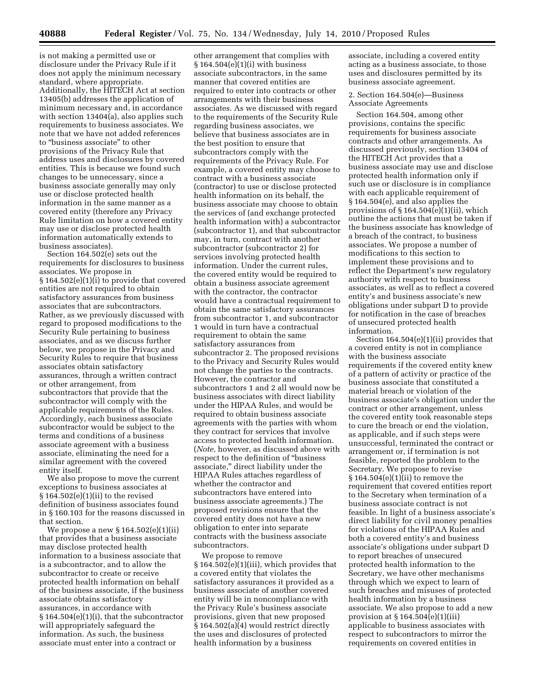is not making a permitted use or disclosure under the Privacy Rule if it does not apply the minimum necessary standard, where appropriate. Additionally, the HITECH Act at section 13405(b) addresses the application of minimum necessary and, in accordance with section 13404(a), also applies such requirements to business associates. We note that we have not added references to ''business associate'' to other provisions of the Privacy Rule that address uses and disclosures by covered entities. This is because we found such changes to be unnecessary, since a business associate generally may only use or disclose protected health information in the same manner as a covered entity (therefore any Privacy Rule limitation on how a covered entity may use or disclose protected health information automatically extends to business associates).

Section 164.502(e) sets out the requirements for disclosures to business associates. We propose in § 164.502(e)(1)(i) to provide that covered entities are not required to obtain satisfactory assurances from business associates that are subcontractors. Rather, as we previously discussed with regard to proposed modifications to the Security Rule pertaining to business associates, and as we discuss further below, we propose in the Privacy and Security Rules to require that business associates obtain satisfactory assurances, through a written contract or other arrangement, from subcontractors that provide that the subcontractor will comply with the applicable requirements of the Rules. Accordingly, each business associate subcontractor would be subject to the terms and conditions of a business associate agreement with a business associate, eliminating the need for a similar agreement with the covered entity itself.

We also propose to move the current exceptions to business associates at § 164.502(e)(1)(ii) to the revised definition of business associates found in § 160.103 for the reasons discussed in that section.

We propose a new § 164.502(e)(1)(ii) that provides that a business associate may disclose protected health information to a business associate that is a subcontractor, and to allow the subcontractor to create or receive protected health information on behalf of the business associate, if the business associate obtains satisfactory assurances, in accordance with § 164.504(e)(1)(i), that the subcontractor will appropriately safeguard the information. As such, the business associate must enter into a contract or

other arrangement that complies with § 164.504(e)(1)(i) with business associate subcontractors, in the same manner that covered entities are required to enter into contracts or other arrangements with their business associates. As we discussed with regard to the requirements of the Security Rule regarding business associates, we believe that business associates are in the best position to ensure that subcontractors comply with the requirements of the Privacy Rule. For example, a covered entity may choose to contract with a business associate (contractor) to use or disclose protected health information on its behalf, the business associate may choose to obtain the services of (and exchange protected health information with) a subcontractor (subcontractor 1), and that subcontractor may, in turn, contract with another subcontractor (subcontractor 2) for services involving protected health information. Under the current rules, the covered entity would be required to obtain a business associate agreement with the contractor, the contractor would have a contractual requirement to obtain the same satisfactory assurances from subcontractor 1, and subcontractor 1 would in turn have a contractual requirement to obtain the same satisfactory assurances from subcontractor 2. The proposed revisions to the Privacy and Security Rules would not change the parties to the contracts. However, the contractor and subcontractors 1 and 2 all would now be business associates with direct liability under the HIPAA Rules, and would be required to obtain business associate agreements with the parties with whom they contract for services that involve access to protected health information. (*Note,* however, as discussed above with respect to the definition of ''business associate,'' direct liability under the HIPAA Rules attaches regardless of whether the contractor and subcontractors have entered into business associate agreements.) The proposed revisions ensure that the covered entity does not have a new obligation to enter into separate contracts with the business associate subcontractors.

We propose to remove § 164.502(e)(1)(iii), which provides that a covered entity that violates the satisfactory assurances it provided as a business associate of another covered entity will be in noncompliance with the Privacy Rule's business associate provisions, given that new proposed § 164.502(a)(4) would restrict directly the uses and disclosures of protected health information by a business

associate, including a covered entity acting as a business associate, to those uses and disclosures permitted by its business associate agreement.

2. Section 164.504(e)—Business Associate Agreements

Section 164.504, among other provisions, contains the specific requirements for business associate contracts and other arrangements. As discussed previously, section 13404 of the HITECH Act provides that a business associate may use and disclose protected health information only if such use or disclosure is in compliance with each applicable requirement of § 164.504(e), and also applies the provisions of § 164.504(e)(1)(ii), which outline the actions that must be taken if the business associate has knowledge of a breach of the contract, to business associates. We propose a number of modifications to this section to implement these provisions and to reflect the Department's new regulatory authority with respect to business associates, as well as to reflect a covered entity's and business associate's new obligations under subpart D to provide for notification in the case of breaches of unsecured protected health information.

Section 164.504(e)(1)(ii) provides that a covered entity is not in compliance with the business associate requirements if the covered entity knew of a pattern of activity or practice of the business associate that constituted a material breach or violation of the business associate's obligation under the contract or other arrangement, unless the covered entity took reasonable steps to cure the breach or end the violation, as applicable, and if such steps were unsuccessful, terminated the contract or arrangement or, if termination is not feasible, reported the problem to the Secretary. We propose to revise  $§ 164.504(e)(1)(ii)$  to remove the requirement that covered entities report to the Secretary when termination of a business associate contract is not feasible. In light of a business associate's direct liability for civil money penalties for violations of the HIPAA Rules and both a covered entity's and business associate's obligations under subpart D to report breaches of unsecured protected health information to the Secretary, we have other mechanisms through which we expect to learn of such breaches and misuses of protected health information by a business associate. We also propose to add a new provision at  $\S 164.504(e)(1)(iii)$ applicable to business associates with respect to subcontractors to mirror the requirements on covered entities in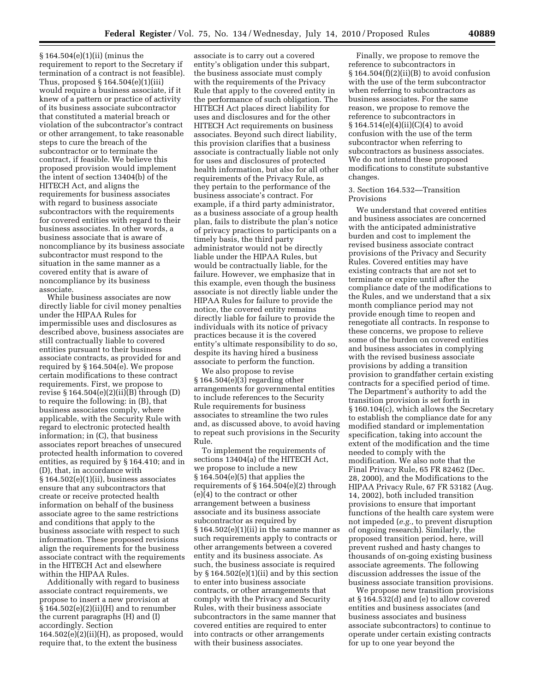§ 164.504(e)(1)(ii) (minus the requirement to report to the Secretary if termination of a contract is not feasible). Thus, proposed § 164.504(e)(1)(iii) would require a business associate, if it knew of a pattern or practice of activity of its business associate subcontractor that constituted a material breach or violation of the subcontractor's contract or other arrangement, to take reasonable steps to cure the breach of the subcontractor or to terminate the contract, if feasible. We believe this proposed provision would implement the intent of section 13404(b) of the HITECH Act, and aligns the requirements for business associates with regard to business associate subcontractors with the requirements for covered entities with regard to their business associates. In other words, a business associate that is aware of noncompliance by its business associate subcontractor must respond to the situation in the same manner as a covered entity that is aware of noncompliance by its business associate.

While business associates are now directly liable for civil money penalties under the HIPAA Rules for impermissible uses and disclosures as described above, business associates are still contractually liable to covered entities pursuant to their business associate contracts, as provided for and required by § 164.504(e). We propose certain modifications to these contract requirements. First, we propose to revise § 164.504(e)(2)(ii)(B) through (D) to require the following: in (B), that business associates comply, where applicable, with the Security Rule with regard to electronic protected health information; in (C), that business associates report breaches of unsecured protected health information to covered entities, as required by § 164.410; and in (D), that, in accordance with § 164.502(e)(1)(ii), business associates ensure that any subcontractors that create or receive protected health information on behalf of the business associate agree to the same restrictions and conditions that apply to the business associate with respect to such information. These proposed revisions align the requirements for the business associate contract with the requirements in the HITECH Act and elsewhere within the HIPAA Rules.

Additionally with regard to business associate contract requirements, we propose to insert a new provision at § 164.502(e)(2)(ii)(H) and to renumber the current paragraphs (H) and (I) accordingly. Section  $164.502(e)(2)(ii)(H)$ , as proposed, would require that, to the extent the business

associate is to carry out a covered entity's obligation under this subpart, the business associate must comply with the requirements of the Privacy Rule that apply to the covered entity in the performance of such obligation. The HITECH Act places direct liability for uses and disclosures and for the other HITECH Act requirements on business associates. Beyond such direct liability, this provision clarifies that a business associate is contractually liable not only for uses and disclosures of protected health information, but also for all other requirements of the Privacy Rule, as they pertain to the performance of the business associate's contract. For example, if a third party administrator, as a business associate of a group health plan, fails to distribute the plan's notice of privacy practices to participants on a timely basis, the third party administrator would not be directly liable under the HIPAA Rules, but would be contractually liable, for the failure. However, we emphasize that in this example, even though the business associate is not directly liable under the HIPAA Rules for failure to provide the notice, the covered entity remains directly liable for failure to provide the individuals with its notice of privacy practices because it is the covered entity's ultimate responsibility to do so, despite its having hired a business associate to perform the function.

We also propose to revise § 164.504(e)(3) regarding other arrangements for governmental entities to include references to the Security Rule requirements for business associates to streamline the two rules and, as discussed above, to avoid having to repeat such provisions in the Security Rule.

To implement the requirements of sections 13404(a) of the HITECH Act, we propose to include a new  $§ 164.504(e)(5)$  that applies the requirements of § 164.504(e)(2) through (e)(4) to the contract or other arrangement between a business associate and its business associate subcontractor as required by  $§ 164.502(e)(1)(ii)$  in the same manner as such requirements apply to contracts or other arrangements between a covered entity and its business associate. As such, the business associate is required by § 164.502(e)(1)(ii) and by this section to enter into business associate contracts, or other arrangements that comply with the Privacy and Security Rules, with their business associate subcontractors in the same manner that covered entities are required to enter into contracts or other arrangements with their business associates.

Finally, we propose to remove the reference to subcontractors in  $§ 164.504(f)(2)(ii)(B)$  to avoid confusion with the use of the term subcontractor when referring to subcontractors as business associates. For the same reason, we propose to remove the reference to subcontractors in § 164.514(e)(4)(ii)(C)(4) to avoid confusion with the use of the term subcontractor when referring to subcontractors as business associates. We do not intend these proposed modifications to constitute substantive changes.

#### 3. Section 164.532—Transition Provisions

We understand that covered entities and business associates are concerned with the anticipated administrative burden and cost to implement the revised business associate contract provisions of the Privacy and Security Rules. Covered entities may have existing contracts that are not set to terminate or expire until after the compliance date of the modifications to the Rules, and we understand that a six month compliance period may not provide enough time to reopen and renegotiate all contracts. In response to these concerns, we propose to relieve some of the burden on covered entities and business associates in complying with the revised business associate provisions by adding a transition provision to grandfather certain existing contracts for a specified period of time. The Department's authority to add the transition provision is set forth in § 160.104(c), which allows the Secretary to establish the compliance date for any modified standard or implementation specification, taking into account the extent of the modification and the time needed to comply with the modification. We also note that the Final Privacy Rule, 65 FR 82462 (Dec. 28, 2000), and the Modifications to the HIPAA Privacy Rule, 67 FR 53182 (Aug. 14, 2002), both included transition provisions to ensure that important functions of the health care system were not impeded (*e.g.,* to prevent disruption of ongoing research). Similarly, the proposed transition period, here, will prevent rushed and hasty changes to thousands of on-going existing business associate agreements. The following discussion addresses the issue of the business associate transition provisions.

We propose new transition provisions at § 164.532(d) and (e) to allow covered entities and business associates (and business associates and business associate subcontractors) to continue to operate under certain existing contracts for up to one year beyond the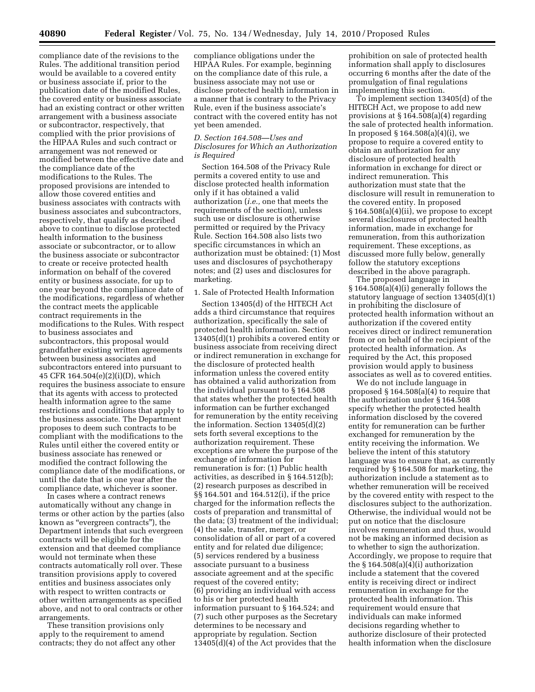compliance date of the revisions to the Rules. The additional transition period would be available to a covered entity or business associate if, prior to the publication date of the modified Rules, the covered entity or business associate had an existing contract or other written arrangement with a business associate or subcontractor, respectively, that complied with the prior provisions of the HIPAA Rules and such contract or arrangement was not renewed or modified between the effective date and the compliance date of the modifications to the Rules. The proposed provisions are intended to allow those covered entities and business associates with contracts with business associates and subcontractors, respectively, that qualify as described above to continue to disclose protected health information to the business associate or subcontractor, or to allow the business associate or subcontractor to create or receive protected health information on behalf of the covered entity or business associate, for up to one year beyond the compliance date of the modifications, regardless of whether the contract meets the applicable contract requirements in the modifications to the Rules. With respect to business associates and subcontractors, this proposal would grandfather existing written agreements between business associates and subcontractors entered into pursuant to 45 CFR 164.504(e)(2)(i)(D), which requires the business associate to ensure that its agents with access to protected health information agree to the same restrictions and conditions that apply to the business associate. The Department proposes to deem such contracts to be compliant with the modifications to the Rules until either the covered entity or business associate has renewed or modified the contract following the compliance date of the modifications, or until the date that is one year after the compliance date, whichever is sooner.

In cases where a contract renews automatically without any change in terms or other action by the parties (also known as ''evergreen contracts''), the Department intends that such evergreen contracts will be eligible for the extension and that deemed compliance would not terminate when these contracts automatically roll over. These transition provisions apply to covered entities and business associates only with respect to written contracts or other written arrangements as specified above, and not to oral contracts or other arrangements.

These transition provisions only apply to the requirement to amend contracts; they do not affect any other

compliance obligations under the HIPAA Rules. For example, beginning on the compliance date of this rule, a business associate may not use or disclose protected health information in a manner that is contrary to the Privacy Rule, even if the business associate's contract with the covered entity has not yet been amended.

## *D. Section 164.508—Uses and Disclosures for Which an Authorization is Required*

Section 164.508 of the Privacy Rule permits a covered entity to use and disclose protected health information only if it has obtained a valid authorization (*i.e.,* one that meets the requirements of the section), unless such use or disclosure is otherwise permitted or required by the Privacy Rule. Section 164.508 also lists two specific circumstances in which an authorization must be obtained: (1) Most uses and disclosures of psychotherapy notes; and (2) uses and disclosures for marketing.

#### 1. Sale of Protected Health Information

Section 13405(d) of the HITECH Act adds a third circumstance that requires authorization, specifically the sale of protected health information. Section 13405(d)(1) prohibits a covered entity or business associate from receiving direct or indirect remuneration in exchange for the disclosure of protected health information unless the covered entity has obtained a valid authorization from the individual pursuant to § 164.508 that states whether the protected health information can be further exchanged for remuneration by the entity receiving the information. Section 13405(d)(2) sets forth several exceptions to the authorization requirement. These exceptions are where the purpose of the exchange of information for remuneration is for: (1) Public health activities, as described in § 164.512(b); (2) research purposes as described in §§ 164.501 and 164.512(i), if the price charged for the information reflects the costs of preparation and transmittal of the data; (3) treatment of the individual; (4) the sale, transfer, merger, or consolidation of all or part of a covered entity and for related due diligence; (5) services rendered by a business associate pursuant to a business associate agreement and at the specific request of the covered entity; (6) providing an individual with access to his or her protected health information pursuant to § 164.524; and (7) such other purposes as the Secretary determines to be necessary and appropriate by regulation. Section 13405(d)(4) of the Act provides that the

prohibition on sale of protected health information shall apply to disclosures occurring 6 months after the date of the promulgation of final regulations implementing this section.

To implement section 13405(d) of the HITECH Act, we propose to add new provisions at § 164.508(a)(4) regarding the sale of protected health information. In proposed § 164.508(a)(4)(i), we propose to require a covered entity to obtain an authorization for any disclosure of protected health information in exchange for direct or indirect remuneration. This authorization must state that the disclosure will result in remuneration to the covered entity. In proposed  $§ 164.508(a)(4)(ii)$ , we propose to except several disclosures of protected health information, made in exchange for remuneration, from this authorization requirement. These exceptions, as discussed more fully below, generally follow the statutory exceptions described in the above paragraph.

The proposed language in § 164.508(a)(4)(i) generally follows the statutory language of section 13405(d)(1) in prohibiting the disclosure of protected health information without an authorization if the covered entity receives direct or indirect remuneration from or on behalf of the recipient of the protected health information. As required by the Act, this proposed provision would apply to business associates as well as to covered entities.

We do not include language in proposed § 164.508(a)(4) to require that the authorization under § 164.508 specify whether the protected health information disclosed by the covered entity for remuneration can be further exchanged for remuneration by the entity receiving the information. We believe the intent of this statutory language was to ensure that, as currently required by § 164.508 for marketing, the authorization include a statement as to whether remuneration will be received by the covered entity with respect to the disclosures subject to the authorization. Otherwise, the individual would not be put on notice that the disclosure involves remuneration and thus, would not be making an informed decision as to whether to sign the authorization. Accordingly, we propose to require that the § 164.508(a)(4)(i) authorization include a statement that the covered entity is receiving direct or indirect remuneration in exchange for the protected health information. This requirement would ensure that individuals can make informed decisions regarding whether to authorize disclosure of their protected health information when the disclosure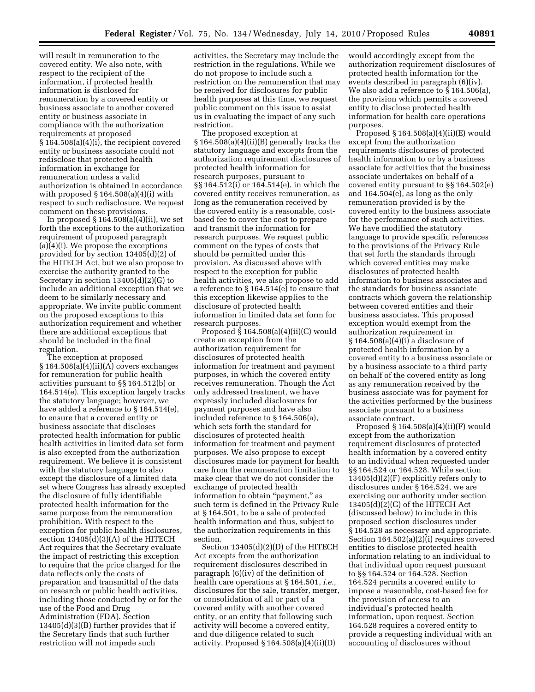will result in remuneration to the covered entity. We also note, with respect to the recipient of the information, if protected health information is disclosed for remuneration by a covered entity or business associate to another covered entity or business associate in compliance with the authorization requirements at proposed § 164.508(a)(4)(i), the recipient covered entity or business associate could not redisclose that protected health information in exchange for remuneration unless a valid authorization is obtained in accordance with proposed § 164.508(a)(4)(i) with respect to such redisclosure. We request comment on these provisions.

In proposed  $\S 16\overline{4}.508(a)(4)(ii)$ , we set forth the exceptions to the authorization requirement of proposed paragraph (a)(4)(i). We propose the exceptions provided for by section 13405(d)(2) of the HITECH Act, but we also propose to exercise the authority granted to the Secretary in section 13405(d)(2)(G) to include an additional exception that we deem to be similarly necessary and appropriate. We invite public comment on the proposed exceptions to this authorization requirement and whether there are additional exceptions that should be included in the final regulation.

The exception at proposed  $§ 164.508(a)(4)(ii)(A) covers exchanges$ for remuneration for public health activities pursuant to §§ 164.512(b) or 164.514(e). This exception largely tracks the statutory language; however, we have added a reference to § 164.514(e), to ensure that a covered entity or business associate that discloses protected health information for public health activities in limited data set form is also excepted from the authorization requirement. We believe it is consistent with the statutory language to also except the disclosure of a limited data set where Congress has already excepted the disclosure of fully identifiable protected health information for the same purpose from the remuneration prohibition. With respect to the exception for public health disclosures, section 13405(d)(3)(A) of the HITECH Act requires that the Secretary evaluate the impact of restricting this exception to require that the price charged for the data reflects only the costs of preparation and transmittal of the data on research or public health activities, including those conducted by or for the use of the Food and Drug Administration (FDA). Section 13405(d)(3)(B) further provides that if the Secretary finds that such further restriction will not impede such

activities, the Secretary may include the restriction in the regulations. While we do not propose to include such a restriction on the remuneration that may be received for disclosures for public health purposes at this time, we request public comment on this issue to assist us in evaluating the impact of any such restriction.

The proposed exception at § 164.508(a)(4)(ii)(B) generally tracks the statutory language and excepts from the authorization requirement disclosures of protected health information for research purposes, pursuant to §§ 164.512(i) or 164.514(e), in which the covered entity receives remuneration, as long as the remuneration received by the covered entity is a reasonable, costbased fee to cover the cost to prepare and transmit the information for research purposes. We request public comment on the types of costs that should be permitted under this provision. As discussed above with respect to the exception for public health activities, we also propose to add a reference to § 164.514(e) to ensure that this exception likewise applies to the disclosure of protected health information in limited data set form for research purposes.

Proposed  $\S 164.508(a)(4)(ii)(C)$  would create an exception from the authorization requirement for disclosures of protected health information for treatment and payment purposes, in which the covered entity receives remuneration. Though the Act only addressed treatment, we have expressly included disclosures for payment purposes and have also included reference to § 164.506(a), which sets forth the standard for disclosures of protected health information for treatment and payment purposes. We also propose to except disclosures made for payment for health care from the remuneration limitation to make clear that we do not consider the exchange of protected health information to obtain "payment," as such term is defined in the Privacy Rule at § 164.501, to be a sale of protected health information and thus, subject to the authorization requirements in this section.

Section 13405(d)(2)(D) of the HITECH Act excepts from the authorization requirement disclosures described in paragraph (6)(iv) of the definition of health care operations at § 164.501, *i.e.,*  disclosures for the sale, transfer, merger, or consolidation of all or part of a covered entity with another covered entity, or an entity that following such activity will become a covered entity, and due diligence related to such activity. Proposed  $§ 164.508(a)(4)(ii)(D)$ 

would accordingly except from the authorization requirement disclosures of protected health information for the events described in paragraph (6)(iv). We also add a reference to § 164.506(a), the provision which permits a covered entity to disclose protected health information for health care operations purposes.

Proposed  $§ 164.508(a)(4)(ii)(E)$  would except from the authorization requirements disclosures of protected health information to or by a business associate for activities that the business associate undertakes on behalf of a covered entity pursuant to §§ 164.502(e) and 164.504(e), as long as the only remuneration provided is by the covered entity to the business associate for the performance of such activities. We have modified the statutory language to provide specific references to the provisions of the Privacy Rule that set forth the standards through which covered entities may make disclosures of protected health information to business associates and the standards for business associate contracts which govern the relationship between covered entities and their business associates. This proposed exception would exempt from the authorization requirement in § 164.508(a)(4)(i) a disclosure of protected health information by a covered entity to a business associate or by a business associate to a third party on behalf of the covered entity as long as any remuneration received by the business associate was for payment for the activities performed by the business associate pursuant to a business associate contract.

Proposed  $$164.508(a)(4)(ii)(F)$  would except from the authorization requirement disclosures of protected health information by a covered entity to an individual when requested under §§ 164.524 or 164.528. While section 13405(d)(2)(F) explicitly refers only to disclosures under § 164.524, we are exercising our authority under section 13405(d)(2)(G) of the HITECH Act (discussed below) to include in this proposed section disclosures under § 164.528 as necessary and appropriate. Section 164.502(a)(2)(i) requires covered entities to disclose protected health information relating to an individual to that individual upon request pursuant to §§ 164.524 or 164.528. Section 164.524 permits a covered entity to impose a reasonable, cost-based fee for the provision of access to an individual's protected health information, upon request. Section 164.528 requires a covered entity to provide a requesting individual with an accounting of disclosures without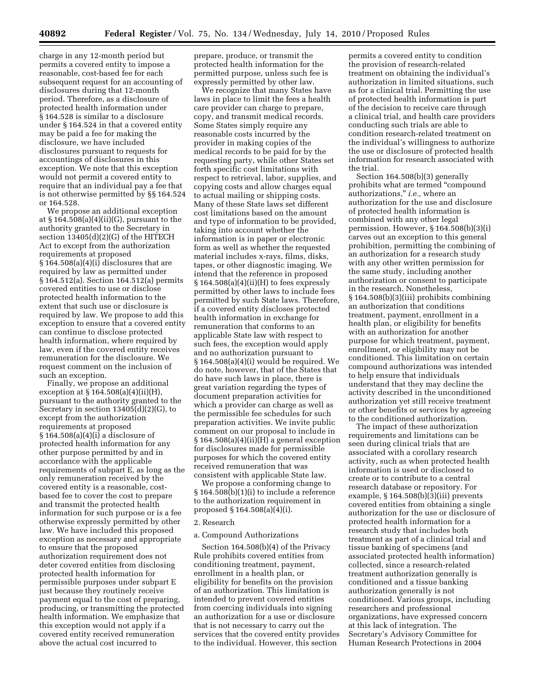charge in any 12-month period but permits a covered entity to impose a reasonable, cost-based fee for each subsequent request for an accounting of disclosures during that 12-month period. Therefore, as a disclosure of protected health information under § 164.528 is similar to a disclosure under § 164.524 in that a covered entity may be paid a fee for making the disclosure, we have included disclosures pursuant to requests for accountings of disclosures in this exception. We note that this exception would not permit a covered entity to require that an individual pay a fee that is not otherwise permitted by §§ 164.524 or 164.528.

We propose an additional exception at § 164.508(a)(4)(ii)(G), pursuant to the authority granted to the Secretary in section 13405(d)(2)(G) of the HITECH Act to except from the authorization requirements at proposed § 164.508(a)(4)(i) disclosures that are required by law as permitted under § 164.512(a). Section 164.512(a) permits covered entities to use or disclose protected health information to the extent that such use or disclosure is required by law. We propose to add this exception to ensure that a covered entity can continue to disclose protected health information, where required by law, even if the covered entity receives remuneration for the disclosure. We request comment on the inclusion of such an exception.

Finally, we propose an additional exception at  $\S 164.508(a)(4)(ii)(H)$ , pursuant to the authority granted to the Secretary in section 13405(d)(2)(G), to except from the authorization requirements at proposed § 164.508(a)(4)(i) a disclosure of protected health information for any other purpose permitted by and in accordance with the applicable requirements of subpart E, as long as the only remuneration received by the covered entity is a reasonable, costbased fee to cover the cost to prepare and transmit the protected health information for such purpose or is a fee otherwise expressly permitted by other law. We have included this proposed exception as necessary and appropriate to ensure that the proposed authorization requirement does not deter covered entities from disclosing protected health information for permissible purposes under subpart E just because they routinely receive payment equal to the cost of preparing, producing, or transmitting the protected health information. We emphasize that this exception would not apply if a covered entity received remuneration above the actual cost incurred to

prepare, produce, or transmit the protected health information for the permitted purpose, unless such fee is expressly permitted by other law.

We recognize that many States have laws in place to limit the fees a health care provider can charge to prepare, copy, and transmit medical records. Some States simply require any reasonable costs incurred by the provider in making copies of the medical records to be paid for by the requesting party, while other States set forth specific cost limitations with respect to retrieval, labor, supplies, and copying costs and allow charges equal to actual mailing or shipping costs. Many of these State laws set different cost limitations based on the amount and type of information to be provided, taking into account whether the information is in paper or electronic form as well as whether the requested material includes x-rays, films, disks, tapes, or other diagnostic imaging. We intend that the reference in proposed  $§ 164.508(a)(4)(ii)(H)$  to fees expressly permitted by other laws to include fees permitted by such State laws. Therefore, if a covered entity discloses protected health information in exchange for remuneration that conforms to an applicable State law with respect to such fees, the exception would apply and no authorization pursuant to § 164.508(a)(4)(i) would be required. We do note, however, that of the States that do have such laws in place, there is great variation regarding the types of document preparation activities for which a provider can charge as well as the permissible fee schedules for such preparation activities. We invite public comment on our proposal to include in § 164.508(a)(4)(ii)(H) a general exception for disclosures made for permissible purposes for which the covered entity received remuneration that was consistent with applicable State law.

We propose a conforming change to § 164.508(b)(1)(i) to include a reference to the authorization requirement in proposed § 164.508(a)(4)(i).

#### 2. Research

#### a. Compound Authorizations

Section 164.508(b)(4) of the Privacy Rule prohibits covered entities from conditioning treatment, payment, enrollment in a health plan, or eligibility for benefits on the provision of an authorization. This limitation is intended to prevent covered entities from coercing individuals into signing an authorization for a use or disclosure that is not necessary to carry out the services that the covered entity provides to the individual. However, this section

permits a covered entity to condition the provision of research-related treatment on obtaining the individual's authorization in limited situations, such as for a clinical trial. Permitting the use of protected health information is part of the decision to receive care through a clinical trial, and health care providers conducting such trials are able to condition research-related treatment on the individual's willingness to authorize the use or disclosure of protected health information for research associated with the trial.

Section 164.508(b)(3) generally prohibits what are termed ''compound authorizations,'' *i.e.,* where an authorization for the use and disclosure of protected health information is combined with any other legal permission. However, § 164.508(b)(3)(i) carves out an exception to this general prohibition, permitting the combining of an authorization for a research study with any other written permission for the same study, including another authorization or consent to participate in the research. Nonetheless, § 164.508(b)(3)(iii) prohibits combining an authorization that conditions treatment, payment, enrollment in a health plan, or eligibility for benefits with an authorization for another purpose for which treatment, payment, enrollment, or eligibility may not be conditioned. This limitation on certain compound authorizations was intended to help ensure that individuals understand that they may decline the activity described in the unconditioned authorization yet still receive treatment or other benefits or services by agreeing to the conditioned authorization.

The impact of these authorization requirements and limitations can be seen during clinical trials that are associated with a corollary research activity, such as when protected health information is used or disclosed to create or to contribute to a central research database or repository. For example, § 164.508(b)(3)(iii) prevents covered entities from obtaining a single authorization for the use or disclosure of protected health information for a research study that includes both treatment as part of a clinical trial and tissue banking of specimens (and associated protected health information) collected, since a research-related treatment authorization generally is conditioned and a tissue banking authorization generally is not conditioned. Various groups, including researchers and professional organizations, have expressed concern at this lack of integration. The Secretary's Advisory Committee for Human Research Protections in 2004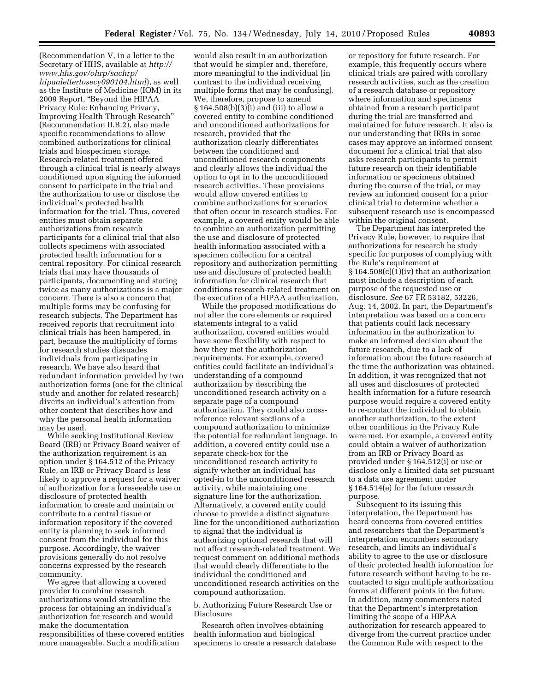(Recommendation V, in a letter to the Secretary of HHS, available at *http:// www.hhs.gov/ohrp/sachrp/ hipaalettertosecy090104.html*), as well as the Institute of Medicine (IOM) in its 2009 Report, ''Beyond the HIPAA Privacy Rule: Enhancing Privacy, Improving Health Through Research'' (Recommendation II.B.2), also made specific recommendations to allow combined authorizations for clinical trials and biospecimen storage. Research-related treatment offered through a clinical trial is nearly always conditioned upon signing the informed consent to participate in the trial and the authorization to use or disclose the individual's protected health information for the trial. Thus, covered entities must obtain separate authorizations from research participants for a clinical trial that also collects specimens with associated protected health information for a central repository. For clinical research trials that may have thousands of participants, documenting and storing twice as many authorizations is a major concern. There is also a concern that multiple forms may be confusing for research subjects. The Department has received reports that recruitment into clinical trials has been hampered, in part, because the multiplicity of forms for research studies dissuades individuals from participating in research. We have also heard that redundant information provided by two authorization forms (one for the clinical study and another for related research) diverts an individual's attention from other content that describes how and why the personal health information may be used.

While seeking Institutional Review Board (IRB) or Privacy Board waiver of the authorization requirement is an option under § 164.512 of the Privacy Rule, an IRB or Privacy Board is less likely to approve a request for a waiver of authorization for a foreseeable use or disclosure of protected health information to create and maintain or contribute to a central tissue or information repository if the covered entity is planning to seek informed consent from the individual for this purpose. Accordingly, the waiver provisions generally do not resolve concerns expressed by the research community.

We agree that allowing a covered provider to combine research authorizations would streamline the process for obtaining an individual's authorization for research and would make the documentation responsibilities of these covered entities more manageable. Such a modification

would also result in an authorization that would be simpler and, therefore, more meaningful to the individual (in contrast to the individual receiving multiple forms that may be confusing). We, therefore, propose to amend § 164.508(b)(3)(i) and (iii) to allow a covered entity to combine conditioned and unconditioned authorizations for research, provided that the authorization clearly differentiates between the conditioned and unconditioned research components and clearly allows the individual the option to opt in to the unconditioned research activities. These provisions would allow covered entities to combine authorizations for scenarios that often occur in research studies. For example, a covered entity would be able to combine an authorization permitting the use and disclosure of protected health information associated with a specimen collection for a central repository and authorization permitting use and disclosure of protected health information for clinical research that conditions research-related treatment on the execution of a HIPAA authorization.

While the proposed modifications do not alter the core elements or required statements integral to a valid authorization, covered entities would have some flexibility with respect to how they met the authorization requirements. For example, covered entities could facilitate an individual's understanding of a compound authorization by describing the unconditioned research activity on a separate page of a compound authorization. They could also crossreference relevant sections of a compound authorization to minimize the potential for redundant language. In addition, a covered entity could use a separate check-box for the unconditioned research activity to signify whether an individual has opted-in to the unconditioned research activity, while maintaining one signature line for the authorization. Alternatively, a covered entity could choose to provide a distinct signature line for the unconditioned authorization to signal that the individual is authorizing optional research that will not affect research-related treatment. We request comment on additional methods that would clearly differentiate to the individual the conditioned and unconditioned research activities on the compound authorization.

b. Authorizing Future Research Use or Disclosure

Research often involves obtaining health information and biological specimens to create a research database

or repository for future research. For example, this frequently occurs where clinical trials are paired with corollary research activities, such as the creation of a research database or repository where information and specimens obtained from a research participant during the trial are transferred and maintained for future research. It also is our understanding that IRBs in some cases may approve an informed consent document for a clinical trial that also asks research participants to permit future research on their identifiable information or specimens obtained during the course of the trial, or may review an informed consent for a prior clinical trial to determine whether a subsequent research use is encompassed within the original consent.

The Department has interpreted the Privacy Rule, however, to require that authorizations for research be study specific for purposes of complying with the Rule's requirement at  $\S 164.508(c)(1)(iv)$  that an authorization must include a description of each purpose of the requested use or disclosure. *See* 67 FR 53182, 53226, Aug. 14, 2002. In part, the Department's interpretation was based on a concern that patients could lack necessary information in the authorization to make an informed decision about the future research, due to a lack of information about the future research at the time the authorization was obtained. In addition, it was recognized that not all uses and disclosures of protected health information for a future research purpose would require a covered entity to re-contact the individual to obtain another authorization, to the extent other conditions in the Privacy Rule were met. For example, a covered entity could obtain a waiver of authorization from an IRB or Privacy Board as provided under § 164.512(i) or use or disclose only a limited data set pursuant to a data use agreement under § 164.514(e) for the future research purpose.

Subsequent to its issuing this interpretation, the Department has heard concerns from covered entities and researchers that the Department's interpretation encumbers secondary research, and limits an individual's ability to agree to the use or disclosure of their protected health information for future research without having to be recontacted to sign multiple authorization forms at different points in the future. In addition, many commenters noted that the Department's interpretation limiting the scope of a HIPAA authorization for research appeared to diverge from the current practice under the Common Rule with respect to the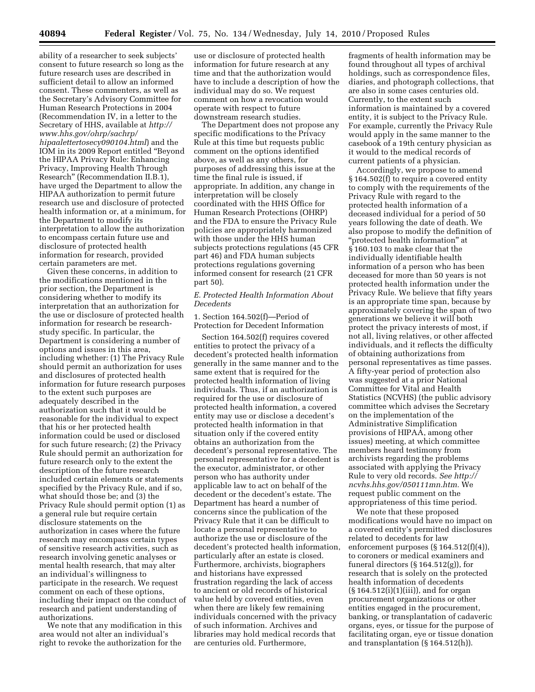ability of a researcher to seek subjects' consent to future research so long as the future research uses are described in sufficient detail to allow an informed consent. These commenters, as well as the Secretary's Advisory Committee for Human Research Protections in 2004 (Recommendation IV, in a letter to the Secretary of HHS, available at *http:// www.hhs.gov/ohrp/sachrp/ hipaalettertosecy090104.html*) and the IOM in its 2009 Report entitled ''Beyond the HIPAA Privacy Rule: Enhancing Privacy, Improving Health Through Research'' (Recommendation II.B.1), have urged the Department to allow the HIPAA authorization to permit future research use and disclosure of protected health information or, at a minimum, for the Department to modify its interpretation to allow the authorization to encompass certain future use and disclosure of protected health information for research, provided certain parameters are met.

Given these concerns, in addition to the modifications mentioned in the prior section, the Department is considering whether to modify its interpretation that an authorization for the use or disclosure of protected health information for research be researchstudy specific. In particular, the Department is considering a number of options and issues in this area, including whether: (1) The Privacy Rule should permit an authorization for uses and disclosures of protected health information for future research purposes to the extent such purposes are adequately described in the authorization such that it would be reasonable for the individual to expect that his or her protected health information could be used or disclosed for such future research; (2) the Privacy Rule should permit an authorization for future research only to the extent the description of the future research included certain elements or statements specified by the Privacy Rule, and if so, what should those be; and (3) the Privacy Rule should permit option (1) as a general rule but require certain disclosure statements on the authorization in cases where the future research may encompass certain types of sensitive research activities, such as research involving genetic analyses or mental health research, that may alter an individual's willingness to participate in the research. We request comment on each of these options, including their impact on the conduct of research and patient understanding of authorizations.

We note that any modification in this area would not alter an individual's right to revoke the authorization for the

use or disclosure of protected health information for future research at any time and that the authorization would have to include a description of how the individual may do so. We request comment on how a revocation would operate with respect to future downstream research studies.

The Department does not propose any specific modifications to the Privacy Rule at this time but requests public comment on the options identified above, as well as any others, for purposes of addressing this issue at the time the final rule is issued, if appropriate. In addition, any change in interpretation will be closely coordinated with the HHS Office for Human Research Protections (OHRP) and the FDA to ensure the Privacy Rule policies are appropriately harmonized with those under the HHS human subjects protections regulations (45 CFR part 46) and FDA human subjects protections regulations governing informed consent for research (21 CFR part 50).

## *E. Protected Health Information About Decedents*

1. Section 164.502(f)—Period of Protection for Decedent Information

Section 164.502(f) requires covered entities to protect the privacy of a decedent's protected health information generally in the same manner and to the same extent that is required for the protected health information of living individuals. Thus, if an authorization is required for the use or disclosure of protected health information, a covered entity may use or disclose a decedent's protected health information in that situation only if the covered entity obtains an authorization from the decedent's personal representative. The personal representative for a decedent is the executor, administrator, or other person who has authority under applicable law to act on behalf of the decedent or the decedent's estate. The Department has heard a number of concerns since the publication of the Privacy Rule that it can be difficult to locate a personal representative to authorize the use or disclosure of the decedent's protected health information, particularly after an estate is closed. Furthermore, archivists, biographers and historians have expressed frustration regarding the lack of access to ancient or old records of historical value held by covered entities, even when there are likely few remaining individuals concerned with the privacy of such information. Archives and libraries may hold medical records that are centuries old. Furthermore,

fragments of health information may be found throughout all types of archival holdings, such as correspondence files, diaries, and photograph collections, that are also in some cases centuries old. Currently, to the extent such information is maintained by a covered entity, it is subject to the Privacy Rule. For example, currently the Privacy Rule would apply in the same manner to the casebook of a 19th century physician as it would to the medical records of current patients of a physician.

Accordingly, we propose to amend § 164.502(f) to require a covered entity to comply with the requirements of the Privacy Rule with regard to the protected health information of a deceased individual for a period of 50 years following the date of death. We also propose to modify the definition of ''protected health information'' at § 160.103 to make clear that the individually identifiable health information of a person who has been deceased for more than 50 years is not protected health information under the Privacy Rule. We believe that fifty years is an appropriate time span, because by approximately covering the span of two generations we believe it will both protect the privacy interests of most, if not all, living relatives, or other affected individuals, and it reflects the difficulty of obtaining authorizations from personal representatives as time passes. A fifty-year period of protection also was suggested at a prior National Committee for Vital and Health Statistics (NCVHS) (the public advisory committee which advises the Secretary on the implementation of the Administrative Simplification provisions of HIPAA, among other issues) meeting, at which committee members heard testimony from archivists regarding the problems associated with applying the Privacy Rule to very old records. *See http:// ncvhs.hhs.gov/050111mn.htm.* We request public comment on the appropriateness of this time period.

We note that these proposed modifications would have no impact on a covered entity's permitted disclosures related to decedents for law enforcement purposes (§ 164.512(f)(4)), to coroners or medical examiners and funeral directors  $(\S 164.512(g))$ , for research that is solely on the protected health information of decedents (§ 164.512(i)(1)(iii)), and for organ procurement organizations or other entities engaged in the procurement, banking, or transplantation of cadaveric organs, eyes, or tissue for the purpose of facilitating organ, eye or tissue donation and transplantation (§ 164.512(h)).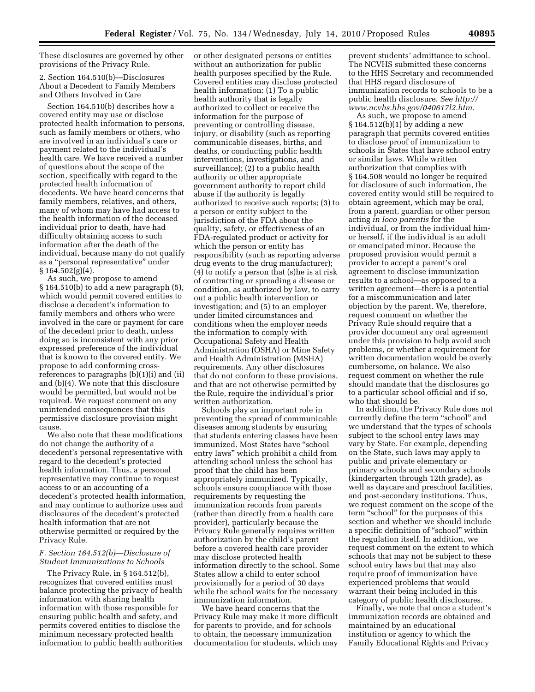These disclosures are governed by other provisions of the Privacy Rule.

2. Section 164.510(b)—Disclosures About a Decedent to Family Members and Others Involved in Care

Section 164.510(b) describes how a covered entity may use or disclose protected health information to persons, such as family members or others, who are involved in an individual's care or payment related to the individual's health care. We have received a number of questions about the scope of the section, specifically with regard to the protected health information of decedents. We have heard concerns that family members, relatives, and others, many of whom may have had access to the health information of the deceased individual prior to death, have had difficulty obtaining access to such information after the death of the individual, because many do not qualify as a ''personal representative'' under  $\S 164.502(g)(4)$ .

As such, we propose to amend § 164.510(b) to add a new paragraph (5), which would permit covered entities to disclose a decedent's information to family members and others who were involved in the care or payment for care of the decedent prior to death, unless doing so is inconsistent with any prior expressed preference of the individual that is known to the covered entity. We propose to add conforming crossreferences to paragraphs (b)(1)(i) and (ii) and (b)(4). We note that this disclosure would be permitted, but would not be required. We request comment on any unintended consequences that this permissive disclosure provision might cause.

We also note that these modifications do not change the authority of a decedent's personal representative with regard to the decedent's protected health information. Thus, a personal representative may continue to request access to or an accounting of a decedent's protected health information, and may continue to authorize uses and disclosures of the decedent's protected health information that are not otherwise permitted or required by the Privacy Rule.

## *F. Section 164.512(b)—Disclosure of Student Immunizations to Schools*

The Privacy Rule, in § 164.512(b), recognizes that covered entities must balance protecting the privacy of health information with sharing health information with those responsible for ensuring public health and safety, and permits covered entities to disclose the minimum necessary protected health information to public health authorities or other designated persons or entities without an authorization for public health purposes specified by the Rule. Covered entities may disclose protected health information: (1) To a public health authority that is legally authorized to collect or receive the information for the purpose of preventing or controlling disease, injury, or disability (such as reporting communicable diseases, births, and deaths, or conducting public health interventions, investigations, and surveillance); (2) to a public health authority or other appropriate government authority to report child abuse if the authority is legally authorized to receive such reports; (3) to a person or entity subject to the jurisdiction of the FDA about the quality, safety, or effectiveness of an FDA-regulated product or activity for which the person or entity has responsibility (such as reporting adverse drug events to the drug manufacturer); (4) to notify a person that (s)he is at risk of contracting or spreading a disease or condition, as authorized by law, to carry out a public health intervention or investigation; and (5) to an employer under limited circumstances and conditions when the employer needs the information to comply with Occupational Safety and Health Administration (OSHA) or Mine Safety and Health Administration (MSHA) requirements. Any other disclosures that do not conform to these provisions, and that are not otherwise permitted by the Rule, require the individual's prior written authorization.

Schools play an important role in preventing the spread of communicable diseases among students by ensuring that students entering classes have been immunized. Most States have ''school entry laws'' which prohibit a child from attending school unless the school has proof that the child has been appropriately immunized. Typically, schools ensure compliance with those requirements by requesting the immunization records from parents (rather than directly from a health care provider), particularly because the Privacy Rule generally requires written authorization by the child's parent before a covered health care provider may disclose protected health information directly to the school. Some States allow a child to enter school provisionally for a period of 30 days while the school waits for the necessary immunization information.

We have heard concerns that the Privacy Rule may make it more difficult for parents to provide, and for schools to obtain, the necessary immunization documentation for students, which may

prevent students' admittance to school. The NCVHS submitted these concerns to the HHS Secretary and recommended that HHS regard disclosure of immunization records to schools to be a public health disclosure. *See http:// www.ncvhs.hhs.gov/040617l2.htm.* 

As such, we propose to amend § 164.512(b)(1) by adding a new paragraph that permits covered entities to disclose proof of immunization to schools in States that have school entry or similar laws. While written authorization that complies with § 164.508 would no longer be required for disclosure of such information, the covered entity would still be required to obtain agreement, which may be oral, from a parent, guardian or other person acting *in loco parentis* for the individual, or from the individual himor herself, if the individual is an adult or emancipated minor. Because the proposed provision would permit a provider to accept a parent's oral agreement to disclose immunization results to a school—as opposed to a written agreement—there is a potential for a miscommunication and later objection by the parent. We, therefore, request comment on whether the Privacy Rule should require that a provider document any oral agreement under this provision to help avoid such problems, or whether a requirement for written documentation would be overly cumbersome, on balance. We also request comment on whether the rule should mandate that the disclosures go to a particular school official and if so, who that should be.

In addition, the Privacy Rule does not currently define the term ''school'' and we understand that the types of schools subject to the school entry laws may vary by State. For example, depending on the State, such laws may apply to public and private elementary or primary schools and secondary schools (kindergarten through 12th grade), as well as daycare and preschool facilities, and post-secondary institutions. Thus, we request comment on the scope of the term "school" for the purposes of this section and whether we should include a specific definition of ''school'' within the regulation itself. In addition, we request comment on the extent to which schools that may not be subject to these school entry laws but that may also require proof of immunization have experienced problems that would warrant their being included in this category of public health disclosures.

Finally, we note that once a student's immunization records are obtained and maintained by an educational institution or agency to which the Family Educational Rights and Privacy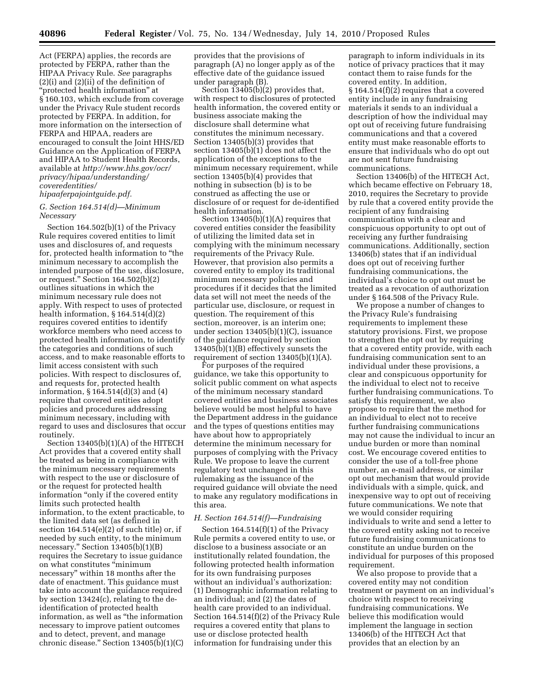Act (FERPA) applies, the records are protected by FERPA, rather than the HIPAA Privacy Rule. *See* paragraphs (2)(i) and (2)(ii) of the definition of ''protected health information'' at § 160.103, which exclude from coverage under the Privacy Rule student records protected by FERPA. In addition, for more information on the intersection of FERPA and HIPAA, readers are encouraged to consult the Joint HHS/ED Guidance on the Application of FERPA and HIPAA to Student Health Records, available at *http://www.hhs.gov/ocr/ privacy/hipaa/understanding/ coveredentities/* 

## *hipaaferpajointguide.pdf.*

## *G. Section 164.514(d)—Minimum Necessary*

Section 164.502(b)(1) of the Privacy Rule requires covered entities to limit uses and disclosures of, and requests for, protected health information to ''the minimum necessary to accomplish the intended purpose of the use, disclosure, or request.'' Section 164.502(b)(2) outlines situations in which the minimum necessary rule does not apply. With respect to uses of protected health information,  $\S 164.514(d)(2)$ requires covered entities to identify workforce members who need access to protected health information, to identify the categories and conditions of such access, and to make reasonable efforts to limit access consistent with such policies. With respect to disclosures of, and requests for, protected health information, § 164.514(d)(3) and (4) require that covered entities adopt policies and procedures addressing minimum necessary, including with regard to uses and disclosures that occur routinely.

Section 13405(b)(1)(A) of the HITECH Act provides that a covered entity shall be treated as being in compliance with the minimum necessary requirements with respect to the use or disclosure of or the request for protected health information "only if the covered entity limits such protected health information, to the extent practicable, to the limited data set (as defined in section 164.514(e)(2) of such title) or, if needed by such entity, to the minimum necessary.'' Section 13405(b)(1)(B) requires the Secretary to issue guidance on what constitutes ''minimum necessary'' within 18 months after the date of enactment. This guidance must take into account the guidance required by section 13424(c), relating to the deidentification of protected health information, as well as ''the information necessary to improve patient outcomes and to detect, prevent, and manage chronic disease.'' Section 13405(b)(1)(C)

provides that the provisions of paragraph (A) no longer apply as of the effective date of the guidance issued under paragraph (B).

Section 13405(b)(2) provides that, with respect to disclosures of protected health information, the covered entity or business associate making the disclosure shall determine what constitutes the minimum necessary. Section 13405(b)(3) provides that section 13405(b)(1) does not affect the application of the exceptions to the minimum necessary requirement, while section 13405(b)(4) provides that nothing in subsection (b) is to be construed as affecting the use or disclosure of or request for de-identified health information.

Section 13405(b)(1)(A) requires that covered entities consider the feasibility of utilizing the limited data set in complying with the minimum necessary requirements of the Privacy Rule. However, that provision also permits a covered entity to employ its traditional minimum necessary policies and procedures if it decides that the limited data set will not meet the needs of the particular use, disclosure, or request in question. The requirement of this section, moreover, is an interim one; under section 13405(b)(1)(C), issuance of the guidance required by section 13405(b)(1)(B) effectively sunsets the requirement of section 13405(b)(1)(A).

For purposes of the required guidance, we take this opportunity to solicit public comment on what aspects of the minimum necessary standard covered entities and business associates believe would be most helpful to have the Department address in the guidance and the types of questions entities may have about how to appropriately determine the minimum necessary for purposes of complying with the Privacy Rule. We propose to leave the current regulatory text unchanged in this rulemaking as the issuance of the required guidance will obviate the need to make any regulatory modifications in this area.

## *H. Section 164.514(f)—Fundraising*

Section 164.514(f)(1) of the Privacy Rule permits a covered entity to use, or disclose to a business associate or an institutionally related foundation, the following protected health information for its own fundraising purposes without an individual's authorization: (1) Demographic information relating to an individual; and (2) the dates of health care provided to an individual. Section 164.514(f)(2) of the Privacy Rule requires a covered entity that plans to use or disclose protected health information for fundraising under this

paragraph to inform individuals in its notice of privacy practices that it may contact them to raise funds for the covered entity. In addition,  $§ 164.514(f)(2)$  requires that a covered entity include in any fundraising materials it sends to an individual a description of how the individual may opt out of receiving future fundraising communications and that a covered entity must make reasonable efforts to ensure that individuals who do opt out are not sent future fundraising communications.

Section 13406(b) of the HITECH Act, which became effective on February 18, 2010, requires the Secretary to provide by rule that a covered entity provide the recipient of any fundraising communication with a clear and conspicuous opportunity to opt out of receiving any further fundraising communications. Additionally, section 13406(b) states that if an individual does opt out of receiving further fundraising communications, the individual's choice to opt out must be treated as a revocation of authorization under § 164.508 of the Privacy Rule.

We propose a number of changes to the Privacy Rule's fundraising requirements to implement these statutory provisions. First, we propose to strengthen the opt out by requiring that a covered entity provide, with each fundraising communication sent to an individual under these provisions, a clear and conspicuous opportunity for the individual to elect not to receive further fundraising communications. To satisfy this requirement, we also propose to require that the method for an individual to elect not to receive further fundraising communications may not cause the individual to incur an undue burden or more than nominal cost. We encourage covered entities to consider the use of a toll-free phone number, an e-mail address, or similar opt out mechanism that would provide individuals with a simple, quick, and inexpensive way to opt out of receiving future communications. We note that we would consider requiring individuals to write and send a letter to the covered entity asking not to receive future fundraising communications to constitute an undue burden on the individual for purposes of this proposed requirement.

We also propose to provide that a covered entity may not condition treatment or payment on an individual's choice with respect to receiving fundraising communications. We believe this modification would implement the language in section 13406(b) of the HITECH Act that provides that an election by an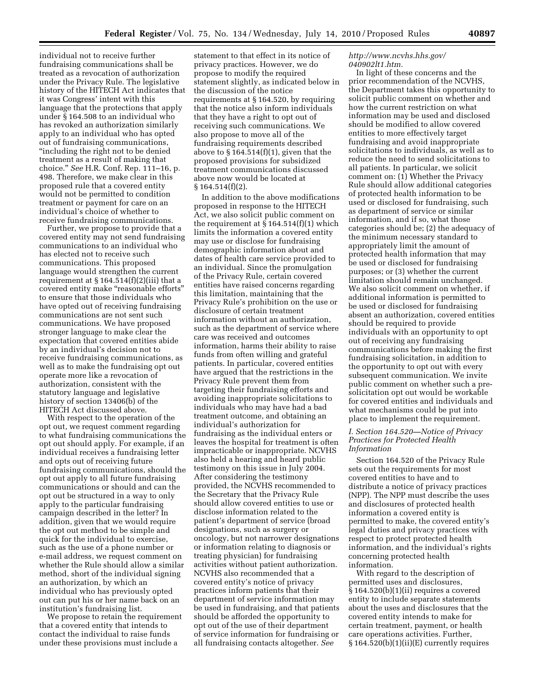individual not to receive further fundraising communications shall be treated as a revocation of authorization under the Privacy Rule. The legislative history of the HITECH Act indicates that it was Congress' intent with this language that the protections that apply under § 164.508 to an individual who has revoked an authorization similarly apply to an individual who has opted out of fundraising communications, ''including the right not to be denied treatment as a result of making that choice.'' *See* H.R. Conf. Rep. 111–16, p. 498. Therefore, we make clear in this proposed rule that a covered entity would not be permitted to condition treatment or payment for care on an individual's choice of whether to receive fundraising communications.

Further, we propose to provide that a covered entity may not send fundraising communications to an individual who has elected not to receive such communications. This proposed language would strengthen the current requirement at § 164.514(f)(2)(iii) that a covered entity make "reasonable efforts" to ensure that those individuals who have opted out of receiving fundraising communications are not sent such communications. We have proposed stronger language to make clear the expectation that covered entities abide by an individual's decision not to receive fundraising communications, as well as to make the fundraising opt out operate more like a revocation of authorization, consistent with the statutory language and legislative history of section 13406(b) of the HITECH Act discussed above.

With respect to the operation of the opt out, we request comment regarding to what fundraising communications the opt out should apply. For example, if an individual receives a fundraising letter and opts out of receiving future fundraising communications, should the opt out apply to all future fundraising communications or should and can the opt out be structured in a way to only apply to the particular fundraising campaign described in the letter? In addition, given that we would require the opt out method to be simple and quick for the individual to exercise, such as the use of a phone number or e-mail address, we request comment on whether the Rule should allow a similar method, short of the individual signing an authorization, by which an individual who has previously opted out can put his or her name back on an institution's fundraising list.

We propose to retain the requirement that a covered entity that intends to contact the individual to raise funds under these provisions must include a

statement to that effect in its notice of privacy practices. However, we do propose to modify the required statement slightly, as indicated below in the discussion of the notice requirements at § 164.520, by requiring that the notice also inform individuals that they have a right to opt out of receiving such communications. We also propose to move all of the fundraising requirements described above to  $\S 164.514(f)(1)$ , given that the proposed provisions for subsidized treatment communications discussed above now would be located at § 164.514(f)(2).

In addition to the above modifications proposed in response to the HITECH Act, we also solicit public comment on the requirement at § 164.514(f)(1) which limits the information a covered entity may use or disclose for fundraising demographic information about and dates of health care service provided to an individual. Since the promulgation of the Privacy Rule, certain covered entities have raised concerns regarding this limitation, maintaining that the Privacy Rule's prohibition on the use or disclosure of certain treatment information without an authorization, such as the department of service where care was received and outcomes information, harms their ability to raise funds from often willing and grateful patients. In particular, covered entities have argued that the restrictions in the Privacy Rule prevent them from targeting their fundraising efforts and avoiding inappropriate solicitations to individuals who may have had a bad treatment outcome, and obtaining an individual's authorization for fundraising as the individual enters or leaves the hospital for treatment is often impracticable or inappropriate. NCVHS also held a hearing and heard public testimony on this issue in July 2004. After considering the testimony provided, the NCVHS recommended to the Secretary that the Privacy Rule should allow covered entities to use or disclose information related to the patient's department of service (broad designations, such as surgery or oncology, but not narrower designations or information relating to diagnosis or treating physician) for fundraising activities without patient authorization. NCVHS also recommended that a covered entity's notice of privacy practices inform patients that their department of service information may be used in fundraising, and that patients should be afforded the opportunity to opt out of the use of their department of service information for fundraising or all fundraising contacts altogether. *See* 

*http://www.ncvhs.hhs.gov/ 040902lt1.htm.* 

In light of these concerns and the prior recommendation of the NCVHS, the Department takes this opportunity to solicit public comment on whether and how the current restriction on what information may be used and disclosed should be modified to allow covered entities to more effectively target fundraising and avoid inappropriate solicitations to individuals, as well as to reduce the need to send solicitations to all patients. In particular, we solicit comment on: (1) Whether the Privacy Rule should allow additional categories of protected health information to be used or disclosed for fundraising, such as department of service or similar information, and if so, what those categories should be; (2) the adequacy of the minimum necessary standard to appropriately limit the amount of protected health information that may be used or disclosed for fundraising purposes; or (3) whether the current limitation should remain unchanged. We also solicit comment on whether, if additional information is permitted to be used or disclosed for fundraising absent an authorization, covered entities should be required to provide individuals with an opportunity to opt out of receiving any fundraising communications before making the first fundraising solicitation, in addition to the opportunity to opt out with every subsequent communication. We invite public comment on whether such a presolicitation opt out would be workable for covered entities and individuals and what mechanisms could be put into place to implement the requirement.

## *I. Section 164.520—Notice of Privacy Practices for Protected Health Information*

Section 164.520 of the Privacy Rule sets out the requirements for most covered entities to have and to distribute a notice of privacy practices (NPP). The NPP must describe the uses and disclosures of protected health information a covered entity is permitted to make, the covered entity's legal duties and privacy practices with respect to protect protected health information, and the individual's rights concerning protected health information.

With regard to the description of permitted uses and disclosures, § 164.520(b)(1)(ii) requires a covered entity to include separate statements about the uses and disclosures that the covered entity intends to make for certain treatment, payment, or health care operations activities. Further,  $§ 164.520(b)(1)(ii)(E)$  currently requires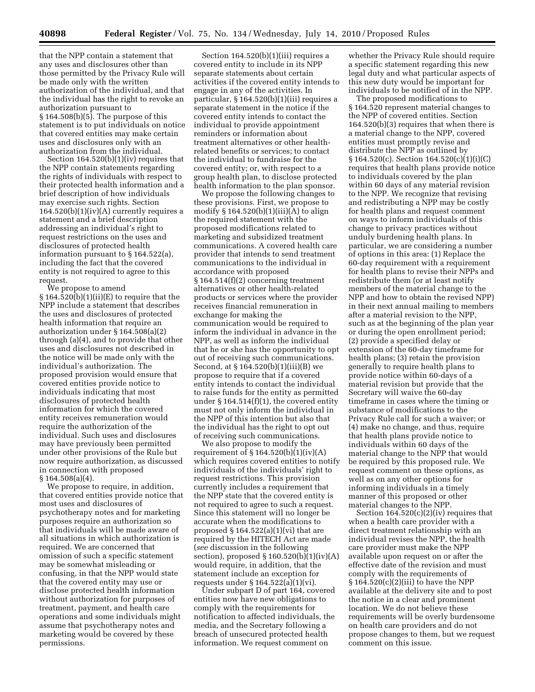that the NPP contain a statement that any uses and disclosures other than those permitted by the Privacy Rule will be made only with the written authorization of the individual, and that the individual has the right to revoke an authorization pursuant to § 164.508(b)(5). The purpose of this statement is to put individuals on notice that covered entities may make certain uses and disclosures only with an authorization from the individual.

Section 164.520(b)(1)(iv) requires that the NPP contain statements regarding the rights of individuals with respect to their protected health information and a brief description of how individuals may exercise such rights. Section  $164.520(b)(1)(iv)(A)$  currently requires a statement and a brief description addressing an individual's right to request restrictions on the uses and disclosures of protected health information pursuant to § 164.522(a), including the fact that the covered entity is not required to agree to this request.

We propose to amend  $§ 164.520(b)(1)(ii)(E)$  to require that the NPP include a statement that describes the uses and disclosures of protected health information that require an authorization under § 164.508(a)(2) through (a)(4), and to provide that other uses and disclosures not described in the notice will be made only with the individual's authorization. The proposed provision would ensure that covered entities provide notice to individuals indicating that most disclosures of protected health information for which the covered entity receives remuneration would require the authorization of the individual. Such uses and disclosures may have previously been permitted under other provisions of the Rule but now require authorization, as discussed in connection with proposed  $§ 164.508(a)(4).$ 

We propose to require, in addition, that covered entities provide notice that most uses and disclosures of psychotherapy notes and for marketing purposes require an authorization so that individuals will be made aware of all situations in which authorization is required. We are concerned that omission of such a specific statement may be somewhat misleading or confusing, in that the NPP would state that the covered entity may use or disclose protected health information without authorization for purposes of treatment, payment, and health care operations and some individuals might assume that psychotherapy notes and marketing would be covered by these permissions.

Section 164.520(b)(1)(iii) requires a covered entity to include in its NPP separate statements about certain activities if the covered entity intends to engage in any of the activities. In particular, § 164.520(b)(1)(iii) requires a separate statement in the notice if the covered entity intends to contact the individual to provide appointment reminders or information about treatment alternatives or other healthrelated benefits or services; to contact the individual to fundraise for the covered entity; or, with respect to a group health plan, to disclose protected health information to the plan sponsor.

We propose the following changes to these provisions. First, we propose to modify  $\S 164.520(b)(1)(iii)(A)$  to align the required statement with the proposed modifications related to marketing and subsidized treatment communications. A covered health care provider that intends to send treatment communications to the individual in accordance with proposed § 164.514(f)(2) concerning treatment alternatives or other health-related products or services where the provider receives financial remuneration in exchange for making the communication would be required to inform the individual in advance in the NPP, as well as inform the individual that he or she has the opportunity to opt out of receiving such communications. Second, at § 164.520(b)(1)(iii)(B) we propose to require that if a covered entity intends to contact the individual to raise funds for the entity as permitted under § 164.514(f)(1), the covered entity must not only inform the individual in the NPP of this intention but also that the individual has the right to opt out of receiving such communications.

We also propose to modify the requirement of  $\S 164.520(b)(1)(iv)(A)$ which requires covered entities to notify individuals of the individuals' right to request restrictions. This provision currently includes a requirement that the NPP state that the covered entity is not required to agree to such a request. Since this statement will no longer be accurate when the modifications to proposed  $§ 164.522(a)(1)(vi)$  that are required by the HITECH Act are made (*see* discussion in the following section), proposed  $\S 160.520(b)(1)(iv)(A)$ would require, in addition, that the statement include an exception for requests under § 164.522(a)(1)(vi).

Under subpart D of part 164, covered entities now have new obligations to comply with the requirements for notification to affected individuals, the media, and the Secretary following a breach of unsecured protected health information. We request comment on

whether the Privacy Rule should require a specific statement regarding this new legal duty and what particular aspects of this new duty would be important for individuals to be notified of in the NPP.

The proposed modifications to § 164.520 represent material changes to the NPP of covered entities. Section 164.520(b)(3) requires that when there is a material change to the NPP, covered entities must promptly revise and distribute the NPP as outlined by § 164.520(c). Section 164.520(c)(1)(i)(C) requires that health plans provide notice to individuals covered by the plan within 60 days of any material revision to the NPP. We recognize that revising and redistributing a NPP may be costly for health plans and request comment on ways to inform individuals of this change to privacy practices without unduly burdening health plans. In particular, we are considering a number of options in this area: (1) Replace the 60-day requirement with a requirement for health plans to revise their NPPs and redistribute them (or at least notify members of the material change to the NPP and how to obtain the revised NPP) in their next annual mailing to members after a material revision to the NPP, such as at the beginning of the plan year or during the open enrollment period; (2) provide a specified delay or extension of the 60-day timeframe for health plans; (3) retain the provision generally to require health plans to provide notice within 60-days of a material revision but provide that the Secretary will waive the 60-day timeframe in cases where the timing or substance of modifications to the Privacy Rule call for such a waiver; or (4) make no change, and thus, require that health plans provide notice to individuals within 60 days of the material change to the NPP that would be required by this proposed rule. We request comment on these options, as well as on any other options for informing individuals in a timely manner of this proposed or other material changes to the NPP.

Section  $164.520(c)(2)(iv)$  requires that when a health care provider with a direct treatment relationship with an individual revises the NPP, the health care provider must make the NPP available upon request on or after the effective date of the revision and must comply with the requirements of § 164.520(c)(2)(iii) to have the NPP available at the delivery site and to post the notice in a clear and prominent location. We do not believe these requirements will be overly burdensome on health care providers and do not propose changes to them, but we request comment on this issue.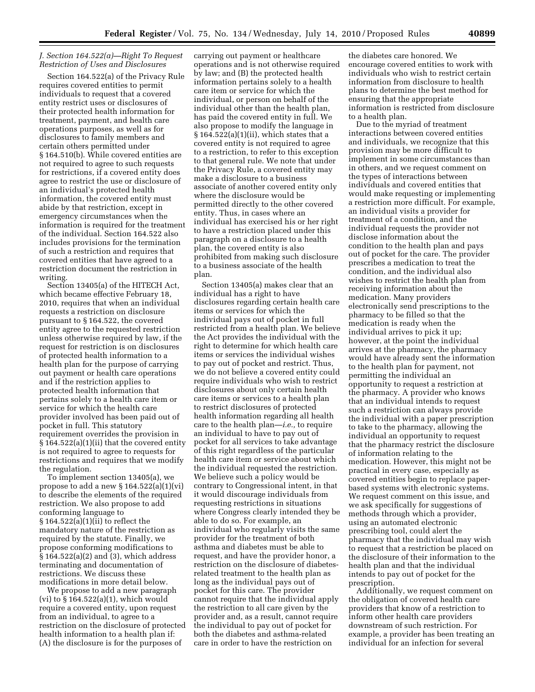## *J. Section 164.522(a)—Right To Request Restriction of Uses and Disclosures*

Section 164.522(a) of the Privacy Rule requires covered entities to permit individuals to request that a covered entity restrict uses or disclosures of their protected health information for treatment, payment, and health care operations purposes, as well as for disclosures to family members and certain others permitted under § 164.510(b). While covered entities are not required to agree to such requests for restrictions, if a covered entity does agree to restrict the use or disclosure of an individual's protected health information, the covered entity must abide by that restriction, except in emergency circumstances when the information is required for the treatment of the individual. Section 164.522 also includes provisions for the termination of such a restriction and requires that covered entities that have agreed to a restriction document the restriction in writing.

Section 13405(a) of the HITECH Act, which became effective February 18, 2010, requires that when an individual requests a restriction on disclosure pursuant to § 164.522, the covered entity agree to the requested restriction unless otherwise required by law, if the request for restriction is on disclosures of protected health information to a health plan for the purpose of carrying out payment or health care operations and if the restriction applies to protected health information that pertains solely to a health care item or service for which the health care provider involved has been paid out of pocket in full. This statutory requirement overrides the provision in § 164.522(a)(1)(ii) that the covered entity is not required to agree to requests for restrictions and requires that we modify the regulation.

To implement section 13405(a), we propose to add a new  $\S 164.522(a)(1)(vi)$ to describe the elements of the required restriction. We also propose to add conforming language to § 164.522(a)(1)(ii) to reflect the mandatory nature of the restriction as required by the statute. Finally, we propose conforming modifications to  $\S 164.522(a)(2)$  and  $\S 3$ , which address terminating and documentation of restrictions. We discuss these modifications in more detail below.

We propose to add a new paragraph (vi) to  $\S 164.522(a)(1)$ , which would require a covered entity, upon request from an individual, to agree to a restriction on the disclosure of protected health information to a health plan if: (A) the disclosure is for the purposes of

carrying out payment or healthcare operations and is not otherwise required by law; and (B) the protected health information pertains solely to a health care item or service for which the individual, or person on behalf of the individual other than the health plan, has paid the covered entity in full. We also propose to modify the language in § 164.522(a)(1)(ii), which states that a covered entity is not required to agree to a restriction, to refer to this exception to that general rule. We note that under the Privacy Rule, a covered entity may make a disclosure to a business associate of another covered entity only where the disclosure would be permitted directly to the other covered entity. Thus, in cases where an individual has exercised his or her right to have a restriction placed under this paragraph on a disclosure to a health plan, the covered entity is also prohibited from making such disclosure to a business associate of the health plan.

Section 13405(a) makes clear that an individual has a right to have disclosures regarding certain health care items or services for which the individual pays out of pocket in full restricted from a health plan. We believe the Act provides the individual with the right to determine for which health care items or services the individual wishes to pay out of pocket and restrict. Thus, we do not believe a covered entity could require individuals who wish to restrict disclosures about only certain health care items or services to a health plan to restrict disclosures of protected health information regarding all health care to the health plan—*i.e.,* to require an individual to have to pay out of pocket for all services to take advantage of this right regardless of the particular health care item or service about which the individual requested the restriction. We believe such a policy would be contrary to Congressional intent, in that it would discourage individuals from requesting restrictions in situations where Congress clearly intended they be able to do so. For example, an individual who regularly visits the same provider for the treatment of both asthma and diabetes must be able to request, and have the provider honor, a restriction on the disclosure of diabetesrelated treatment to the health plan as long as the individual pays out of pocket for this care. The provider cannot require that the individual apply the restriction to all care given by the provider and, as a result, cannot require the individual to pay out of pocket for both the diabetes and asthma-related care in order to have the restriction on

the diabetes care honored. We encourage covered entities to work with individuals who wish to restrict certain information from disclosure to health plans to determine the best method for ensuring that the appropriate information is restricted from disclosure to a health plan.

Due to the myriad of treatment interactions between covered entities and individuals, we recognize that this provision may be more difficult to implement in some circumstances than in others, and we request comment on the types of interactions between individuals and covered entities that would make requesting or implementing a restriction more difficult. For example, an individual visits a provider for treatment of a condition, and the individual requests the provider not disclose information about the condition to the health plan and pays out of pocket for the care. The provider prescribes a medication to treat the condition, and the individual also wishes to restrict the health plan from receiving information about the medication. Many providers electronically send prescriptions to the pharmacy to be filled so that the medication is ready when the individual arrives to pick it up; however, at the point the individual arrives at the pharmacy, the pharmacy would have already sent the information to the health plan for payment, not permitting the individual an opportunity to request a restriction at the pharmacy. A provider who knows that an individual intends to request such a restriction can always provide the individual with a paper prescription to take to the pharmacy, allowing the individual an opportunity to request that the pharmacy restrict the disclosure of information relating to the medication. However, this might not be practical in every case, especially as covered entities begin to replace paperbased systems with electronic systems. We request comment on this issue, and we ask specifically for suggestions of methods through which a provider, using an automated electronic prescribing tool, could alert the pharmacy that the individual may wish to request that a restriction be placed on the disclosure of their information to the health plan and that the individual intends to pay out of pocket for the prescription.

Additionally, we request comment on the obligation of covered health care providers that know of a restriction to inform other health care providers downstream of such restriction. For example, a provider has been treating an individual for an infection for several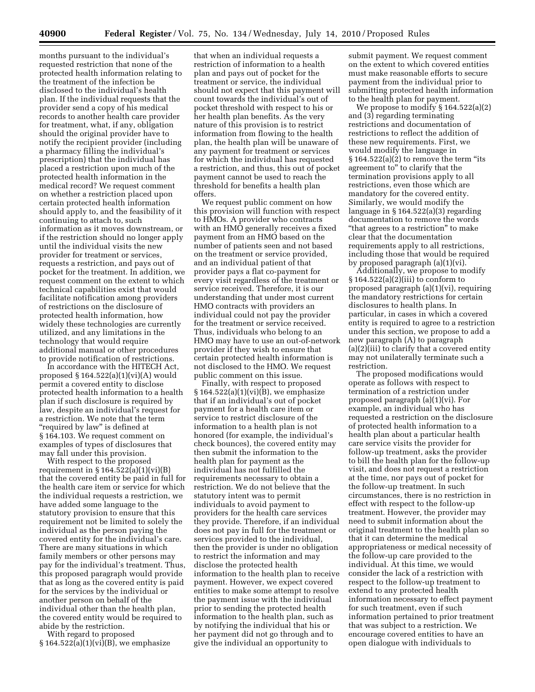months pursuant to the individual's requested restriction that none of the protected health information relating to the treatment of the infection be disclosed to the individual's health plan. If the individual requests that the provider send a copy of his medical records to another health care provider for treatment, what, if any, obligation should the original provider have to notify the recipient provider (including a pharmacy filling the individual's prescription) that the individual has placed a restriction upon much of the protected health information in the medical record? We request comment on whether a restriction placed upon certain protected health information should apply to, and the feasibility of it continuing to attach to, such information as it moves downstream, or if the restriction should no longer apply until the individual visits the new provider for treatment or services, requests a restriction, and pays out of pocket for the treatment. In addition, we request comment on the extent to which technical capabilities exist that would facilitate notification among providers of restrictions on the disclosure of protected health information, how widely these technologies are currently utilized, and any limitations in the technology that would require additional manual or other procedures to provide notification of restrictions.

In accordance with the HITECH Act, proposed  $§ 164.522(a)(1)(vi)(A)$  would permit a covered entity to disclose protected health information to a health plan if such disclosure is required by law, despite an individual's request for a restriction. We note that the term "required by law" is defined at § 164.103. We request comment on examples of types of disclosures that may fall under this provision.

With respect to the proposed requirement in  $\S 164.522(a)(1)(vi)(B)$ that the covered entity be paid in full for the health care item or service for which the individual requests a restriction, we have added some language to the statutory provision to ensure that this requirement not be limited to solely the individual as the person paying the covered entity for the individual's care. There are many situations in which family members or other persons may pay for the individual's treatment. Thus, this proposed paragraph would provide that as long as the covered entity is paid for the services by the individual or another person on behalf of the individual other than the health plan, the covered entity would be required to abide by the restriction.

With regard to proposed  $§ 164.522(a)(1)(vi)(B)$ , we emphasize

that when an individual requests a restriction of information to a health plan and pays out of pocket for the treatment or service, the individual should not expect that this payment will count towards the individual's out of pocket threshold with respect to his or her health plan benefits. As the very nature of this provision is to restrict information from flowing to the health plan, the health plan will be unaware of any payment for treatment or services for which the individual has requested a restriction, and thus, this out of pocket payment cannot be used to reach the threshold for benefits a health plan offers.

We request public comment on how this provision will function with respect to HMOs. A provider who contracts with an HMO generally receives a fixed payment from an HMO based on the number of patients seen and not based on the treatment or service provided, and an individual patient of that provider pays a flat co-payment for every visit regardless of the treatment or service received. Therefore, it is our understanding that under most current HMO contracts with providers an individual could not pay the provider for the treatment or service received. Thus, individuals who belong to an HMO may have to use an out-of-network provider if they wish to ensure that certain protected health information is not disclosed to the HMO. We request public comment on this issue.

Finally, with respect to proposed  $§ 164.522(a)(1)(vi)(B)$ , we emphasize that if an individual's out of pocket payment for a health care item or service to restrict disclosure of the information to a health plan is not honored (for example, the individual's check bounces), the covered entity may then submit the information to the health plan for payment as the individual has not fulfilled the requirements necessary to obtain a restriction. We do not believe that the statutory intent was to permit individuals to avoid payment to providers for the health care services they provide. Therefore, if an individual does not pay in full for the treatment or services provided to the individual, then the provider is under no obligation to restrict the information and may disclose the protected health information to the health plan to receive payment. However, we expect covered entities to make some attempt to resolve the payment issue with the individual prior to sending the protected health information to the health plan, such as by notifying the individual that his or her payment did not go through and to give the individual an opportunity to

submit payment. We request comment on the extent to which covered entities must make reasonable efforts to secure payment from the individual prior to submitting protected health information to the health plan for payment.

We propose to modify § 164.522(a)(2) and (3) regarding terminating restrictions and documentation of restrictions to reflect the addition of these new requirements. First, we would modify the language in  $§ 164.522(a)(2)$  to remove the term "its agreement to'' to clarify that the termination provisions apply to all restrictions, even those which are mandatory for the covered entity. Similarly, we would modify the language in § 164.522(a)(3) regarding documentation to remove the words ''that agrees to a restriction'' to make clear that the documentation requirements apply to all restrictions, including those that would be required by proposed paragraph (a)(1)(vi).

Additionally, we propose to modify  $§ 164.522(a)(2)(iii)$  to conform to proposed paragraph (a)(1)(vi), requiring the mandatory restrictions for certain disclosures to health plans. In particular, in cases in which a covered entity is required to agree to a restriction under this section, we propose to add a new paragraph (A) to paragraph (a)(2)(iii) to clarify that a covered entity may not unilaterally terminate such a restriction.

The proposed modifications would operate as follows with respect to termination of a restriction under proposed paragraph (a)(1)(vi). For example, an individual who has requested a restriction on the disclosure of protected health information to a health plan about a particular health care service visits the provider for follow-up treatment, asks the provider to bill the health plan for the follow-up visit, and does not request a restriction at the time, nor pays out of pocket for the follow-up treatment. In such circumstances, there is no restriction in effect with respect to the follow-up treatment. However, the provider may need to submit information about the original treatment to the health plan so that it can determine the medical appropriateness or medical necessity of the follow-up care provided to the individual. At this time, we would consider the lack of a restriction with respect to the follow-up treatment to extend to any protected health information necessary to effect payment for such treatment, even if such information pertained to prior treatment that was subject to a restriction. We encourage covered entities to have an open dialogue with individuals to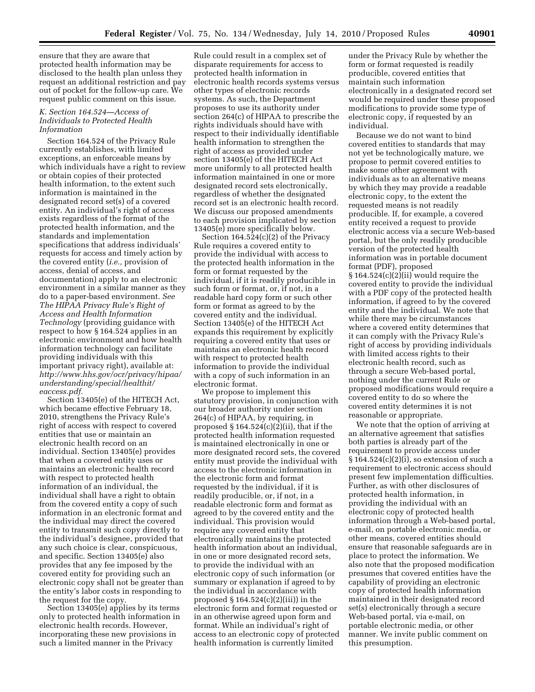ensure that they are aware that protected health information may be disclosed to the health plan unless they request an additional restriction and pay out of pocket for the follow-up care. We request public comment on this issue.

### *K. Section 164.524—Access of Individuals to Protected Health Information*

Section 164.524 of the Privacy Rule currently establishes, with limited exceptions, an enforceable means by which individuals have a right to review or obtain copies of their protected health information, to the extent such information is maintained in the designated record set(s) of a covered entity. An individual's right of access exists regardless of the format of the protected health information, and the standards and implementation specifications that address individuals' requests for access and timely action by the covered entity (*i.e.,* provision of access, denial of access, and documentation) apply to an electronic environment in a similar manner as they do to a paper-based environment. *See The HIPAA Privacy Rule's Right of Access and Health Information Technology* (providing guidance with respect to how § 164.524 applies in an electronic environment and how health information technology can facilitate providing individuals with this important privacy right), available at: *http://www.hhs.gov/ocr/privacy/hipaa/ understanding/special/healthit/ eaccess.pdf.* 

Section 13405(e) of the HITECH Act, which became effective February 18, 2010, strengthens the Privacy Rule's right of access with respect to covered entities that use or maintain an electronic health record on an individual. Section 13405(e) provides that when a covered entity uses or maintains an electronic health record with respect to protected health information of an individual, the individual shall have a right to obtain from the covered entity a copy of such information in an electronic format and the individual may direct the covered entity to transmit such copy directly to the individual's designee, provided that any such choice is clear, conspicuous, and specific. Section 13405(e) also provides that any fee imposed by the covered entity for providing such an electronic copy shall not be greater than the entity's labor costs in responding to the request for the copy.

Section 13405(e) applies by its terms only to protected health information in electronic health records. However, incorporating these new provisions in such a limited manner in the Privacy

Rule could result in a complex set of disparate requirements for access to protected health information in electronic health records systems versus other types of electronic records systems. As such, the Department proposes to use its authority under section 264(c) of HIPAA to prescribe the rights individuals should have with respect to their individually identifiable health information to strengthen the right of access as provided under section 13405(e) of the HITECH Act more uniformly to all protected health information maintained in one or more designated record sets electronically, regardless of whether the designated record set is an electronic health record. We discuss our proposed amendments to each provision implicated by section 13405(e) more specifically below.

Section  $164.524(c)(2)$  of the Privacy Rule requires a covered entity to provide the individual with access to the protected health information in the form or format requested by the individual, if it is readily producible in such form or format, or, if not, in a readable hard copy form or such other form or format as agreed to by the covered entity and the individual. Section 13405(e) of the HITECH Act expands this requirement by explicitly requiring a covered entity that uses or maintains an electronic health record with respect to protected health information to provide the individual with a copy of such information in an electronic format.

We propose to implement this statutory provision, in conjunction with our broader authority under section 264(c) of HIPAA, by requiring, in proposed  $§ 164.524(c)(2)(ii)$ , that if the protected health information requested is maintained electronically in one or more designated record sets, the covered entity must provide the individual with access to the electronic information in the electronic form and format requested by the individual, if it is readily producible, or, if not, in a readable electronic form and format as agreed to by the covered entity and the individual. This provision would require any covered entity that electronically maintains the protected health information about an individual, in one or more designated record sets, to provide the individual with an electronic copy of such information (or summary or explanation if agreed to by the individual in accordance with proposed  $\S 164.524(c)(2)(iii)$  in the electronic form and format requested or in an otherwise agreed upon form and format. While an individual's right of access to an electronic copy of protected health information is currently limited

under the Privacy Rule by whether the form or format requested is readily producible, covered entities that maintain such information electronically in a designated record set would be required under these proposed modifications to provide some type of electronic copy, if requested by an individual.

Because we do not want to bind covered entities to standards that may not yet be technologically mature, we propose to permit covered entities to make some other agreement with individuals as to an alternative means by which they may provide a readable electronic copy, to the extent the requested means is not readily producible. If, for example, a covered entity received a request to provide electronic access via a secure Web-based portal, but the only readily producible version of the protected health information was in portable document format (PDF), proposed § 164.524(c)(2)(ii) would require the covered entity to provide the individual with a PDF copy of the protected health information, if agreed to by the covered entity and the individual. We note that while there may be circumstances where a covered entity determines that it can comply with the Privacy Rule's right of access by providing individuals with limited access rights to their electronic health record, such as through a secure Web-based portal, nothing under the current Rule or proposed modifications would require a covered entity to do so where the covered entity determines it is not reasonable or appropriate.

We note that the option of arriving at an alternative agreement that satisfies both parties is already part of the requirement to provide access under  $§ 164.524(c)(2)(i)$ , so extension of such a requirement to electronic access should present few implementation difficulties. Further, as with other disclosures of protected health information, in providing the individual with an electronic copy of protected health information through a Web-based portal, e-mail, on portable electronic media, or other means, covered entities should ensure that reasonable safeguards are in place to protect the information. We also note that the proposed modification presumes that covered entities have the capability of providing an electronic copy of protected health information maintained in their designated record set(s) electronically through a secure Web-based portal, via e-mail, on portable electronic media, or other manner. We invite public comment on this presumption.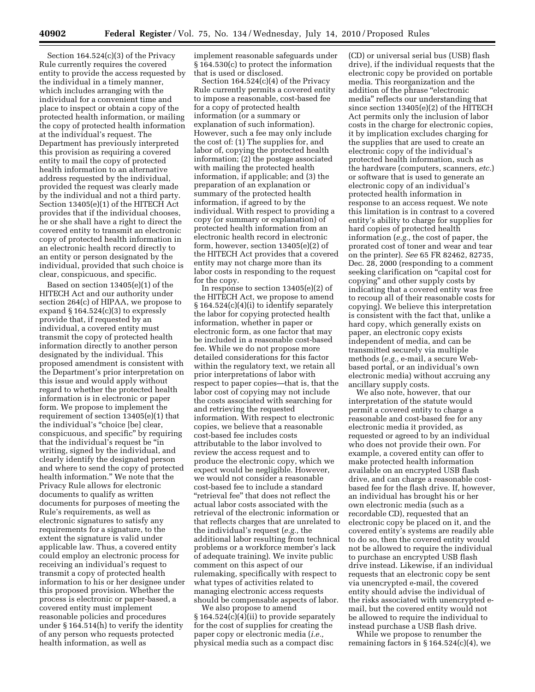Section 164.524(c)(3) of the Privacy Rule currently requires the covered entity to provide the access requested by the individual in a timely manner, which includes arranging with the individual for a convenient time and place to inspect or obtain a copy of the protected health information, or mailing the copy of protected health information at the individual's request. The Department has previously interpreted this provision as requiring a covered entity to mail the copy of protected health information to an alternative address requested by the individual, provided the request was clearly made by the individual and not a third party. Section 13405(e)(1) of the HITECH Act provides that if the individual chooses, he or she shall have a right to direct the covered entity to transmit an electronic copy of protected health information in an electronic health record directly to an entity or person designated by the individual, provided that such choice is clear, conspicuous, and specific.

Based on section 13405(e)(1) of the HITECH Act and our authority under section 264(c) of HIPAA, we propose to expand  $§$  164.524(c)(3) to expressly provide that, if requested by an individual, a covered entity must transmit the copy of protected health information directly to another person designated by the individual. This proposed amendment is consistent with the Department's prior interpretation on this issue and would apply without regard to whether the protected health information is in electronic or paper form. We propose to implement the requirement of section 13405(e)(1) that the individual's ''choice [be] clear, conspicuous, and specific'' by requiring that the individual's request be ''in writing, signed by the individual, and clearly identify the designated person and where to send the copy of protected health information.'' We note that the Privacy Rule allows for electronic documents to qualify as written documents for purposes of meeting the Rule's requirements, as well as electronic signatures to satisfy any requirements for a signature, to the extent the signature is valid under applicable law. Thus, a covered entity could employ an electronic process for receiving an individual's request to transmit a copy of protected health information to his or her designee under this proposed provision. Whether the process is electronic or paper-based, a covered entity must implement reasonable policies and procedures under § 164.514(h) to verify the identity of any person who requests protected health information, as well as

implement reasonable safeguards under § 164.530(c) to protect the information that is used or disclosed.

Section 164.524(c)(4) of the Privacy Rule currently permits a covered entity to impose a reasonable, cost-based fee for a copy of protected health information (or a summary or explanation of such information). However, such a fee may only include the cost of: (1) The supplies for, and labor of, copying the protected health information; (2) the postage associated with mailing the protected health information, if applicable; and (3) the preparation of an explanation or summary of the protected health information, if agreed to by the individual. With respect to providing a copy (or summary or explanation) of protected health information from an electronic health record in electronic form, however, section 13405(e)(2) of the HITECH Act provides that a covered entity may not charge more than its labor costs in responding to the request for the copy.

In response to section 13405(e)(2) of the HITECH Act, we propose to amend § 164.524(c)(4)(i) to identify separately the labor for copying protected health information, whether in paper or electronic form, as one factor that may be included in a reasonable cost-based fee. While we do not propose more detailed considerations for this factor within the regulatory text, we retain all prior interpretations of labor with respect to paper copies—that is, that the labor cost of copying may not include the costs associated with searching for and retrieving the requested information. With respect to electronic copies, we believe that a reasonable cost-based fee includes costs attributable to the labor involved to review the access request and to produce the electronic copy, which we expect would be negligible. However, we would not consider a reasonable cost-based fee to include a standard "retrieval fee" that does not reflect the actual labor costs associated with the retrieval of the electronic information or that reflects charges that are unrelated to the individual's request (*e.g.,* the additional labor resulting from technical problems or a workforce member's lack of adequate training). We invite public comment on this aspect of our rulemaking, specifically with respect to what types of activities related to managing electronic access requests should be compensable aspects of labor.

We also propose to amend § 164.524(c)(4)(ii) to provide separately for the cost of supplies for creating the paper copy or electronic media (*i.e.,*  physical media such as a compact disc

(CD) or universal serial bus (USB) flash drive), if the individual requests that the electronic copy be provided on portable media. This reorganization and the addition of the phrase "electronic media'' reflects our understanding that since section 13405(e)(2) of the HITECH Act permits only the inclusion of labor costs in the charge for electronic copies, it by implication excludes charging for the supplies that are used to create an electronic copy of the individual's protected health information, such as the hardware (computers, scanners, *etc.*) or software that is used to generate an electronic copy of an individual's protected health information in response to an access request. We note this limitation is in contrast to a covered entity's ability to charge for supplies for hard copies of protected health information (*e.g.,* the cost of paper, the prorated cost of toner and wear and tear on the printer). *See* 65 FR 82462, 82735, Dec. 28, 2000 (responding to a comment seeking clarification on "capital cost for copying'' and other supply costs by indicating that a covered entity was free to recoup all of their reasonable costs for copying). We believe this interpretation is consistent with the fact that, unlike a hard copy, which generally exists on paper, an electronic copy exists independent of media, and can be transmitted securely via multiple methods (*e.g.,* e-mail, a secure Webbased portal, or an individual's own electronic media) without accruing any ancillary supply costs.

We also note, however, that our interpretation of the statute would permit a covered entity to charge a reasonable and cost-based fee for any electronic media it provided, as requested or agreed to by an individual who does not provide their own. For example, a covered entity can offer to make protected health information available on an encrypted USB flash drive, and can charge a reasonable costbased fee for the flash drive. If, however, an individual has brought his or her own electronic media (such as a recordable CD), requested that an electronic copy be placed on it, and the covered entity's systems are readily able to do so, then the covered entity would not be allowed to require the individual to purchase an encrypted USB flash drive instead. Likewise, if an individual requests that an electronic copy be sent via unencrypted e-mail, the covered entity should advise the individual of the risks associated with unencrypted email, but the covered entity would not be allowed to require the individual to instead purchase a USB flash drive.

While we propose to renumber the remaining factors in  $\S 164.524(c)(4)$ , we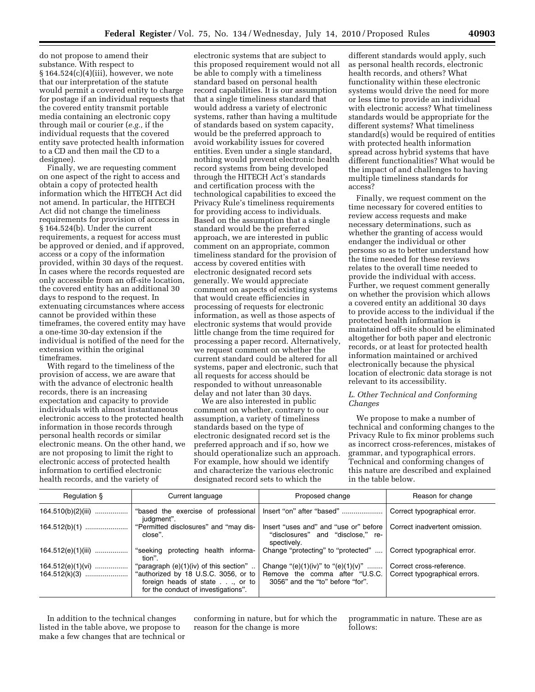do not propose to amend their substance. With respect to  $§ 164.524(c)(4)(iii)$ , however, we note that our interpretation of the statute would permit a covered entity to charge for postage if an individual requests that the covered entity transmit portable media containing an electronic copy through mail or courier (*e.g.,* if the individual requests that the covered entity save protected health information to a CD and then mail the CD to a designee).

Finally, we are requesting comment on one aspect of the right to access and obtain a copy of protected health information which the HITECH Act did not amend. In particular, the HITECH Act did not change the timeliness requirements for provision of access in § 164.524(b). Under the current requirements, a request for access must be approved or denied, and if approved, access or a copy of the information provided, within 30 days of the request. In cases where the records requested are only accessible from an off-site location, the covered entity has an additional 30 days to respond to the request. In extenuating circumstances where access cannot be provided within these timeframes, the covered entity may have a one-time 30-day extension if the individual is notified of the need for the extension within the original timeframes.

With regard to the timeliness of the provision of access, we are aware that with the advance of electronic health records, there is an increasing expectation and capacity to provide individuals with almost instantaneous electronic access to the protected health information in those records through personal health records or similar electronic means. On the other hand, we are not proposing to limit the right to electronic access of protected health information to certified electronic health records, and the variety of

electronic systems that are subject to this proposed requirement would not all be able to comply with a timeliness standard based on personal health record capabilities. It is our assumption that a single timeliness standard that would address a variety of electronic systems, rather than having a multitude of standards based on system capacity, would be the preferred approach to avoid workability issues for covered entities. Even under a single standard, nothing would prevent electronic health record systems from being developed through the HITECH Act's standards and certification process with the technological capabilities to exceed the Privacy Rule's timeliness requirements for providing access to individuals. Based on the assumption that a single standard would be the preferred approach, we are interested in public comment on an appropriate, common timeliness standard for the provision of access by covered entities with electronic designated record sets generally. We would appreciate comment on aspects of existing systems that would create efficiencies in processing of requests for electronic information, as well as those aspects of electronic systems that would provide little change from the time required for processing a paper record. Alternatively, we request comment on whether the current standard could be altered for all systems, paper and electronic, such that all requests for access should be responded to without unreasonable delay and not later than 30 days.

We are also interested in public comment on whether, contrary to our assumption, a variety of timeliness standards based on the type of electronic designated record set is the preferred approach and if so, how we should operationalize such an approach. For example, how should we identify and characterize the various electronic designated record sets to which the

different standards would apply, such as personal health records, electronic health records, and others? What functionality within these electronic systems would drive the need for more or less time to provide an individual with electronic access? What timeliness standards would be appropriate for the different systems? What timeliness standard(s) would be required of entities with protected health information spread across hybrid systems that have different functionalities? What would be the impact of and challenges to having multiple timeliness standards for access?

Finally, we request comment on the time necessary for covered entities to review access requests and make necessary determinations, such as whether the granting of access would endanger the individual or other persons so as to better understand how the time needed for these reviews relates to the overall time needed to provide the individual with access. Further, we request comment generally on whether the provision which allows a covered entity an additional 30 days to provide access to the individual if the protected health information is maintained off-site should be eliminated altogether for both paper and electronic records, or at least for protected health information maintained or archived electronically because the physical location of electronic data storage is not relevant to its accessibility.

## *L. Other Technical and Conforming Changes*

We propose to make a number of technical and conforming changes to the Privacy Rule to fix minor problems such as incorrect cross-references, mistakes of grammar, and typographical errors. Technical and conforming changes of this nature are described and explained in the table below.

| Regulation §                           | Current language                                                                                                                                         | Proposed change                                                                                          | Reason for change                                         |
|----------------------------------------|----------------------------------------------------------------------------------------------------------------------------------------------------------|----------------------------------------------------------------------------------------------------------|-----------------------------------------------------------|
| 164.510(b)(2)(iii)                     | "based the exercise of professional<br>judgment".                                                                                                        | lnsert "on" after "based"                                                                                | Correct typographical error.                              |
|                                        | "Permitted disclosures" and "may dis-<br>close".                                                                                                         | Insert "uses and" and "use or" before<br>"disclosures" and "disclose." re-<br>spectively.                | Correct inadvertent omission.                             |
| 164.512(e)(1)(iii)                     | "seeking protecting health informa-<br>tion".                                                                                                            | Change "protecting" to "protected"                                                                       | Correct typographical error.                              |
| $164.512(e)(1)(vi)$<br>$164.512(k)(3)$ | "paragraph $(e)(1)(iv)$ of this section"<br>"authorized by 18 U.S.C. 3056, or to<br>foreign heads of state, or to<br>for the conduct of investigations". | Change "(e)(1)(iv)" to "(e)(1)(v)"<br>Remove the comma after "U.S.C.<br>3056" and the "to" before "for". | Correct cross-reference.<br>Correct typographical errors. |

In addition to the technical changes listed in the table above, we propose to make a few changes that are technical or conforming in nature, but for which the reason for the change is more

programmatic in nature. These are as follows: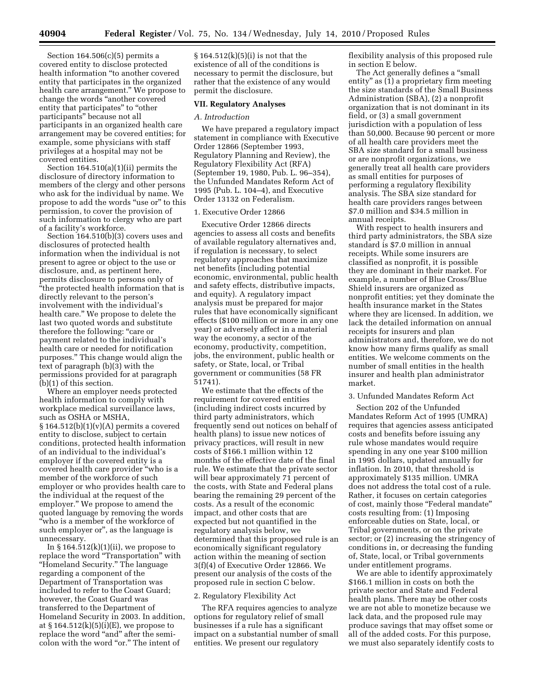Section 164.506(c)(5) permits a covered entity to disclose protected health information ''to another covered entity that participates in the organized health care arrangement.'' We propose to change the words ''another covered entity that participates" to "other participants'' because not all participants in an organized health care arrangement may be covered entities; for example, some physicians with staff privileges at a hospital may not be covered entities.

Section 164.510(a)(1)(ii) permits the disclosure of directory information to members of the clergy and other persons who ask for the individual by name. We propose to add the words ''use or'' to this permission, to cover the provision of such information to clergy who are part of a facility's workforce.

Section 164.510(b)(3) covers uses and disclosures of protected health information when the individual is not present to agree or object to the use or disclosure, and, as pertinent here, permits disclosure to persons only of "the protected health information that is directly relevant to the person's involvement with the individual's health care.'' We propose to delete the last two quoted words and substitute therefore the following: ''care or payment related to the individual's health care or needed for notification purposes.'' This change would align the text of paragraph (b)(3) with the permissions provided for at paragraph (b)(1) of this section.

Where an employer needs protected health information to comply with workplace medical surveillance laws, such as OSHA or MSHA,  $§ 164.512(b)(1)(v)(A)$  permits a covered entity to disclose, subject to certain conditions, protected health information of an individual to the individual's employer if the covered entity is a covered health care provider ''who is a member of the workforce of such employer or who provides health care to the individual at the request of the employer.'' We propose to amend the quoted language by removing the words ''who is a member of the workforce of such employer or'', as the language is unnecessary.

In  $§ 164.512(k)(1)(ii)$ , we propose to replace the word "Transportation" with ''Homeland Security.'' The language regarding a component of the Department of Transportation was included to refer to the Coast Guard; however, the Coast Guard was transferred to the Department of Homeland Security in 2003. In addition, at  $\S 164.512(k)(5)(i)(E)$ , we propose to replace the word "and" after the semicolon with the word "or." The intent of

§ 164.512(k)(5)(i) is not that the existence of all of the conditions is necessary to permit the disclosure, but rather that the existence of any would permit the disclosure.

#### **VII. Regulatory Analyses**

#### *A. Introduction*

We have prepared a regulatory impact statement in compliance with Executive Order 12866 (September 1993, Regulatory Planning and Review), the Regulatory Flexibility Act (RFA) (September 19, 1980, Pub. L. 96–354), the Unfunded Mandates Reform Act of 1995 (Pub. L. 104–4), and Executive Order 13132 on Federalism.

#### 1. Executive Order 12866

Executive Order 12866 directs agencies to assess all costs and benefits of available regulatory alternatives and, if regulation is necessary, to select regulatory approaches that maximize net benefits (including potential economic, environmental, public health and safety effects, distributive impacts, and equity). A regulatory impact analysis must be prepared for major rules that have economically significant effects (\$100 million or more in any one year) or adversely affect in a material way the economy, a sector of the economy, productivity, competition, jobs, the environment, public health or safety, or State, local, or Tribal government or communities (58 FR 51741).

We estimate that the effects of the requirement for covered entities (including indirect costs incurred by third party administrators, which frequently send out notices on behalf of health plans) to issue new notices of privacy practices, will result in new costs of \$166.1 million within 12 months of the effective date of the final rule. We estimate that the private sector will bear approximately 71 percent of the costs, with State and Federal plans bearing the remaining 29 percent of the costs. As a result of the economic impact, and other costs that are expected but not quantified in the regulatory analysis below, we determined that this proposed rule is an economically significant regulatory action within the meaning of section 3(f)(4) of Executive Order 12866. We present our analysis of the costs of the proposed rule in section C below.

#### 2. Regulatory Flexibility Act

The RFA requires agencies to analyze options for regulatory relief of small businesses if a rule has a significant impact on a substantial number of small entities. We present our regulatory

flexibility analysis of this proposed rule in section E below.

The Act generally defines a "small entity" as (1) a proprietary firm meeting the size standards of the Small Business Administration (SBA), (2) a nonprofit organization that is not dominant in its field, or (3) a small government jurisdiction with a population of less than 50,000. Because 90 percent or more of all health care providers meet the SBA size standard for a small business or are nonprofit organizations, we generally treat all health care providers as small entities for purposes of performing a regulatory flexibility analysis. The SBA size standard for health care providers ranges between \$7.0 million and \$34.5 million in annual receipts.

With respect to health insurers and third party administrators, the SBA size standard is \$7.0 million in annual receipts. While some insurers are classified as nonprofit, it is possible they are dominant in their market. For example, a number of Blue Cross/Blue Shield insurers are organized as nonprofit entities; yet they dominate the health insurance market in the States where they are licensed. In addition, we lack the detailed information on annual receipts for insurers and plan administrators and, therefore, we do not know how many firms qualify as small entities. We welcome comments on the number of small entities in the health insurer and health plan administrator market.

#### 3. Unfunded Mandates Reform Act

Section 202 of the Unfunded Mandates Reform Act of 1995 (UMRA) requires that agencies assess anticipated costs and benefits before issuing any rule whose mandates would require spending in any one year \$100 million in 1995 dollars, updated annually for inflation. In 2010, that threshold is approximately \$135 million. UMRA does not address the total cost of a rule. Rather, it focuses on certain categories of cost, mainly those ''Federal mandate'' costs resulting from: (1) Imposing enforceable duties on State, local, or Tribal governments, or on the private sector; or (2) increasing the stringency of conditions in, or decreasing the funding of, State, local, or Tribal governments under entitlement programs.

We are able to identify approximately \$166.1 million in costs on both the private sector and State and Federal health plans. There may be other costs we are not able to monetize because we lack data, and the proposed rule may produce savings that may offset some or all of the added costs. For this purpose, we must also separately identify costs to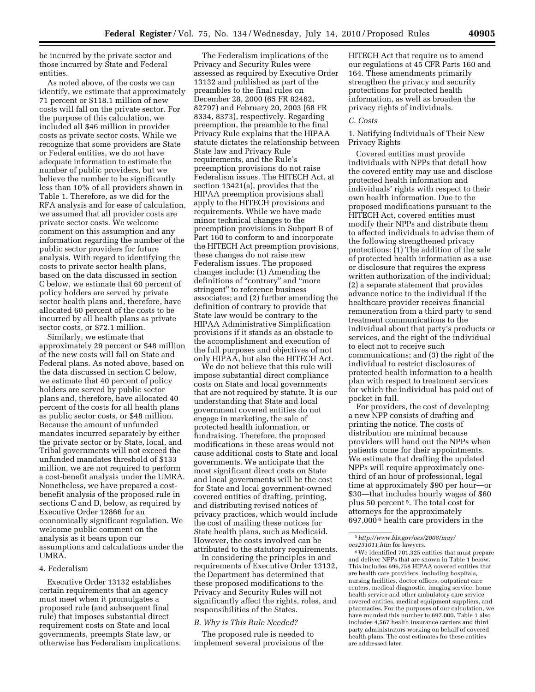be incurred by the private sector and those incurred by State and Federal entities.

As noted above, of the costs we can identify, we estimate that approximately 71 percent or \$118.1 million of new costs will fall on the private sector. For the purpose of this calculation, we included all \$46 million in provider costs as private sector costs. While we recognize that some providers are State or Federal entities, we do not have adequate information to estimate the number of public providers, but we believe the number to be significantly less than 10% of all providers shown in Table 1. Therefore, as we did for the RFA analysis and for ease of calculation, we assumed that all provider costs are private sector costs. We welcome comment on this assumption and any information regarding the number of the public sector providers for future analysis. With regard to identifying the costs to private sector health plans, based on the data discussed in section C below, we estimate that 60 percent of policy holders are served by private sector health plans and, therefore, have allocated 60 percent of the costs to be incurred by all health plans as private sector costs, or \$72.1 million.

Similarly, we estimate that approximately 29 percent or \$48 million of the new costs will fall on State and Federal plans. As noted above, based on the data discussed in section C below, we estimate that 40 percent of policy holders are served by public sector plans and, therefore, have allocated 40 percent of the costs for all health plans as public sector costs, or \$48 million. Because the amount of unfunded mandates incurred separately by either the private sector or by State, local, and Tribal governments will not exceed the unfunded mandates threshold of \$133 million, we are not required to perform a cost-benefit analysis under the UMRA. Nonetheless, we have prepared a costbenefit analysis of the proposed rule in sections C and D, below, as required by Executive Order 12866 for an economically significant regulation. We welcome public comment on the analysis as it bears upon our assumptions and calculations under the UMRA.

#### 4. Federalism

Executive Order 13132 establishes certain requirements that an agency must meet when it promulgates a proposed rule (and subsequent final rule) that imposes substantial direct requirement costs on State and local governments, preempts State law, or otherwise has Federalism implications.

The Federalism implications of the Privacy and Security Rules were assessed as required by Executive Order 13132 and published as part of the preambles to the final rules on December 28, 2000 (65 FR 82462, 82797) and February 20, 2003 (68 FR 8334, 8373), respectively. Regarding preemption, the preamble to the final Privacy Rule explains that the HIPAA statute dictates the relationship between State law and Privacy Rule requirements, and the Rule's preemption provisions do not raise Federalism issues. The HITECH Act, at section 13421(a), provides that the HIPAA preemption provisions shall apply to the HITECH provisions and requirements. While we have made minor technical changes to the preemption provisions in Subpart B of Part 160 to conform to and incorporate the HITECH Act preemption provisions, these changes do not raise new Federalism issues. The proposed changes include: (1) Amending the definitions of "contrary" and "more stringent'' to reference business associates; and (2) further amending the definition of contrary to provide that State law would be contrary to the HIPAA Administrative Simplification provisions if it stands as an obstacle to the accomplishment and execution of the full purposes and objectives of not only HIPAA, but also the HITECH Act.

We do not believe that this rule will impose substantial direct compliance costs on State and local governments that are not required by statute. It is our understanding that State and local government covered entities do not engage in marketing, the sale of protected health information, or fundraising. Therefore, the proposed modifications in these areas would not cause additional costs to State and local governments. We anticipate that the most significant direct costs on State and local governments will be the cost for State and local government-owned covered entities of drafting, printing, and distributing revised notices of privacy practices, which would include the cost of mailing these notices for State health plans, such as Medicaid. However, the costs involved can be attributed to the statutory requirements.

In considering the principles in and requirements of Executive Order 13132, the Department has determined that these proposed modifications to the Privacy and Security Rules will not significantly affect the rights, roles, and responsibilities of the States.

#### *B. Why is This Rule Needed?*

The proposed rule is needed to implement several provisions of the HITECH Act that require us to amend our regulations at 45 CFR Parts 160 and 164. These amendments primarily strengthen the privacy and security protections for protected health information, as well as broaden the privacy rights of individuals.

#### *C. Costs*

1. Notifying Individuals of Their New Privacy Rights

Covered entities must provide individuals with NPPs that detail how the covered entity may use and disclose protected health information and individuals' rights with respect to their own health information. Due to the proposed modifications pursuant to the HITECH Act, covered entities must modify their NPPs and distribute them to affected individuals to advise them of the following strengthened privacy protections: (1) The addition of the sale of protected health information as a use or disclosure that requires the express written authorization of the individual; (2) a separate statement that provides advance notice to the individual if the healthcare provider receives financial remuneration from a third party to send treatment communications to the individual about that party's products or services, and the right of the individual to elect not to receive such communications; and (3) the right of the individual to restrict disclosures of protected health information to a health plan with respect to treatment services for which the individual has paid out of pocket in full.

For providers, the cost of developing a new NPP consists of drafting and printing the notice. The costs of distribution are minimal because providers will hand out the NPPs when patients come for their appointments. We estimate that drafting the updated NPPs will require approximately onethird of an hour of professional, legal time at approximately \$90 per hour—or \$30—that includes hourly wages of \$60 plus 50 percent 5. The total cost for attorneys for the approximately 697,000 6 health care providers in the

<sup>5</sup>*http://www.bls.gov/oes/2008/may/ oes231011.htm* for lawyers.

<sup>6</sup>We identified 701,325 entities that must prepare and deliver NPPs that are shown in Table 1 below. This includes 696,758 HIPAA covered entities that are health care providers, including hospitals, nursing facilities, doctor offices, outpatient care centers, medical diagnostic, imaging service, home health service and other ambulatory care service covered entities, medical equipment suppliers, and pharmacies. For the purposes of our calculation, we have rounded this number to 697,000. Table 1 also includes 4,567 health insurance carriers and third party administrators working on behalf of covered health plans. The cost estimates for these entities are addressed later.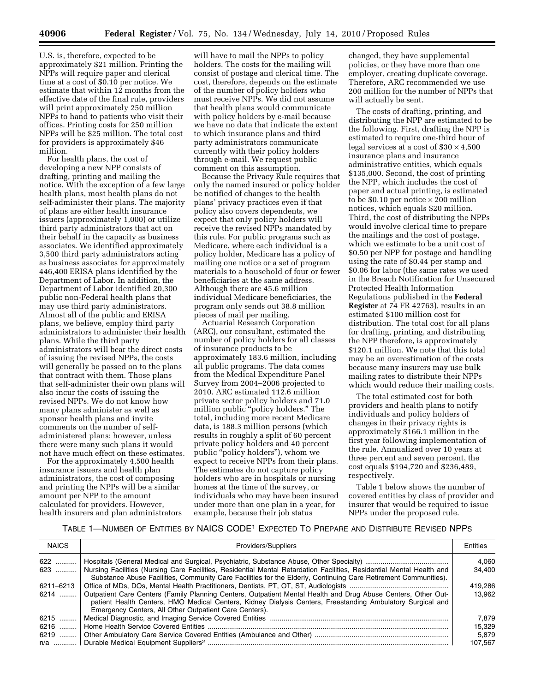U.S. is, therefore, expected to be approximately \$21 million. Printing the NPPs will require paper and clerical time at a cost of \$0.10 per notice. We estimate that within 12 months from the effective date of the final rule, providers will print approximately 250 million NPPs to hand to patients who visit their offices. Printing costs for 250 million NPPs will be \$25 million. The total cost for providers is approximately \$46 million.

For health plans, the cost of developing a new NPP consists of drafting, printing and mailing the notice. With the exception of a few large health plans, most health plans do not self-administer their plans. The majority of plans are either health insurance issuers (approximately 1,000) or utilize third party administrators that act on their behalf in the capacity as business associates. We identified approximately 3,500 third party administrators acting as business associates for approximately 446,400 ERISA plans identified by the Department of Labor. In addition, the Department of Labor identified 20,300 public non-Federal health plans that may use third party administrators. Almost all of the public and ERISA plans, we believe, employ third party administrators to administer their health plans. While the third party administrators will bear the direct costs of issuing the revised NPPs, the costs will generally be passed on to the plans that contract with them. Those plans that self-administer their own plans will also incur the costs of issuing the revised NPPs. We do not know how many plans administer as well as sponsor health plans and invite comments on the number of selfadministered plans; however, unless there were many such plans it would not have much effect on these estimates.

For the approximately 4,500 health insurance issuers and health plan administrators, the cost of composing and printing the NPPs will be a similar amount per NPP to the amount calculated for providers. However, health insurers and plan administrators

will have to mail the NPPs to policy holders. The costs for the mailing will consist of postage and clerical time. The cost, therefore, depends on the estimate of the number of policy holders who must receive NPPs. We did not assume that health plans would communicate with policy holders by e-mail because we have no data that indicate the extent to which insurance plans and third party administrators communicate currently with their policy holders through e-mail. We request public comment on this assumption.

Because the Privacy Rule requires that only the named insured or policy holder be notified of changes to the health plans' privacy practices even if that policy also covers dependents, we expect that only policy holders will receive the revised NPPs mandated by this rule. For public programs such as Medicare, where each individual is a policy holder, Medicare has a policy of mailing one notice or a set of program materials to a household of four or fewer beneficiaries at the same address. Although there are 45.6 million individual Medicare beneficiaries, the program only sends out 38.8 million pieces of mail per mailing.

Actuarial Research Corporation (ARC), our consultant, estimated the number of policy holders for all classes of insurance products to be approximately 183.6 million, including all public programs. The data comes from the Medical Expenditure Panel Survey from 2004–2006 projected to 2010. ARC estimated 112.6 million private sector policy holders and 71.0 million public "policy holders." The total, including more recent Medicare data, is 188.3 million persons (which results in roughly a split of 60 percent private policy holders and 40 percent public ''policy holders''), whom we expect to receive NPPs from their plans. The estimates do not capture policy holders who are in hospitals or nursing homes at the time of the survey, or individuals who may have been insured under more than one plan in a year, for example, because their job status

changed, they have supplemental policies, or they have more than one employer, creating duplicate coverage. Therefore, ARC recommended we use 200 million for the number of NPPs that will actually be sent.

The costs of drafting, printing, and distributing the NPP are estimated to be the following. First, drafting the NPP is estimated to require one-third hour of legal services at a cost of  $$30 \times 4,500$ insurance plans and insurance administrative entities, which equals \$135,000. Second, the cost of printing the NPP, which includes the cost of paper and actual printing, is estimated to be \$0.10 per notice  $\times$  200 million notices, which equals \$20 million. Third, the cost of distributing the NPPs would involve clerical time to prepare the mailings and the cost of postage, which we estimate to be a unit cost of \$0.50 per NPP for postage and handling using the rate of \$0.44 per stamp and \$0.06 for labor (the same rates we used in the Breach Notification for Unsecured Protected Health Information Regulations published in the **Federal Register** at 74 FR 42763), results in an estimated \$100 million cost for distribution. The total cost for all plans for drafting, printing, and distributing the NPP therefore, is approximately \$120.1 million. We note that this total may be an overestimation of the costs because many insurers may use bulk mailing rates to distribute their NPPs which would reduce their mailing costs.

The total estimated cost for both providers and health plans to notify individuals and policy holders of changes in their privacy rights is approximately \$166.1 million in the first year following implementation of the rule. Annualized over 10 years at three percent and seven percent, the cost equals \$194,720 and \$236,489, respectively.

Table 1 below shows the number of covered entities by class of provider and insurer that would be required to issue NPPs under the proposed rule.

## TABLE 1—NUMBER OF ENTITIES BY NAICS CODE1 EXPECTED TO PREPARE AND DISTRIBUTE REVISED NPPS

| <b>NAICS</b> | Providers/Suppliers                                                                                                                                                                                                                                                                   | <b>Fntities</b> |
|--------------|---------------------------------------------------------------------------------------------------------------------------------------------------------------------------------------------------------------------------------------------------------------------------------------|-----------------|
| 622          |                                                                                                                                                                                                                                                                                       | 4.060           |
| 623          | Nursing Facilities (Nursing Care Facilities, Residential Mental Retardation Facilities, Residential Mental Health and                                                                                                                                                                 | 34.400          |
|              | Substance Abuse Facilities, Community Care Facilities for the Elderly, Continuing Care Retirement Communities).                                                                                                                                                                       |                 |
| 6211-6213    |                                                                                                                                                                                                                                                                                       | 419,286         |
| 6214         | Outpatient Care Centers (Family Planning Centers, Outpatient Mental Health and Drug Abuse Centers, Other Out-<br>patient Health Centers, HMO Medical Centers, Kidney Dialysis Centers, Freestanding Ambulatory Surgical and<br>Emergency Centers, All Other Outpatient Care Centers). | 13.962          |
| 6215         |                                                                                                                                                                                                                                                                                       | 7.879           |
| 6216         |                                                                                                                                                                                                                                                                                       | 15,329          |
| 6219         |                                                                                                                                                                                                                                                                                       | 5,879           |
|              |                                                                                                                                                                                                                                                                                       | 107.567         |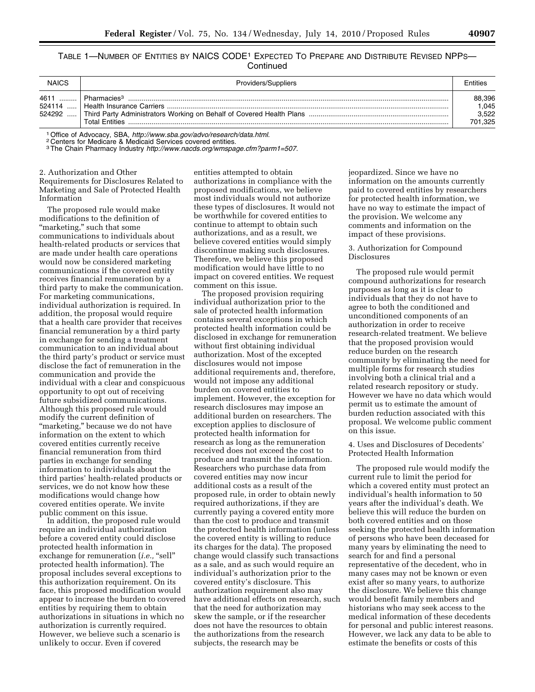TABLE 1—NUMBER OF ENTITIES BY NAICS CODE1 EXPECTED TO PREPARE AND DISTRIBUTE REVISED NPPS— **Continued** 

| <b>NAICS</b>             | Providers/Suppliers                              | Entities                            |
|--------------------------|--------------------------------------------------|-------------------------------------|
| 4611<br>524114<br>524292 | Pharmacies <sup>3</sup><br><b>Total Entities</b> | 88,396<br>1.045<br>3.522<br>701.325 |

1Office of Advocacy, SBA, *http://www.sba.gov/advo/research/data.html.* <sup>2</sup> Centers for Medicare & Medicaid Services covered entities.

3The Chain Pharmacy Industry *http://www.nacds.org/wmspage.cfm?parm1=507.* 

#### 2. Authorization and Other

Requirements for Disclosures Related to Marketing and Sale of Protected Health Information

The proposed rule would make modifications to the definition of "marketing," such that some communications to individuals about health-related products or services that are made under health care operations would now be considered marketing communications if the covered entity receives financial remuneration by a third party to make the communication. For marketing communications, individual authorization is required. In addition, the proposal would require that a health care provider that receives financial remuneration by a third party in exchange for sending a treatment communication to an individual about the third party's product or service must disclose the fact of remuneration in the communication and provide the individual with a clear and conspicuous opportunity to opt out of receiving future subsidized communications. Although this proposed rule would modify the current definition of "marketing," because we do not have information on the extent to which covered entities currently receive financial remuneration from third parties in exchange for sending information to individuals about the third parties' health-related products or services, we do not know how these modifications would change how covered entities operate. We invite public comment on this issue.

In addition, the proposed rule would require an individual authorization before a covered entity could disclose protected health information in exchange for remuneration (*i.e.*, "sell" protected health information). The proposal includes several exceptions to this authorization requirement. On its face, this proposed modification would appear to increase the burden to covered entities by requiring them to obtain authorizations in situations in which no authorization is currently required. However, we believe such a scenario is unlikely to occur. Even if covered

entities attempted to obtain authorizations in compliance with the proposed modifications, we believe most individuals would not authorize these types of disclosures. It would not be worthwhile for covered entities to continue to attempt to obtain such authorizations, and as a result, we believe covered entities would simply discontinue making such disclosures. Therefore, we believe this proposed modification would have little to no impact on covered entities. We request comment on this issue.

The proposed provision requiring individual authorization prior to the sale of protected health information contains several exceptions in which protected health information could be disclosed in exchange for remuneration without first obtaining individual authorization. Most of the excepted disclosures would not impose additional requirements and, therefore, would not impose any additional burden on covered entities to implement. However, the exception for research disclosures may impose an additional burden on researchers. The exception applies to disclosure of protected health information for research as long as the remuneration received does not exceed the cost to produce and transmit the information. Researchers who purchase data from covered entities may now incur additional costs as a result of the proposed rule, in order to obtain newly required authorizations, if they are currently paying a covered entity more than the cost to produce and transmit the protected health information (unless the covered entity is willing to reduce its charges for the data). The proposed change would classify such transactions as a sale, and as such would require an individual's authorization prior to the covered entity's disclosure. This authorization requirement also may have additional effects on research, such that the need for authorization may skew the sample, or if the researcher does not have the resources to obtain the authorizations from the research subjects, the research may be

jeopardized. Since we have no information on the amounts currently paid to covered entities by researchers for protected health information, we have no way to estimate the impact of the provision. We welcome any comments and information on the impact of these provisions.

#### 3. Authorization for Compound Disclosures

The proposed rule would permit compound authorizations for research purposes as long as it is clear to individuals that they do not have to agree to both the conditioned and unconditioned components of an authorization in order to receive research-related treatment. We believe that the proposed provision would reduce burden on the research community by eliminating the need for multiple forms for research studies involving both a clinical trial and a related research repository or study. However we have no data which would permit us to estimate the amount of burden reduction associated with this proposal. We welcome public comment on this issue.

4. Uses and Disclosures of Decedents' Protected Health Information

The proposed rule would modify the current rule to limit the period for which a covered entity must protect an individual's health information to 50 years after the individual's death. We believe this will reduce the burden on both covered entities and on those seeking the protected health information of persons who have been deceased for many years by eliminating the need to search for and find a personal representative of the decedent, who in many cases may not be known or even exist after so many years, to authorize the disclosure. We believe this change would benefit family members and historians who may seek access to the medical information of these decedents for personal and public interest reasons. However, we lack any data to be able to estimate the benefits or costs of this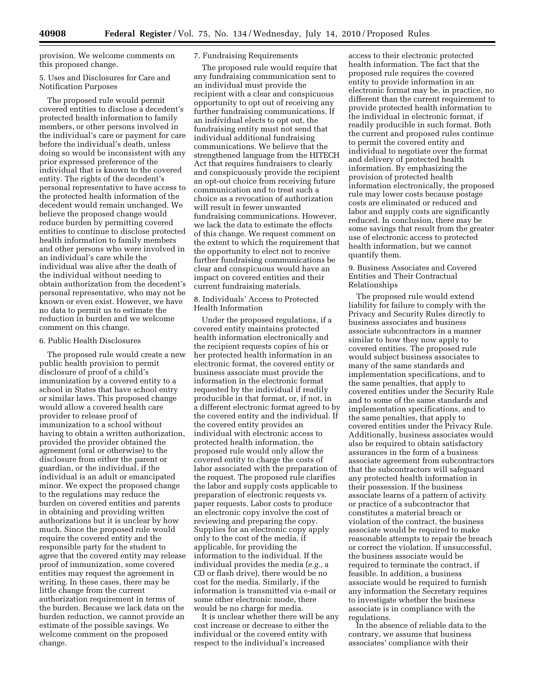provision. We welcome comments on this proposed change.

## 5. Uses and Disclosures for Care and Notification Purposes

The proposed rule would permit covered entities to disclose a decedent's protected health information to family members, or other persons involved in the individual's care or payment for care before the individual's death, unless doing so would be inconsistent with any prior expressed preference of the individual that is known to the covered entity. The rights of the decedent's personal representative to have access to the protected health information of the decedent would remain unchanged. We believe the proposed change would reduce burden by permitting covered entities to continue to disclose protected health information to family members and other persons who were involved in an individual's care while the individual was alive after the death of the individual without needing to obtain authorization from the decedent's personal representative, who may not be known or even exist. However, we have no data to permit us to estimate the reduction in burden and we welcome comment on this change.

#### 6. Public Health Disclosures

The proposed rule would create a new public health provision to permit disclosure of proof of a child's immunization by a covered entity to a school in States that have school entry or similar laws. This proposed change would allow a covered health care provider to release proof of immunization to a school without having to obtain a written authorization, provided the provider obtained the agreement (oral or otherwise) to the disclosure from either the parent or guardian, or the individual, if the individual is an adult or emancipated minor. We expect the proposed change to the regulations may reduce the burden on covered entities and parents in obtaining and providing written authorizations but it is unclear by how much. Since the proposed rule would require the covered entity and the responsible party for the student to agree that the covered entity may release proof of immunization, some covered entities may request the agreement in writing. In these cases, there may be little change from the current authorization requirement in terms of the burden. Because we lack data on the burden reduction, we cannot provide an estimate of the possible savings. We welcome comment on the proposed change.

## 7. Fundraising Requirements

The proposed rule would require that any fundraising communication sent to an individual must provide the recipient with a clear and conspicuous opportunity to opt out of receiving any further fundraising communications. If an individual elects to opt out, the fundraising entity must not send that individual additional fundraising communications. We believe that the strengthened language from the HITECH Act that requires fundraisers to clearly and conspicuously provide the recipient an opt-out choice from receiving future communication and to treat such a choice as a revocation of authorization will result in fewer unwanted fundraising communications. However, we lack the data to estimate the effects of this change. We request comment on the extent to which the requirement that the opportunity to elect not to receive further fundraising communications be clear and conspicuous would have an impact on covered entities and their current fundraising materials.

## 8. Individuals' Access to Protected Health Information

Under the proposed regulations, if a covered entity maintains protected health information electronically and the recipient requests copies of his or her protected health information in an electronic format, the covered entity or business associate must provide the information in the electronic format requested by the individual if readily producible in that format, or, if not, in a different electronic format agreed to by the covered entity and the individual. If the covered entity provides an individual with electronic access to protected health information, the proposed rule would only allow the covered entity to charge the costs of labor associated with the preparation of the request. The proposed rule clarifies the labor and supply costs applicable to preparation of electronic requests vs. paper requests. Labor costs to produce an electronic copy involve the cost of reviewing and preparing the copy. Supplies for an electronic copy apply only to the cost of the media, if applicable, for providing the information to the individual. If the individual provides the media (*e.g.,* a CD or flash drive), there would be no cost for the media. Similarly, if the information is transmitted via e-mail or some other electronic mode, there would be no charge for media.

It is unclear whether there will be any cost increase or decrease to either the individual or the covered entity with respect to the individual's increased

access to their electronic protected health information. The fact that the proposed rule requires the covered entity to provide information in an electronic format may be, in practice, no different than the current requirement to provide protected health information to the individual in electronic format, if readily producible in such format. Both the current and proposed rules continue to permit the covered entity and individual to negotiate over the format and delivery of protected health information. By emphasizing the provision of protected health information electronically, the proposed rule may lower costs because postage costs are eliminated or reduced and labor and supply costs are significantly reduced. In conclusion, there may be some savings that result from the greater use of electronic access to protected health information, but we cannot quantify them.

## 9. Business Associates and Covered Entities and Their Contractual Relationships

The proposed rule would extend liability for failure to comply with the Privacy and Security Rules directly to business associates and business associate subcontractors in a manner similar to how they now apply to covered entities. The proposed rule would subject business associates to many of the same standards and implementation specifications, and to the same penalties, that apply to covered entities under the Security Rule and to some of the same standards and implementation specifications, and to the same penalties, that apply to covered entities under the Privacy Rule. Additionally, business associates would also be required to obtain satisfactory assurances in the form of a business associate agreement from subcontractors that the subcontractors will safeguard any protected health information in their possession. If the business associate learns of a pattern of activity or practice of a subcontractor that constitutes a material breach or violation of the contract, the business associate would be required to make reasonable attempts to repair the breach or correct the violation. If unsuccessful, the business associate would be required to terminate the contract, if feasible. In addition, a business associate would be required to furnish any information the Secretary requires to investigate whether the business associate is in compliance with the regulations.

In the absence of reliable data to the contrary, we assume that business associates' compliance with their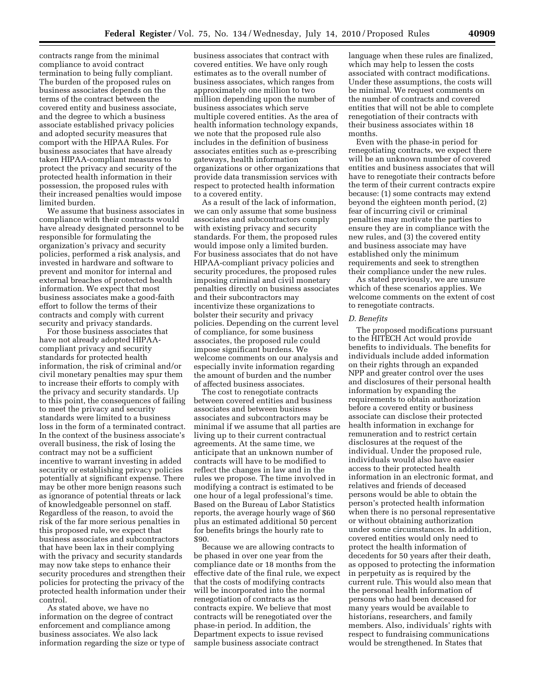contracts range from the minimal compliance to avoid contract termination to being fully compliant. The burden of the proposed rules on business associates depends on the terms of the contract between the covered entity and business associate, and the degree to which a business associate established privacy policies and adopted security measures that comport with the HIPAA Rules. For business associates that have already taken HIPAA-compliant measures to protect the privacy and security of the protected health information in their possession, the proposed rules with their increased penalties would impose limited burden.

We assume that business associates in compliance with their contracts would have already designated personnel to be responsible for formulating the organization's privacy and security policies, performed a risk analysis, and invested in hardware and software to prevent and monitor for internal and external breaches of protected health information. We expect that most business associates make a good-faith effort to follow the terms of their contracts and comply with current security and privacy standards.

For those business associates that have not already adopted HIPAAcompliant privacy and security standards for protected health information, the risk of criminal and/or civil monetary penalties may spur them to increase their efforts to comply with the privacy and security standards. Up to this point, the consequences of failing to meet the privacy and security standards were limited to a business loss in the form of a terminated contract. In the context of the business associate's overall business, the risk of losing the contract may not be a sufficient incentive to warrant investing in added security or establishing privacy policies potentially at significant expense. There may be other more benign reasons such as ignorance of potential threats or lack of knowledgeable personnel on staff. Regardless of the reason, to avoid the risk of the far more serious penalties in this proposed rule, we expect that business associates and subcontractors that have been lax in their complying with the privacy and security standards may now take steps to enhance their security procedures and strengthen their policies for protecting the privacy of the protected health information under their control.

As stated above, we have no information on the degree of contract enforcement and compliance among business associates. We also lack information regarding the size or type of

business associates that contract with covered entities. We have only rough estimates as to the overall number of business associates, which ranges from approximately one million to two million depending upon the number of business associates which serve multiple covered entities. As the area of health information technology expands, we note that the proposed rule also includes in the definition of business associates entities such as e-prescribing gateways, health information organizations or other organizations that provide data transmission services with respect to protected health information to a covered entity.

As a result of the lack of information, we can only assume that some business associates and subcontractors comply with existing privacy and security standards. For them, the proposed rules would impose only a limited burden. For business associates that do not have HIPAA-compliant privacy policies and security procedures, the proposed rules imposing criminal and civil monetary penalties directly on business associates and their subcontractors may incentivize these organizations to bolster their security and privacy policies. Depending on the current level of compliance, for some business associates, the proposed rule could impose significant burdens. We welcome comments on our analysis and especially invite information regarding the amount of burden and the number of affected business associates.

The cost to renegotiate contracts between covered entities and business associates and between business associates and subcontractors may be minimal if we assume that all parties are living up to their current contractual agreements. At the same time, we anticipate that an unknown number of contracts will have to be modified to reflect the changes in law and in the rules we propose. The time involved in modifying a contract is estimated to be one hour of a legal professional's time. Based on the Bureau of Labor Statistics reports, the average hourly wage of \$60 plus an estimated additional 50 percent for benefits brings the hourly rate to \$90.

Because we are allowing contracts to be phased in over one year from the compliance date or 18 months from the effective date of the final rule, we expect that the costs of modifying contracts will be incorporated into the normal renegotiation of contracts as the contracts expire. We believe that most contracts will be renegotiated over the phase-in period. In addition, the Department expects to issue revised sample business associate contract

language when these rules are finalized, which may help to lessen the costs associated with contract modifications. Under these assumptions, the costs will be minimal. We request comments on the number of contracts and covered entities that will not be able to complete renegotiation of their contracts with their business associates within 18 months.

Even with the phase-in period for renegotiating contracts, we expect there will be an unknown number of covered entities and business associates that will have to renegotiate their contracts before the term of their current contracts expire because: (1) some contracts may extend beyond the eighteen month period, (2) fear of incurring civil or criminal penalties may motivate the parties to ensure they are in compliance with the new rules, and (3) the covered entity and business associate may have established only the minimum requirements and seek to strengthen their compliance under the new rules.

As stated previously, we are unsure which of these scenarios applies. We welcome comments on the extent of cost to renegotiate contracts.

## *D. Benefits*

The proposed modifications pursuant to the HITECH Act would provide benefits to individuals. The benefits for individuals include added information on their rights through an expanded NPP and greater control over the uses and disclosures of their personal health information by expanding the requirements to obtain authorization before a covered entity or business associate can disclose their protected health information in exchange for remuneration and to restrict certain disclosures at the request of the individual. Under the proposed rule, individuals would also have easier access to their protected health information in an electronic format, and relatives and friends of deceased persons would be able to obtain the person's protected health information when there is no personal representative or without obtaining authorization under some circumstances. In addition, covered entities would only need to protect the health information of decedents for 50 years after their death, as opposed to protecting the information in perpetuity as is required by the current rule. This would also mean that the personal health information of persons who had been deceased for many years would be available to historians, researchers, and family members. Also, individuals' rights with respect to fundraising communications would be strengthened. In States that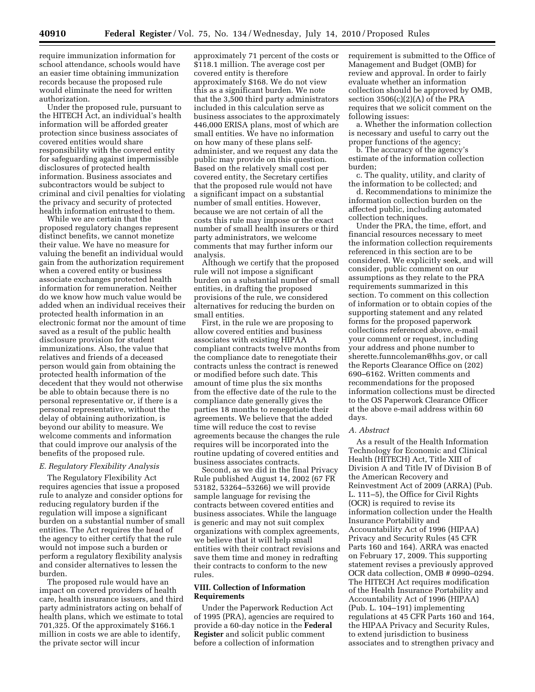require immunization information for school attendance, schools would have an easier time obtaining immunization records because the proposed rule would eliminate the need for written authorization.

Under the proposed rule, pursuant to the HITECH Act, an individual's health information will be afforded greater protection since business associates of covered entities would share responsibility with the covered entity for safeguarding against impermissible disclosures of protected health information. Business associates and subcontractors would be subject to criminal and civil penalties for violating the privacy and security of protected health information entrusted to them.

While we are certain that the proposed regulatory changes represent distinct benefits, we cannot monetize their value. We have no measure for valuing the benefit an individual would gain from the authorization requirement when a covered entity or business associate exchanges protected health information for remuneration. Neither do we know how much value would be added when an individual receives their protected health information in an electronic format nor the amount of time saved as a result of the public health disclosure provision for student immunizations. Also, the value that relatives and friends of a deceased person would gain from obtaining the protected health information of the decedent that they would not otherwise be able to obtain because there is no personal representative or, if there is a personal representative, without the delay of obtaining authorization, is beyond our ability to measure. We welcome comments and information that could improve our analysis of the benefits of the proposed rule.

## *E. Regulatory Flexibility Analysis*

The Regulatory Flexibility Act requires agencies that issue a proposed rule to analyze and consider options for reducing regulatory burden if the regulation will impose a significant burden on a substantial number of small entities. The Act requires the head of the agency to either certify that the rule would not impose such a burden or perform a regulatory flexibility analysis and consider alternatives to lessen the burden.

The proposed rule would have an impact on covered providers of health care, health insurance issuers, and third party administrators acting on behalf of health plans, which we estimate to total 701,325. Of the approximately \$166.1 million in costs we are able to identify, the private sector will incur

approximately 71 percent of the costs or \$118.1 million. The average cost per covered entity is therefore approximately \$168. We do not view this as a significant burden. We note that the 3,500 third party administrators included in this calculation serve as business associates to the approximately 446,000 ERISA plans, most of which are small entities. We have no information on how many of these plans selfadminister, and we request any data the public may provide on this question. Based on the relatively small cost per covered entity, the Secretary certifies that the proposed rule would not have a significant impact on a substantial number of small entities. However, because we are not certain of all the costs this rule may impose or the exact number of small health insurers or third party administrators, we welcome comments that may further inform our analysis.

Although we certify that the proposed rule will not impose a significant burden on a substantial number of small entities, in drafting the proposed provisions of the rule, we considered alternatives for reducing the burden on small entities.

First, in the rule we are proposing to allow covered entities and business associates with existing HIPAA compliant contracts twelve months from the compliance date to renegotiate their contracts unless the contract is renewed or modified before such date. This amount of time plus the six months from the effective date of the rule to the compliance date generally gives the parties 18 months to renegotiate their agreements. We believe that the added time will reduce the cost to revise agreements because the changes the rule requires will be incorporated into the routine updating of covered entities and business associates contracts.

Second, as we did in the final Privacy Rule published August 14, 2002 (67 FR 53182, 53264–53266) we will provide sample language for revising the contracts between covered entities and business associates. While the language is generic and may not suit complex organizations with complex agreements, we believe that it will help small entities with their contract revisions and save them time and money in redrafting their contracts to conform to the new rules.

## **VIII. Collection of Information Requirements**

Under the Paperwork Reduction Act of 1995 (PRA), agencies are required to provide a 60-day notice in the **Federal Register** and solicit public comment before a collection of information

requirement is submitted to the Office of Management and Budget (OMB) for review and approval. In order to fairly evaluate whether an information collection should be approved by OMB, section  $3506(c)(2)(A)$  of the PRA requires that we solicit comment on the following issues:

a. Whether the information collection is necessary and useful to carry out the proper functions of the agency;

b. The accuracy of the agency's estimate of the information collection burden;

c. The quality, utility, and clarity of the information to be collected; and

d. Recommendations to minimize the information collection burden on the affected public, including automated collection techniques.

Under the PRA, the time, effort, and financial resources necessary to meet the information collection requirements referenced in this section are to be considered. We explicitly seek, and will consider, public comment on our assumptions as they relate to the PRA requirements summarized in this section. To comment on this collection of information or to obtain copies of the supporting statement and any related forms for the proposed paperwork collections referenced above, e-mail your comment or request, including your address and phone number to sherette.funncoleman@hhs.gov, or call the Reports Clearance Office on (202) 690–6162. Written comments and recommendations for the proposed information collections must be directed to the OS Paperwork Clearance Officer at the above e-mail address within 60 days.

## *A. Abstract*

As a result of the Health Information Technology for Economic and Clinical Health (HITECH) Act, Title XIII of Division A and Title IV of Division B of the American Recovery and Reinvestment Act of 2009 (ARRA) (Pub. L. 111–5), the Office for Civil Rights (OCR) is required to revise its information collection under the Health Insurance Portability and Accountability Act of 1996 (HIPAA) Privacy and Security Rules (45 CFR Parts 160 and 164). ARRA was enacted on February 17, 2009. This supporting statement revises a previously approved OCR data collection, OMB # 0990–0294. The HITECH Act requires modification of the Health Insurance Portability and Accountability Act of 1996 (HIPAA) (Pub. L. 104–191) implementing regulations at 45 CFR Parts 160 and 164, the HIPAA Privacy and Security Rules, to extend jurisdiction to business associates and to strengthen privacy and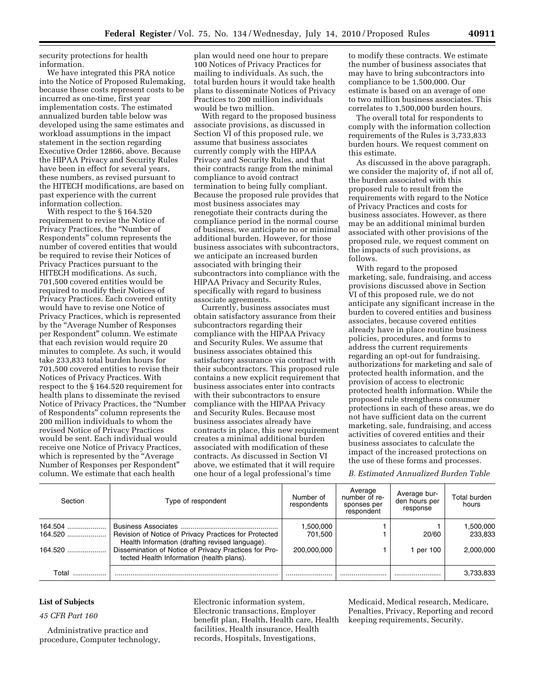security protections for health information.

We have integrated this PRA notice into the Notice of Proposed Rulemaking, because these costs represent costs to be incurred as one-time, first year implementation costs. The estimated annualized burden table below was developed using the same estimates and workload assumptions in the impact statement in the section regarding Executive Order 12866, above. Because the HIPAA Privacy and Security Rules have been in effect for several years, these numbers, as revised pursuant to the HITECH modifications, are based on past experience with the current information collection.

With respect to the § 164.520 requirement to revise the Notice of Privacy Practices, the ''Number of Respondents'' column represents the number of covered entities that would be required to revise their Notices of Privacy Practices pursuant to the HITECH modifications. As such, 701,500 covered entities would be required to modify their Notices of Privacy Practices. Each covered entity would have to revise one Notice of Privacy Practices, which is represented by the ''Average Number of Responses per Respondent'' column. We estimate that each revision would require 20 minutes to complete. As such, it would take 233,833 total burden hours for 701,500 covered entities to revise their Notices of Privacy Practices. With respect to the § 164.520 requirement for health plans to disseminate the revised Notice of Privacy Practices, the ''Number of Respondents'' column represents the 200 million individuals to whom the revised Notice of Privacy Practices would be sent. Each individual would receive one Notice of Privacy Practices, which is represented by the "Average" Number of Responses per Respondent'' column. We estimate that each health

plan would need one hour to prepare 100 Notices of Privacy Practices for mailing to individuals. As such, the total burden hours it would take health plans to disseminate Notices of Privacy Practices to 200 million individuals would be two million.

With regard to the proposed business associate provisions, as discussed in Section VI of this proposed rule, we assume that business associates currently comply with the HIPAA Privacy and Security Rules, and that their contracts range from the minimal compliance to avoid contract termination to being fully compliant. Because the proposed rule provides that most business associates may renegotiate their contracts during the compliance period in the normal course of business, we anticipate no or minimal additional burden. However, for those business associates with subcontractors, we anticipate an increased burden associated with bringing their subcontractors into compliance with the HIPAA Privacy and Security Rules, specifically with regard to business associate agreements.

Currently, business associates must obtain satisfactory assurance from their subcontractors regarding their compliance with the HIPAA Privacy and Security Rules. We assume that business associates obtained this satisfactory assurance via contract with their subcontractors. This proposed rule contains a new explicit requirement that business associates enter into contracts with their subcontractors to ensure compliance with the HIPAA Privacy and Security Rules. Because most business associates already have contracts in place, this new requirement creates a minimal additional burden associated with modification of these contracts. As discussed in Section VI above, we estimated that it will require one hour of a legal professional's time

to modify these contracts. We estimate the number of business associates that may have to bring subcontractors into compliance to be 1,500,000. Our estimate is based on an average of one to two million business associates. This correlates to 1,500,000 burden hours.

The overall total for respondents to comply with the information collection requirements of the Rules is 3,733,833 burden hours. We request comment on this estimate.

As discussed in the above paragraph, we consider the majority of, if not all of, the burden associated with this proposed rule to result from the requirements with regard to the Notice of Privacy Practices and costs for business associates. However, as there may be an additional minimal burden associated with other provisions of the proposed rule, we request comment on the impacts of such provisions, as follows.

With regard to the proposed marketing, sale, fundraising, and access provisions discussed above in Section VI of this proposed rule, we do not anticipate any significant increase in the burden to covered entities and business associates, because covered entities already have in place routine business policies, procedures, and forms to address the current requirements regarding an opt-out for fundraising, authorizations for marketing and sale of protected health information, and the provision of access to electronic protected health information. While the proposed rule strengthens consumer protections in each of these areas, we do not have sufficient data on the current marketing, sale, fundraising, and access activities of covered entities and their business associates to calculate the impact of the increased protections on the use of these forms and processes.

*B. Estimated Annualized Burden Table* 

| Section                         | Type of respondent                                                                                                                                                                                             | Number of<br>respondents            | Average<br>number of re-<br>sponses per<br>respondent | Average bur-<br>den hours per<br>response | Total burden<br>hours             |
|---------------------------------|----------------------------------------------------------------------------------------------------------------------------------------------------------------------------------------------------------------|-------------------------------------|-------------------------------------------------------|-------------------------------------------|-----------------------------------|
| 164.504<br>$164.520$<br>164.520 | Revision of Notice of Privacy Practices for Protected<br>Health Information (drafting revised language).<br>Dissemination of Notice of Privacy Practices for Pro-<br>tected Health Information (health plans). | 1,500,000<br>701.500<br>200.000.000 |                                                       | 20/60<br>per 100                          | 1,500,000<br>233.833<br>2.000.000 |
| Total                           |                                                                                                                                                                                                                |                                     |                                                       |                                           | 3,733,833                         |

## **List of Subjects**

## *45 CFR Part 160*

Administrative practice and procedure, Computer technology, Electronic information system, Electronic transactions, Employer benefit plan, Health, Health care, Health facilities, Health insurance, Health records, Hospitals, Investigations,

Medicaid, Medical research, Medicare, Penalties, Privacy, Reporting and record keeping requirements, Security.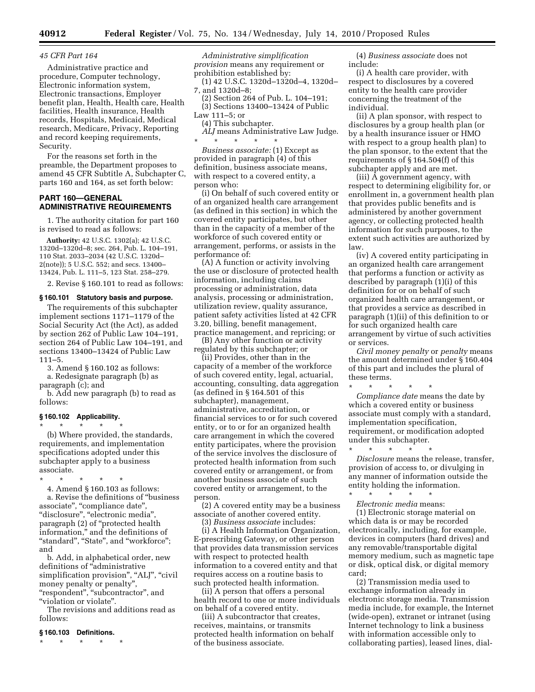#### *45 CFR Part 164*

Administrative practice and procedure, Computer technology, Electronic information system, Electronic transactions, Employer benefit plan, Health, Health care, Health facilities, Health insurance, Health records, Hospitals, Medicaid, Medical research, Medicare, Privacy, Reporting and record keeping requirements, Security.

For the reasons set forth in the preamble, the Department proposes to amend 45 CFR Subtitle A, Subchapter C, parts 160 and 164, as set forth below:

## **PART 160—GENERAL ADMINISTRATIVE REQUIREMENTS**

1. The authority citation for part 160 is revised to read as follows:

**Authority:** 42 U.S.C. 1302(a); 42 U.S.C. 1320d–1320d–8; sec. 264, Pub. L. 104–191, 110 Stat. 2033–2034 (42 U.S.C. 1320d– 2(note)); 5 U.S.C. 552; and secs. 13400– 13424, Pub. L. 111–5, 123 Stat. 258–279.

2. Revise § 160.101 to read as follows:

#### **§ 160.101 Statutory basis and purpose.**

The requirements of this subchapter implement sections 1171–1179 of the Social Security Act (the Act), as added by section 262 of Public Law 104–191, section 264 of Public Law 104–191, and sections 13400–13424 of Public Law 111–5.

3. Amend § 160.102 as follows:

a. Redesignate paragraph (b) as paragraph (c); and

b. Add new paragraph (b) to read as follows:

#### **§ 160.102 Applicability.**

\* \* \* \* \* (b) Where provided, the standards, requirements, and implementation specifications adopted under this

- subchapter apply to a business associate.
- \* \* \* \* \* 4. Amend § 160.103 as follows: a. Revise the definitions of ''business associate", "compliance date", ''disclosure'', ''electronic media'', paragraph (2) of ''protected health information,'' and the definitions of "standard", "State", and "workforce"; and

b. Add, in alphabetical order, new definitions of ''administrative simplification provision", "ALJ", "civil money penalty or penalty",

"respondent", "subcontractor", and ''violation or violate''.

The revisions and additions read as follows:

#### **§ 160.103 Definitions.**

\* \* \* \* \*

*Administrative simplification provision* means any requirement or prohibition established by:

(1) 42 U.S.C. 1320d–1320d–4, 1320d– 7, and 1320d–8;

(2) Section 264 of Pub. L. 104–191; (3) Sections 13400–13424 of Public Law 111–5; or

(4) This subchapter.

*ALJ* means Administrative Law Judge.  $\star$   $\star$ 

*Business associate:* (1) Except as provided in paragraph (4) of this definition, business associate means, with respect to a covered entity, a person who:

(i) On behalf of such covered entity or of an organized health care arrangement (as defined in this section) in which the covered entity participates, but other than in the capacity of a member of the workforce of such covered entity or arrangement, performs, or assists in the performance of:

(A) A function or activity involving the use or disclosure of protected health information, including claims processing or administration, data analysis, processing or administration, utilization review, quality assurance, patient safety activities listed at 42 CFR 3.20, billing, benefit management, practice management, and repricing; or

(B) Any other function or activity regulated by this subchapter; or

(ii) Provides, other than in the capacity of a member of the workforce of such covered entity, legal, actuarial, accounting, consulting, data aggregation (as defined in § 164.501 of this subchapter), management, administrative, accreditation, or financial services to or for such covered entity, or to or for an organized health care arrangement in which the covered entity participates, where the provision of the service involves the disclosure of protected health information from such covered entity or arrangement, or from another business associate of such covered entity or arrangement, to the person.

(2) A covered entity may be a business associate of another covered entity.

(3) *Business associate* includes:

(i) A Health Information Organization, E-prescribing Gateway, or other person that provides data transmission services with respect to protected health information to a covered entity and that requires access on a routine basis to such protected health information.

(ii) A person that offers a personal health record to one or more individuals on behalf of a covered entity.

(iii) A subcontractor that creates, receives, maintains, or transmits protected health information on behalf of the business associate.

(4) *Business associate* does not include:

(i) A health care provider, with respect to disclosures by a covered entity to the health care provider concerning the treatment of the individual.

(ii) A plan sponsor, with respect to disclosures by a group health plan (or by a health insurance issuer or HMO with respect to a group health plan) to the plan sponsor, to the extent that the requirements of § 164.504(f) of this subchapter apply and are met.

(iii) A government agency, with respect to determining eligibility for, or enrollment in, a government health plan that provides public benefits and is administered by another government agency, or collecting protected health information for such purposes, to the extent such activities are authorized by law.

(iv) A covered entity participating in an organized health care arrangement that performs a function or activity as described by paragraph (1)(i) of this definition for or on behalf of such organized health care arrangement, or that provides a service as described in paragraph (1)(ii) of this definition to or for such organized health care arrangement by virtue of such activities or services.

*Civil money penalty* or *penalty* means the amount determined under § 160.404 of this part and includes the plural of these terms.

\* \* \* \* \* *Compliance date* means the date by which a covered entity or business associate must comply with a standard, implementation specification, requirement, or modification adopted under this subchapter.

\* \* \* \* \* *Disclosure* means the release, transfer, provision of access to, or divulging in any manner of information outside the entity holding the information.

\* \* \* \* \*

*Electronic media* means: (1) Electronic storage material on which data is or may be recorded electronically, including, for example, devices in computers (hard drives) and any removable/transportable digital memory medium, such as magnetic tape or disk, optical disk, or digital memory card;

(2) Transmission media used to exchange information already in electronic storage media. Transmission media include, for example, the Internet (wide-open), extranet or intranet (using Internet technology to link a business with information accessible only to collaborating parties), leased lines, dial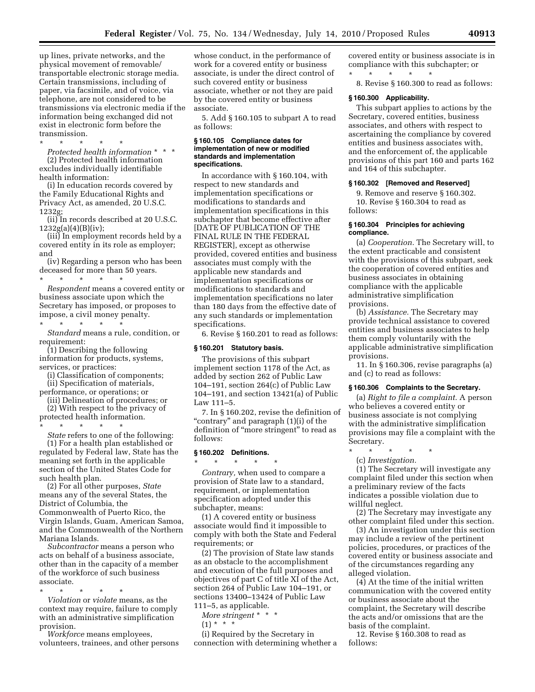up lines, private networks, and the physical movement of removable/ transportable electronic storage media. Certain transmissions, including of paper, via facsimile, and of voice, via telephone, are not considered to be transmissions via electronic media if the information being exchanged did not exist in electronic form before the transmission.

\* \* \* \* \*

*Protected health information* \* \* \* (2) Protected health information excludes individually identifiable health information:

(i) In education records covered by the Family Educational Rights and Privacy Act, as amended, 20 U.S.C. 1232g;

(ii) In records described at 20 U.S.C.  $1232g(a)(4)(B)(iv);$ 

(iii) In employment records held by a covered entity in its role as employer; and

(iv) Regarding a person who has been deceased for more than 50 years.

\* \* \* \* \* *Respondent* means a covered entity or business associate upon which the Secretary has imposed, or proposes to impose, a civil money penalty.

\* \* \* \* \* *Standard* means a rule, condition, or requirement:

(1) Describing the following information for products, systems, services, or practices:

(i) Classification of components;

(ii) Specification of materials, performance, or operations; or

(iii) Delineation of procedures; or (2) With respect to the privacy of

protected health information.

\* \* \* \* \* *State* refers to one of the following: (1) For a health plan established or regulated by Federal law, State has the meaning set forth in the applicable section of the United States Code for such health plan.

(2) For all other purposes, *State*  means any of the several States, the District of Columbia, the

Commonwealth of Puerto Rico, the Virgin Islands, Guam, American Samoa, and the Commonwealth of the Northern Mariana Islands.

*Subcontractor* means a person who acts on behalf of a business associate, other than in the capacity of a member of the workforce of such business associate.

\* \* \* \* \* *Violation* or *violate* means, as the context may require, failure to comply with an administrative simplification provision.

*Workforce* means employees, volunteers, trainees, and other persons whose conduct, in the performance of work for a covered entity or business associate, is under the direct control of such covered entity or business associate, whether or not they are paid by the covered entity or business associate.

5. Add § 160.105 to subpart A to read as follows:

#### **§ 160.105 Compliance dates for implementation of new or modified standards and implementation specifications.**

In accordance with § 160.104, with respect to new standards and implementation specifications or modifications to standards and implementation specifications in this subchapter that become effective after [DATE OF PUBLICATION OF THE FINAL RULE IN THE FEDERAL REGISTER], except as otherwise provided, covered entities and business associates must comply with the applicable new standards and implementation specifications or modifications to standards and implementation specifications no later than 180 days from the effective date of any such standards or implementation specifications.

6. Revise § 160.201 to read as follows:

#### **§ 160.201 Statutory basis.**

The provisions of this subpart implement section 1178 of the Act, as added by section 262 of Public Law 104–191, section 264(c) of Public Law 104–191, and section 13421(a) of Public Law 111–5.

7. In § 160.202, revise the definition of ''contrary'' and paragraph (1)(i) of the definition of "more stringent" to read as follows:

## **§ 160.202 Definitions.**

\* \* \* \* \* *Contrary,* when used to compare a provision of State law to a standard, requirement, or implementation specification adopted under this subchapter, means:

(1) A covered entity or business associate would find it impossible to comply with both the State and Federal requirements; or

(2) The provision of State law stands as an obstacle to the accomplishment and execution of the full purposes and objectives of part C of title XI of the Act, section 264 of Public Law 104–191, or sections 13400–13424 of Public Law 111–5, as applicable.

*More stringent* \* \* \*

 $(1) * * * *$ 

(i) Required by the Secretary in connection with determining whether a covered entity or business associate is in compliance with this subchapter; or \* \* \* \* \*

8. Revise § 160.300 to read as follows:

#### **§ 160.300 Applicability.**

This subpart applies to actions by the Secretary, covered entities, business associates, and others with respect to ascertaining the compliance by covered entities and business associates with, and the enforcement of, the applicable provisions of this part 160 and parts 162 and 164 of this subchapter.

#### **§ 160.302 [Removed and Reserved]**

9. Remove and reserve § 160.302. 10. Revise § 160.304 to read as follows:

#### **§ 160.304 Principles for achieving compliance.**

(a) *Cooperation.* The Secretary will, to the extent practicable and consistent with the provisions of this subpart, seek the cooperation of covered entities and business associates in obtaining compliance with the applicable administrative simplification provisions.

(b) *Assistance.* The Secretary may provide technical assistance to covered entities and business associates to help them comply voluntarily with the applicable administrative simplification provisions.

11. In § 160.306, revise paragraphs (a) and (c) to read as follows:

#### **§ 160.306 Complaints to the Secretary.**

(a) *Right to file a complaint.* A person who believes a covered entity or business associate is not complying with the administrative simplification provisions may file a complaint with the Secretary.

\* \* \* \* \*

(c) *Investigation.* 

(1) The Secretary will investigate any complaint filed under this section when a preliminary review of the facts indicates a possible violation due to willful neglect.

(2) The Secretary may investigate any other complaint filed under this section.

(3) An investigation under this section may include a review of the pertinent policies, procedures, or practices of the covered entity or business associate and of the circumstances regarding any alleged violation.

(4) At the time of the initial written communication with the covered entity or business associate about the complaint, the Secretary will describe the acts and/or omissions that are the basis of the complaint.

12. Revise § 160.308 to read as follows: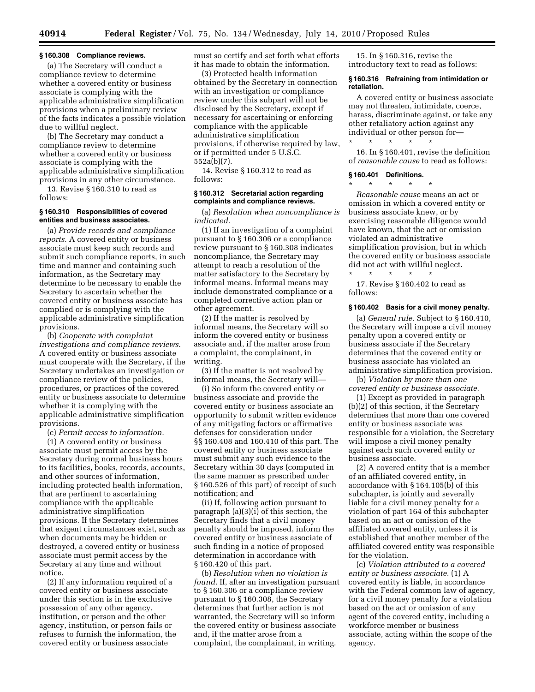#### **§ 160.308 Compliance reviews.**

(a) The Secretary will conduct a compliance review to determine whether a covered entity or business associate is complying with the applicable administrative simplification provisions when a preliminary review of the facts indicates a possible violation due to willful neglect.

(b) The Secretary may conduct a compliance review to determine whether a covered entity or business associate is complying with the applicable administrative simplification provisions in any other circumstance. 13. Revise § 160.310 to read as

follows:

## **§ 160.310 Responsibilities of covered entities and business associates.**

(a) *Provide records and compliance reports.* A covered entity or business associate must keep such records and submit such compliance reports, in such time and manner and containing such information, as the Secretary may determine to be necessary to enable the Secretary to ascertain whether the covered entity or business associate has complied or is complying with the applicable administrative simplification provisions.

(b) *Cooperate with complaint investigations and compliance reviews.*  A covered entity or business associate must cooperate with the Secretary, if the Secretary undertakes an investigation or compliance review of the policies, procedures, or practices of the covered entity or business associate to determine whether it is complying with the applicable administrative simplification provisions.

(c) *Permit access to information.* 

(1) A covered entity or business associate must permit access by the Secretary during normal business hours to its facilities, books, records, accounts, and other sources of information, including protected health information, that are pertinent to ascertaining compliance with the applicable administrative simplification provisions. If the Secretary determines that exigent circumstances exist, such as when documents may be hidden or destroyed, a covered entity or business associate must permit access by the Secretary at any time and without notice.

(2) If any information required of a covered entity or business associate under this section is in the exclusive possession of any other agency, institution, or person and the other agency, institution, or person fails or refuses to furnish the information, the covered entity or business associate

must so certify and set forth what efforts it has made to obtain the information.

(3) Protected health information obtained by the Secretary in connection with an investigation or compliance review under this subpart will not be disclosed by the Secretary, except if necessary for ascertaining or enforcing compliance with the applicable administrative simplification provisions, if otherwise required by law, or if permitted under 5 U.S.C. 552a(b)(7).

14. Revise § 160.312 to read as follows:

#### **§ 160.312 Secretarial action regarding complaints and compliance reviews.**

(a) *Resolution when noncompliance is indicated.* 

(1) If an investigation of a complaint pursuant to § 160.306 or a compliance review pursuant to § 160.308 indicates noncompliance, the Secretary may attempt to reach a resolution of the matter satisfactory to the Secretary by informal means. Informal means may include demonstrated compliance or a completed corrective action plan or other agreement.

(2) If the matter is resolved by informal means, the Secretary will so inform the covered entity or business associate and, if the matter arose from a complaint, the complainant, in writing.

(3) If the matter is not resolved by informal means, the Secretary will—

(i) So inform the covered entity or business associate and provide the covered entity or business associate an opportunity to submit written evidence of any mitigating factors or affirmative defenses for consideration under §§ 160.408 and 160.410 of this part. The covered entity or business associate must submit any such evidence to the Secretary within 30 days (computed in the same manner as prescribed under § 160.526 of this part) of receipt of such notification; and

(ii) If, following action pursuant to paragraph (a)(3)(i) of this section, the Secretary finds that a civil money penalty should be imposed, inform the covered entity or business associate of such finding in a notice of proposed determination in accordance with § 160.420 of this part.

(b) *Resolution when no violation is found.* If, after an investigation pursuant to § 160.306 or a compliance review pursuant to § 160.308, the Secretary determines that further action is not warranted, the Secretary will so inform the covered entity or business associate and, if the matter arose from a complaint, the complainant, in writing.

15. In § 160.316, revise the introductory text to read as follows:

#### **§ 160.316 Refraining from intimidation or retaliation.**

A covered entity or business associate may not threaten, intimidate, coerce, harass, discriminate against, or take any other retaliatory action against any individual or other person for—

\* \* \* \* \* 16. In § 160.401, revise the definition of *reasonable cause* to read as follows:

#### **§ 160.401 Definitions.**

\* \* \* \* \* *Reasonable cause* means an act or

omission in which a covered entity or business associate knew, or by exercising reasonable diligence would have known, that the act or omission violated an administrative simplification provision, but in which the covered entity or business associate did not act with willful neglect.

17. Revise § 160.402 to read as follows:

\* \* \* \* \*

#### **§ 160.402 Basis for a civil money penalty.**

(a) *General rule.* Subject to § 160.410, the Secretary will impose a civil money penalty upon a covered entity or business associate if the Secretary determines that the covered entity or business associate has violated an administrative simplification provision.

(b) *Violation by more than one covered entity or business associate.* 

(1) Except as provided in paragraph (b)(2) of this section, if the Secretary determines that more than one covered entity or business associate was responsible for a violation, the Secretary will impose a civil money penalty against each such covered entity or business associate.

(2) A covered entity that is a member of an affiliated covered entity, in accordance with § 164.105(b) of this subchapter, is jointly and severally liable for a civil money penalty for a violation of part 164 of this subchapter based on an act or omission of the affiliated covered entity, unless it is established that another member of the affiliated covered entity was responsible for the violation.

(c) *Violation attributed to a covered entity or business associate.* (1) A covered entity is liable, in accordance with the Federal common law of agency, for a civil money penalty for a violation based on the act or omission of any agent of the covered entity, including a workforce member or business associate, acting within the scope of the agency.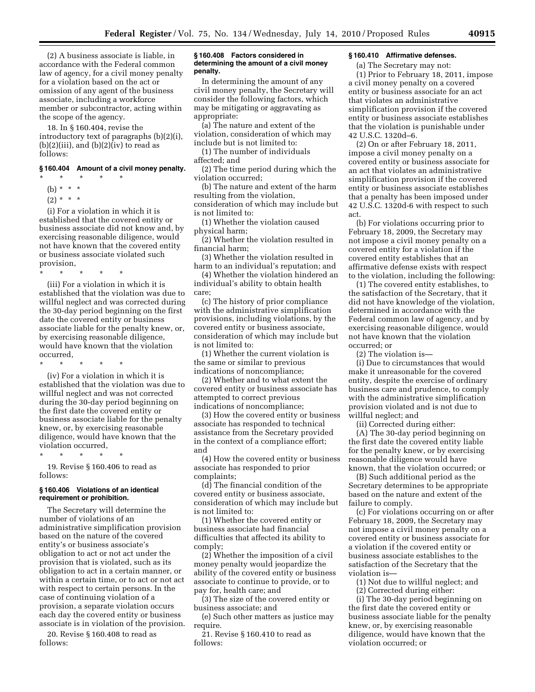(2) A business associate is liable, in accordance with the Federal common law of agency, for a civil money penalty for a violation based on the act or omission of any agent of the business associate, including a workforce member or subcontractor, acting within the scope of the agency.

18. In § 160.404, revise the introductory text of paragraphs (b)(2)(i),  $(b)(2)(iii)$ , and  $(b)(2)(iv)$  to read as follows:

#### **§ 160.404 Amount of a civil money penalty.**

- \* \* \* \* \*
	- (b)  $* * * *$
	- $(2) * * * *$

(i) For a violation in which it is established that the covered entity or business associate did not know and, by exercising reasonable diligence, would not have known that the covered entity or business associate violated such provision,

(iii) For a violation in which it is established that the violation was due to willful neglect and was corrected during the 30-day period beginning on the first date the covered entity or business associate liable for the penalty knew, or, by exercising reasonable diligence, would have known that the violation occurred,

\* \* \* \* \*

\* \* \* \* \*

(iv) For a violation in which it is established that the violation was due to willful neglect and was not corrected during the 30-day period beginning on the first date the covered entity or business associate liable for the penalty knew, or, by exercising reasonable diligence, would have known that the violation occurred,

\* \* \* \* \*

19. Revise § 160.406 to read as follows:

## **§ 160.406 Violations of an identical requirement or prohibition.**

The Secretary will determine the number of violations of an administrative simplification provision based on the nature of the covered entity's or business associate's obligation to act or not act under the provision that is violated, such as its obligation to act in a certain manner, or within a certain time, or to act or not act with respect to certain persons. In the case of continuing violation of a provision, a separate violation occurs each day the covered entity or business associate is in violation of the provision.

20. Revise § 160.408 to read as follows:

## **§ 160.408 Factors considered in determining the amount of a civil money penalty.**

In determining the amount of any civil money penalty, the Secretary will consider the following factors, which may be mitigating or aggravating as appropriate:

(a) The nature and extent of the violation, consideration of which may include but is not limited to:

(1) The number of individuals affected; and

(2) The time period during which the violation occurred;

(b) The nature and extent of the harm resulting from the violation, consideration of which may include but is not limited to:

(1) Whether the violation caused physical harm;

(2) Whether the violation resulted in financial harm;

(3) Whether the violation resulted in harm to an individual's reputation; and

(4) Whether the violation hindered an individual's ability to obtain health care;

(c) The history of prior compliance with the administrative simplification provisions, including violations, by the covered entity or business associate, consideration of which may include but is not limited to:

(1) Whether the current violation is the same or similar to previous indications of noncompliance;

(2) Whether and to what extent the covered entity or business associate has attempted to correct previous indications of noncompliance;

(3) How the covered entity or business associate has responded to technical assistance from the Secretary provided in the context of a compliance effort; and

(4) How the covered entity or business associate has responded to prior complaints;

(d) The financial condition of the covered entity or business associate, consideration of which may include but is not limited to:

(1) Whether the covered entity or business associate had financial difficulties that affected its ability to comply;

(2) Whether the imposition of a civil money penalty would jeopardize the ability of the covered entity or business associate to continue to provide, or to pay for, health care; and

(3) The size of the covered entity or business associate; and

(e) Such other matters as justice may require.

21. Revise § 160.410 to read as follows:

## **§ 160.410 Affirmative defenses.**

(a) The Secretary may not:

(1) Prior to February 18, 2011, impose a civil money penalty on a covered entity or business associate for an act that violates an administrative simplification provision if the covered entity or business associate establishes that the violation is punishable under 42 U.S.C. 1320d–6.

(2) On or after February 18, 2011, impose a civil money penalty on a covered entity or business associate for an act that violates an administrative simplification provision if the covered entity or business associate establishes that a penalty has been imposed under 42 U.S.C. 1320d-6 with respect to such act.

(b) For violations occurring prior to February 18, 2009, the Secretary may not impose a civil money penalty on a covered entity for a violation if the covered entity establishes that an affirmative defense exists with respect to the violation, including the following:

(1) The covered entity establishes, to the satisfaction of the Secretary, that it did not have knowledge of the violation, determined in accordance with the Federal common law of agency, and by exercising reasonable diligence, would not have known that the violation occurred; or

(2) The violation is—

(i) Due to circumstances that would make it unreasonable for the covered entity, despite the exercise of ordinary business care and prudence, to comply with the administrative simplification provision violated and is not due to willful neglect; and

(ii) Corrected during either:

(A) The 30-day period beginning on the first date the covered entity liable for the penalty knew, or by exercising reasonable diligence would have known, that the violation occurred; or

(B) Such additional period as the Secretary determines to be appropriate based on the nature and extent of the failure to comply.

(c) For violations occurring on or after February 18, 2009, the Secretary may not impose a civil money penalty on a covered entity or business associate for a violation if the covered entity or business associate establishes to the satisfaction of the Secretary that the violation is—

(1) Not due to willful neglect; and

(2) Corrected during either:

(i) The 30-day period beginning on the first date the covered entity or business associate liable for the penalty knew, or, by exercising reasonable diligence, would have known that the violation occurred; or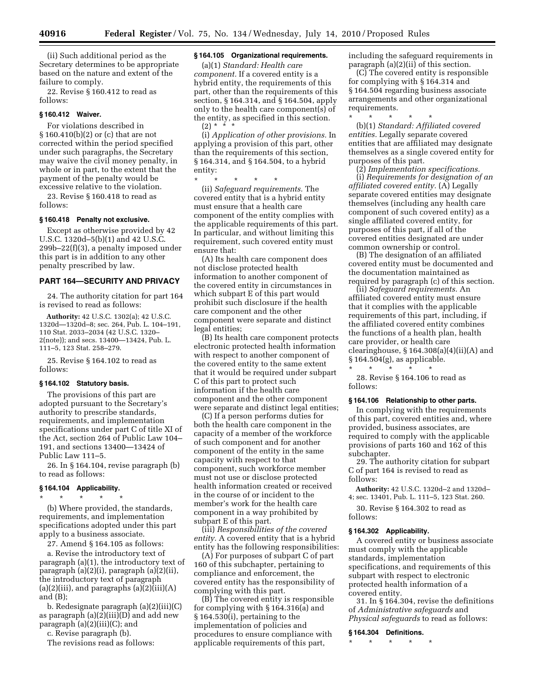(ii) Such additional period as the Secretary determines to be appropriate based on the nature and extent of the failure to comply.

22. Revise § 160.412 to read as follows:

## **§ 160.412 Waiver.**

For violations described in § 160.410(b)(2) or (c) that are not corrected within the period specified under such paragraphs, the Secretary may waive the civil money penalty, in whole or in part, to the extent that the payment of the penalty would be excessive relative to the violation.

23. Revise § 160.418 to read as follows:

## **§ 160.418 Penalty not exclusive.**

Except as otherwise provided by 42 U.S.C. 1320d–5(b)(1) and 42 U.S.C. 299b–22(f)(3), a penalty imposed under this part is in addition to any other penalty prescribed by law.

#### **PART 164—SECURITY AND PRIVACY**

24. The authority citation for part 164 is revised to read as follows:

**Authority:** 42 U.S.C. 1302(a); 42 U.S.C. 1320d—1320d–8; sec. 264, Pub. L. 104–191, 110 Stat. 2033–2034 (42 U.S.C. 1320– 2(note)); and secs. 13400—13424, Pub. L. 111–5, 123 Stat. 258–279.

25. Revise § 164.102 to read as follows:

#### **§ 164.102 Statutory basis.**

The provisions of this part are adopted pursuant to the Secretary's authority to prescribe standards, requirements, and implementation specifications under part C of title XI of the Act, section 264 of Public Law 104– 191, and sections 13400—13424 of Public Law 111–5.

26. In § 164.104, revise paragraph (b) to read as follows:

#### **§ 164.104 Applicability.**

\* \* \* \* \*

(b) Where provided, the standards, requirements, and implementation specifications adopted under this part apply to a business associate.

27. Amend § 164.105 as follows:

a. Revise the introductory text of paragraph (a)(1), the introductory text of paragraph (a)(2)(i), paragraph (a)(2)(ii), the introductory text of paragraph  $(a)(2)(iii)$ , and paragraphs  $(a)(2)(iii)(A)$ and (B);

b. Redesignate paragraph (a)(2)(iii)(C) as paragraph (a)(2)(iii)(D) and add new paragraph (a)(2)(iii)(C); and

c. Revise paragraph (b).

The revisions read as follows:

## **§ 164.105 Organizational requirements.**

(a)(1) *Standard: Health care component.* If a covered entity is a hybrid entity, the requirements of this part, other than the requirements of this section, § 164.314, and § 164.504, apply only to the health care component(s) of the entity, as specified in this section.  $(2) * * * *$ 

(i) *Application of other provisions.* In applying a provision of this part, other than the requirements of this section, § 164.314, and § 164.504, to a hybrid entity:

\* \* \* \* \*

(ii) *Safeguard requirements.* The covered entity that is a hybrid entity must ensure that a health care component of the entity complies with the applicable requirements of this part. In particular, and without limiting this requirement, such covered entity must ensure that:

(A) Its health care component does not disclose protected health information to another component of the covered entity in circumstances in which subpart E of this part would prohibit such disclosure if the health care component and the other component were separate and distinct legal entities;

(B) Its health care component protects electronic protected health information with respect to another component of the covered entity to the same extent that it would be required under subpart C of this part to protect such information if the health care component and the other component were separate and distinct legal entities;

(C) If a person performs duties for both the health care component in the capacity of a member of the workforce of such component and for another component of the entity in the same capacity with respect to that component, such workforce member must not use or disclose protected health information created or received in the course of or incident to the member's work for the health care component in a way prohibited by subpart E of this part.

(iii) *Responsibilities of the covered entity.* A covered entity that is a hybrid entity has the following responsibilities:

(A) For purposes of subpart C of part 160 of this subchapter, pertaining to compliance and enforcement, the covered entity has the responsibility of complying with this part.

(B) The covered entity is responsible for complying with § 164.316(a) and § 164.530(i), pertaining to the implementation of policies and procedures to ensure compliance with applicable requirements of this part,

including the safeguard requirements in paragraph  $(a)(2)(ii)$  of this section.

(C) The covered entity is responsible for complying with § 164.314 and § 164.504 regarding business associate arrangements and other organizational requirements.

\* \* \* \* \* (b)(1) *Standard: Affiliated covered entities.* Legally separate covered entities that are affiliated may designate themselves as a single covered entity for purposes of this part.

(2) *Implementation specifications.*  (i) *Requirements for designation of an affiliated covered entity.* (A) Legally separate covered entities may designate themselves (including any health care component of such covered entity) as a single affiliated covered entity, for purposes of this part, if all of the covered entities designated are under common ownership or control.

(B) The designation of an affiliated covered entity must be documented and the documentation maintained as required by paragraph (c) of this section.

(ii) *Safeguard requirements.* An affiliated covered entity must ensure that it complies with the applicable requirements of this part, including, if the affiliated covered entity combines the functions of a health plan, health care provider, or health care clearinghouse, § 164.308(a)(4)(ii)(A) and § 164.504(g), as applicable.

\* \* \* \* \* 28. Revise § 164.106 to read as follows:

#### **§ 164.106 Relationship to other parts.**

In complying with the requirements of this part, covered entities and, where provided, business associates, are required to comply with the applicable provisions of parts 160 and 162 of this subchapter.

29. The authority citation for subpart C of part 164 is revised to read as follows:

**Authority:** 42 U.S.C. 1320d–2 and 1320d– 4; sec. 13401, Pub. L. 111–5, 123 Stat. 260.

30. Revise § 164.302 to read as follows:

#### **§ 164.302 Applicability.**

A covered entity or business associate must comply with the applicable standards, implementation specifications, and requirements of this subpart with respect to electronic protected health information of a covered entity.

31. In § 164.304, revise the definitions of *Administrative safeguards* and *Physical safeguards* to read as follows:

#### **§ 164.304 Definitions.**

\* \* \* \* \*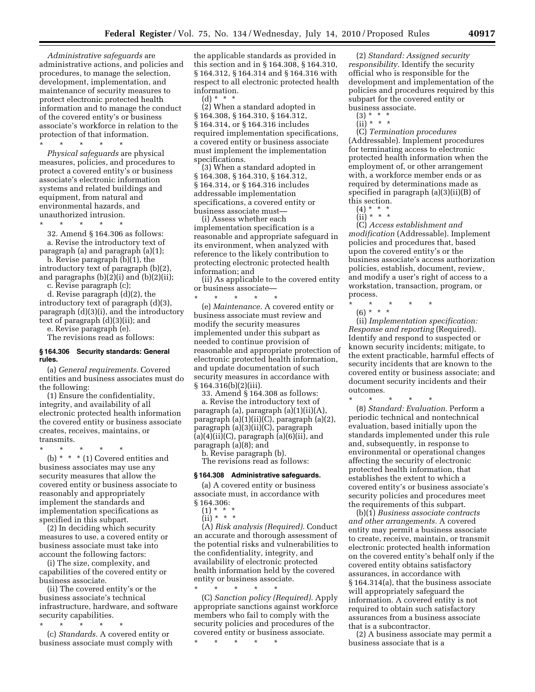*Administrative safeguards* are administrative actions, and policies and procedures, to manage the selection, development, implementation, and maintenance of security measures to protect electronic protected health information and to manage the conduct of the covered entity's or business associate's workforce in relation to the protection of that information.

\* \* \* \* \* *Physical safeguards* are physical measures, policies, and procedures to protect a covered entity's or business associate's electronic information systems and related buildings and equipment, from natural and environmental hazards, and unauthorized intrusion.

\* \* \* \* \*

32. Amend § 164.306 as follows: a. Revise the introductory text of paragraph (a) and paragraph (a)(1);

b. Revise paragraph (b)(1), the introductory text of paragraph (b)(2), and paragraphs  $(b)(2)(i)$  and  $(b)(2)(ii)$ ;

c. Revise paragraph (c); d. Revise paragraph (d)(2), the introductory text of paragraph (d)(3),

paragraph (d)(3)(i), and the introductory text of paragraph (d)(3)(ii); and e. Revise paragraph (e).

The revisions read as follows:

#### **§ 164.306 Security standards: General rules.**

(a) *General requirements.* Covered entities and business associates must do the following:

(1) Ensure the confidentiality, integrity, and availability of all electronic protected health information the covered entity or business associate creates, receives, maintains, or transmits.

\* \* \* \* \* (b) \* \* \* (1) Covered entities and business associates may use any security measures that allow the covered entity or business associate to reasonably and appropriately implement the standards and implementation specifications as specified in this subpart.

(2) In deciding which security measures to use, a covered entity or business associate must take into account the following factors:

(i) The size, complexity, and capabilities of the covered entity or business associate.

(ii) The covered entity's or the business associate's technical infrastructure, hardware, and software security capabilities.

\* \* \* \* \* (c) *Standards.* A covered entity or business associate must comply with the applicable standards as provided in this section and in § 164.308, § 164.310, § 164.312, § 164.314 and § 164.316 with respect to all electronic protected health information.

(d) \* \* \*

(2) When a standard adopted in § 164.308, § 164.310, § 164.312, § 164.314, or § 164.316 includes required implementation specifications, a covered entity or business associate must implement the implementation specifications.

(3) When a standard adopted in § 164.308, § 164.310, § 164.312, § 164.314, or § 164.316 includes addressable implementation specifications, a covered entity or business associate must—

(i) Assess whether each implementation specification is a reasonable and appropriate safeguard in its environment, when analyzed with reference to the likely contribution to protecting electronic protected health information; and

(ii) As applicable to the covered entity or business associate—

\* \* \* \* \* (e) *Maintenance.* A covered entity or business associate must review and modify the security measures implemented under this subpart as needed to continue provision of reasonable and appropriate protection of electronic protected health information, and update documentation of such security measures in accordance with § 164.316(b)(2)(iii).

33. Amend § 164.308 as follows: a. Revise the introductory text of paragraph (a), paragraph (a)(1)(ii)(A), paragraph (a)(1)(ii)(C), paragraph (a)(2), paragraph (a)(3)(ii)(C), paragraph  $(a)(4)$  $(ii)(C)$ , paragraph  $(a)(6)$  $(ii)$ , and paragraph (a)(8); and

b. Revise paragraph (b). The revisions read as follows:

## **§ 164.308 Administrative safeguards.**

(a) A covered entity or business associate must, in accordance with § 164.306:

- $(1) *$
- $(ii) * * * *$

(A) *Risk analysis (Required).* Conduct an accurate and thorough assessment of the potential risks and vulnerabilities to the confidentiality, integrity, and availability of electronic protected health information held by the covered entity or business associate.

\* \* \* \* \* (C) *Sanction policy (Required).* Apply appropriate sanctions against workforce members who fail to comply with the security policies and procedures of the covered entity or business associate.

\* \* \* \* \*

(2) *Standard: Assigned security responsibility.* Identify the security official who is responsible for the development and implementation of the policies and procedures required by this subpart for the covered entity or business associate.

- (3) \* \* \*
- (ii) \* \* \*

(C) *Termination procedures*  (Addressable). Implement procedures for terminating access to electronic protected health information when the employment of, or other arrangement with, a workforce member ends or as required by determinations made as specified in paragraph (a)(3)(ii)(B) of this section.

- (4) \* \* \*
- (ii) \* \* \*

(C) *Access establishment and modification* (Addressable). Implement policies and procedures that, based upon the covered entity's or the business associate's access authorization policies, establish, document, review, and modify a user's right of access to a workstation, transaction, program, or process.

\* \* \* \* \*

(6) \* \* \* (ii) *Implementation specification: Response and reporting* (Required). Identify and respond to suspected or known security incidents; mitigate, to the extent practicable, harmful effects of security incidents that are known to the covered entity or business associate; and document security incidents and their outcomes.

\* \* \* \* \* (8) *Standard: Evaluation.* Perform a periodic technical and nontechnical evaluation, based initially upon the standards implemented under this rule and, subsequently, in response to environmental or operational changes affecting the security of electronic protected health information, that establishes the extent to which a covered entity's or business associate's security policies and procedures meet the requirements of this subpart.

(b)(1) *Business associate contracts and other arrangements.* A covered entity may permit a business associate to create, receive, maintain, or transmit electronic protected health information on the covered entity's behalf only if the covered entity obtains satisfactory assurances, in accordance with § 164.314(a), that the business associate will appropriately safeguard the information. A covered entity is not required to obtain such satisfactory assurances from a business associate that is a subcontractor.

(2) A business associate may permit a business associate that is a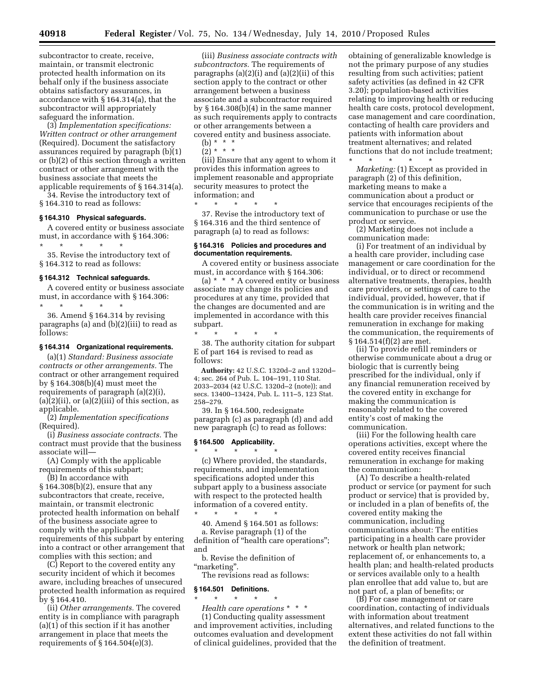subcontractor to create, receive, maintain, or transmit electronic protected health information on its behalf only if the business associate obtains satisfactory assurances, in accordance with § 164.314(a), that the subcontractor will appropriately safeguard the information.

(3) *Implementation specifications: Written contract or other arrangement*  (Required). Document the satisfactory assurances required by paragraph (b)(1) or (b)(2) of this section through a written contract or other arrangement with the business associate that meets the applicable requirements of § 164.314(a).

34. Revise the introductory text of § 164.310 to read as follows:

## **§ 164.310 Physical safeguards.**

A covered entity or business associate must, in accordance with § 164.306: \* \* \* \* \*

35. Revise the introductory text of § 164.312 to read as follows:

#### **§ 164.312 Technical safeguards.**

A covered entity or business associate must, in accordance with § 164.306: \* \* \* \* \*

36. Amend § 164.314 by revising paragraphs (a) and (b)(2)(iii) to read as follows:

#### **§ 164.314 Organizational requirements.**

(a)(1) *Standard: Business associate contracts or other arrangements.* The contract or other arrangement required by § 164.308(b)(4) must meet the requirements of paragraph (a)(2)(i),  $(a)(2)(ii)$ , or  $(a)(2)(iii)$  of this section, as applicable.

(2) *Implementation specifications*  (Required).

(i) *Business associate contracts.* The contract must provide that the business associate will—

(A) Comply with the applicable requirements of this subpart;

(B) In accordance with § 164.308(b)(2), ensure that any subcontractors that create, receive, maintain, or transmit electronic protected health information on behalf of the business associate agree to comply with the applicable requirements of this subpart by entering into a contract or other arrangement that complies with this section; and

(C) Report to the covered entity any security incident of which it becomes aware, including breaches of unsecured protected health information as required by § 164.410.

(ii) *Other arrangements.* The covered entity is in compliance with paragraph (a)(1) of this section if it has another arrangement in place that meets the requirements of  $\S 164.504(e)(3)$ .

(iii) *Business associate contracts with subcontractors.* The requirements of paragraphs  $(a)(2)(i)$  and  $(a)(2)(ii)$  of this section apply to the contract or other arrangement between a business associate and a subcontractor required by § 164.308(b)(4) in the same manner as such requirements apply to contracts or other arrangements between a covered entity and business associate.

(b) \* \* \*

 $(2)^* * * *$ 

(iii) Ensure that any agent to whom it provides this information agrees to implement reasonable and appropriate security measures to protect the information; and

\* \* \* \* \* 37. Revise the introductory text of § 164.316 and the third sentence of paragraph (a) to read as follows:

## **§ 164.316 Policies and procedures and documentation requirements.**

A covered entity or business associate must, in accordance with § 164.306:

(a)  $* * * A$  covered entity or business associate may change its policies and procedures at any time, provided that the changes are documented and are implemented in accordance with this subpart.

\* \* \* \* \* 38. The authority citation for subpart E of part 164 is revised to read as follows:

**Authority:** 42 U.S.C. 1320d–2 and 1320d– 4; sec. 264 of Pub. L. 104–191, 110 Stat. 2033–2034 (42 U.S.C. 1320d–2 (note)); and secs. 13400–13424, Pub. L. 111–5, 123 Stat. 258–279.

39. In § 164.500, redesignate paragraph (c) as paragraph (d) and add new paragraph (c) to read as follows:

#### **§ 164.500 Applicability.**  \* \* \* \* \*

(c) Where provided, the standards, requirements, and implementation specifications adopted under this subpart apply to a business associate with respect to the protected health information of a covered entity.

\* \* \* \* \* 40. Amend § 164.501 as follows: a. Revise paragraph (1) of the definition of ''health care operations''; and

b. Revise the definition of ''marketing''.

The revisions read as follows:

## **§ 164.501 Definitions.**

\* \* \* \* \* *Health care operations* \* \* \* (1) Conducting quality assessment and improvement activities, including outcomes evaluation and development of clinical guidelines, provided that the obtaining of generalizable knowledge is not the primary purpose of any studies resulting from such activities; patient safety activities (as defined in 42 CFR 3.20); population-based activities relating to improving health or reducing health care costs, protocol development, case management and care coordination, contacting of health care providers and patients with information about treatment alternatives; and related functions that do not include treatment; \* \* \* \* \*

*Marketing:* (1) Except as provided in paragraph (2) of this definition, marketing means to make a communication about a product or service that encourages recipients of the communication to purchase or use the product or service.

(2) Marketing does not include a communication made:

(i) For treatment of an individual by a health care provider, including case management or care coordination for the individual, or to direct or recommend alternative treatments, therapies, health care providers, or settings of care to the individual, provided, however, that if the communication is in writing and the health care provider receives financial remuneration in exchange for making the communication, the requirements of § 164.514(f)(2) are met.

(ii) To provide refill reminders or otherwise communicate about a drug or biologic that is currently being prescribed for the individual, only if any financial remuneration received by the covered entity in exchange for making the communication is reasonably related to the covered entity's cost of making the communication.

(iii) For the following health care operations activities, except where the covered entity receives financial remuneration in exchange for making the communication:

(A) To describe a health-related product or service (or payment for such product or service) that is provided by, or included in a plan of benefits of, the covered entity making the communication, including communications about: The entities participating in a health care provider network or health plan network; replacement of, or enhancements to, a health plan; and health-related products or services available only to a health plan enrollee that add value to, but are not part of, a plan of benefits; or

(B) For case management or care coordination, contacting of individuals with information about treatment alternatives, and related functions to the extent these activities do not fall within the definition of treatment.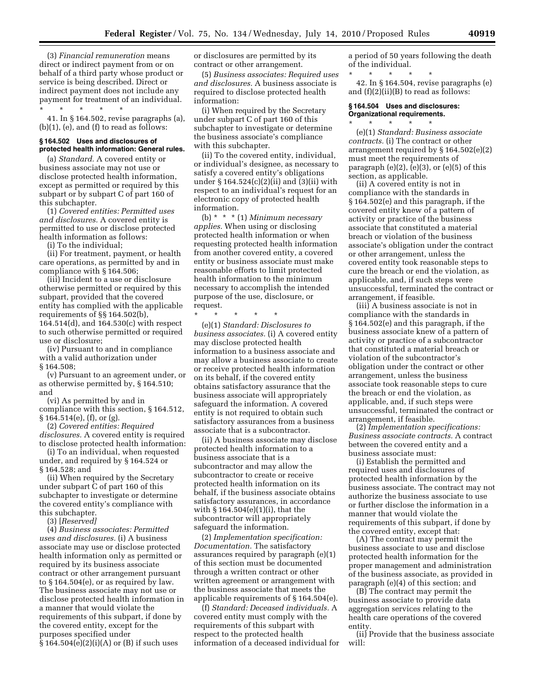(3) *Financial remuneration* means direct or indirect payment from or on behalf of a third party whose product or service is being described. Direct or indirect payment does not include any payment for treatment of an individual. \* \* \* \* \*

41. In § 164.502, revise paragraphs (a), (b)(1), (e), and (f) to read as follows:

## **§ 164.502 Uses and disclosures of protected health information: General rules.**

(a) *Standard.* A covered entity or business associate may not use or disclose protected health information, except as permitted or required by this subpart or by subpart C of part 160 of this subchapter.

(1) *Covered entities: Permitted uses and disclosures.* A covered entity is permitted to use or disclose protected health information as follows:

(i) To the individual;

(ii) For treatment, payment, or health care operations, as permitted by and in compliance with § 164.506;

(iii) Incident to a use or disclosure otherwise permitted or required by this subpart, provided that the covered entity has complied with the applicable requirements of §§ 164.502(b), 164.514(d), and 164.530(c) with respect to such otherwise permitted or required use or disclosure;

(iv) Pursuant to and in compliance with a valid authorization under § 164.508;

(v) Pursuant to an agreement under, or as otherwise permitted by, § 164.510; and

(vi) As permitted by and in compliance with this section, § 164.512,  $\S 164.514(e)$ , (f), or (g).

(2) *Covered entities: Required disclosures.* A covered entity is required to disclose protected health information:

(i) To an individual, when requested under, and required by § 164.524 or § 164.528; and

(ii) When required by the Secretary under subpart C of part 160 of this subchapter to investigate or determine the covered entity's compliance with this subchapter.

(3) [*Reserved]* 

(4) *Business associates: Permitted uses and disclosures.* (i) A business associate may use or disclose protected health information only as permitted or required by its business associate contract or other arrangement pursuant to  $\S 164.504(e)$ , or as required by law. The business associate may not use or disclose protected health information in a manner that would violate the requirements of this subpart, if done by the covered entity, except for the purposes specified under  $§ 164.504(e)(2)(i)(A)$  or (B) if such uses

or disclosures are permitted by its contract or other arrangement.

(5) *Business associates: Required uses and disclosures.* A business associate is required to disclose protected health information:

(i) When required by the Secretary under subpart C of part 160 of this subchapter to investigate or determine the business associate's compliance with this subchapter.

(ii) To the covered entity, individual, or individual's designee, as necessary to satisfy a covered entity's obligations under § 164.524(c)(2)(ii) and (3)(ii) with respect to an individual's request for an electronic copy of protected health information.

(b) \* \* \* (1) *Minimum necessary applies.* When using or disclosing protected health information or when requesting protected health information from another covered entity, a covered entity or business associate must make reasonable efforts to limit protected health information to the minimum necessary to accomplish the intended purpose of the use, disclosure, or request.

\* \* \* \* \*

(e)(1) *Standard: Disclosures to business associates.* (i) A covered entity may disclose protected health information to a business associate and may allow a business associate to create or receive protected health information on its behalf, if the covered entity obtains satisfactory assurance that the business associate will appropriately safeguard the information. A covered entity is not required to obtain such satisfactory assurances from a business associate that is a subcontractor.

(ii) A business associate may disclose protected health information to a business associate that is a subcontractor and may allow the subcontractor to create or receive protected health information on its behalf, if the business associate obtains satisfactory assurances, in accordance with § 164.504(e)(1)(i), that the subcontractor will appropriately safeguard the information.

(2) *Implementation specification: Documentation.* The satisfactory assurances required by paragraph (e)(1) of this section must be documented through a written contract or other written agreement or arrangement with the business associate that meets the applicable requirements of § 164.504(e).

(f) *Standard: Deceased individuals.* A covered entity must comply with the requirements of this subpart with respect to the protected health information of a deceased individual for a period of 50 years following the death of the individual.

\* \* \* \* \* 42. In § 164.504, revise paragraphs (e) and (f)(2)(ii)(B) to read as follows:

#### **§ 164.504 Uses and disclosures: Organizational requirements.**  \* \* \* \* \*

(e)(1) *Standard: Business associate contracts.* (i) The contract or other arrangement required by § 164.502(e)(2) must meet the requirements of paragraph  $(e)(2)$ ,  $(e)(3)$ , or  $(e)(5)$  of this section, as applicable.

(ii) A covered entity is not in compliance with the standards in § 164.502(e) and this paragraph, if the covered entity knew of a pattern of activity or practice of the business associate that constituted a material breach or violation of the business associate's obligation under the contract or other arrangement, unless the covered entity took reasonable steps to cure the breach or end the violation, as applicable, and, if such steps were unsuccessful, terminated the contract or arrangement, if feasible.

(iii) A business associate is not in compliance with the standards in § 164.502(e) and this paragraph, if the business associate knew of a pattern of activity or practice of a subcontractor that constituted a material breach or violation of the subcontractor's obligation under the contract or other arrangement, unless the business associate took reasonable steps to cure the breach or end the violation, as applicable, and, if such steps were unsuccessful, terminated the contract or arrangement, if feasible.

(2) *Implementation specifications: Business associate contracts.* A contract between the covered entity and a business associate must:

(i) Establish the permitted and required uses and disclosures of protected health information by the business associate. The contract may not authorize the business associate to use or further disclose the information in a manner that would violate the requirements of this subpart, if done by the covered entity, except that:

(A) The contract may permit the business associate to use and disclose protected health information for the proper management and administration of the business associate, as provided in paragraph (e)(4) of this section; and

(B) The contract may permit the business associate to provide data aggregation services relating to the health care operations of the covered entity.

(ii) Provide that the business associate will: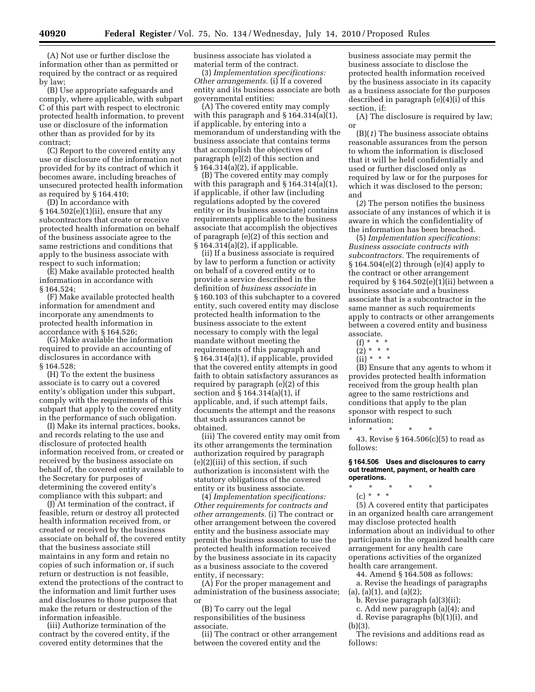(A) Not use or further disclose the information other than as permitted or required by the contract or as required by law;

(B) Use appropriate safeguards and comply, where applicable, with subpart C of this part with respect to electronic protected health information, to prevent use or disclosure of the information other than as provided for by its contract;

(C) Report to the covered entity any use or disclosure of the information not provided for by its contract of which it becomes aware, including breaches of unsecured protected health information as required by § 164.410;

(D) In accordance with § 164.502(e)(1)(ii), ensure that any subcontractors that create or receive protected health information on behalf of the business associate agree to the same restrictions and conditions that apply to the business associate with respect to such information;

(E) Make available protected health information in accordance with § 164.524;

(F) Make available protected health information for amendment and incorporate any amendments to protected health information in accordance with § 164.526;

(G) Make available the information required to provide an accounting of disclosures in accordance with § 164.528;

(H) To the extent the business associate is to carry out a covered entity's obligation under this subpart, comply with the requirements of this subpart that apply to the covered entity in the performance of such obligation.

(I) Make its internal practices, books, and records relating to the use and disclosure of protected health information received from, or created or received by the business associate on behalf of, the covered entity available to the Secretary for purposes of determining the covered entity's compliance with this subpart; and

(J) At termination of the contract, if feasible, return or destroy all protected health information received from, or created or received by the business associate on behalf of, the covered entity that the business associate still maintains in any form and retain no copies of such information or, if such return or destruction is not feasible, extend the protections of the contract to the information and limit further uses and disclosures to those purposes that make the return or destruction of the information infeasible.

(iii) Authorize termination of the contract by the covered entity, if the covered entity determines that the

business associate has violated a material term of the contract.

(3) *Implementation specifications: Other arrangements.* (i) If a covered entity and its business associate are both governmental entities:

(A) The covered entity may comply with this paragraph and  $\S 164.314(a)(1)$ , if applicable, by entering into a memorandum of understanding with the business associate that contains terms that accomplish the objectives of paragraph (e)(2) of this section and § 164.314(a)(2), if applicable.

(B) The covered entity may comply with this paragraph and  $\S$  164.314(a)(1), if applicable, if other law (including regulations adopted by the covered entity or its business associate) contains requirements applicable to the business associate that accomplish the objectives of paragraph (e)(2) of this section and § 164.314(a)(2), if applicable.

(ii) If a business associate is required by law to perform a function or activity on behalf of a covered entity or to provide a service described in the definition of *business associate* in § 160.103 of this subchapter to a covered entity, such covered entity may disclose protected health information to the business associate to the extent necessary to comply with the legal mandate without meeting the requirements of this paragraph and § 164.314(a)(1), if applicable, provided that the covered entity attempts in good faith to obtain satisfactory assurances as required by paragraph (e)(2) of this section and § 164.314(a)(1), if applicable, and, if such attempt fails, documents the attempt and the reasons that such assurances cannot be obtained.

(iii) The covered entity may omit from its other arrangements the termination authorization required by paragraph (e)(2)(iii) of this section, if such authorization is inconsistent with the statutory obligations of the covered entity or its business associate.

(4) *Implementation specifications: Other requirements for contracts and other arrangements.* (i) The contract or other arrangement between the covered entity and the business associate may permit the business associate to use the protected health information received by the business associate in its capacity as a business associate to the covered entity, if necessary:

(A) For the proper management and administration of the business associate; or

(B) To carry out the legal responsibilities of the business associate.

(ii) The contract or other arrangement between the covered entity and the

business associate may permit the business associate to disclose the protected health information received by the business associate in its capacity as a business associate for the purposes described in paragraph (e)(4)(i) of this section, if:

(A) The disclosure is required by law; or

(B)(*1*) The business associate obtains reasonable assurances from the person to whom the information is disclosed that it will be held confidentially and used or further disclosed only as required by law or for the purposes for which it was disclosed to the person; and

(*2*) The person notifies the business associate of any instances of which it is aware in which the confidentiality of the information has been breached.

(5) *Implementation specifications: Business associate contracts with subcontractors.* The requirements of § 164.504(e)(2) through (e)(4) apply to the contract or other arrangement required by  $\S 164.502(e)(1)(ii)$  between a business associate and a business associate that is a subcontractor in the same manner as such requirements apply to contracts or other arrangements between a covered entity and business associate.

- (f) \* \* \*
- $(2) * * * *$  $(ii) * * * *$
- 

(B) Ensure that any agents to whom it provides protected health information received from the group health plan agree to the same restrictions and conditions that apply to the plan sponsor with respect to such information;

\* \* \* \* \* 43. Revise § 164.506(c)(5) to read as follows:

#### **§ 164.506 Uses and disclosures to carry out treatment, payment, or health care operations.**

\* \* \* \* \* (c) \* \* \*

(5) A covered entity that participates in an organized health care arrangement may disclose protected health information about an individual to other participants in the organized health care arrangement for any health care operations activities of the organized health care arrangement.

44. Amend § 164.508 as follows:

a. Revise the headings of paragraphs (a), (a)(1), and (a)(2);

b. Revise paragraph (a)(3)(ii);

c. Add new paragraph (a)(4); and

d. Revise paragraphs (b)(1)(i), and (b)(3).

The revisions and additions read as follows: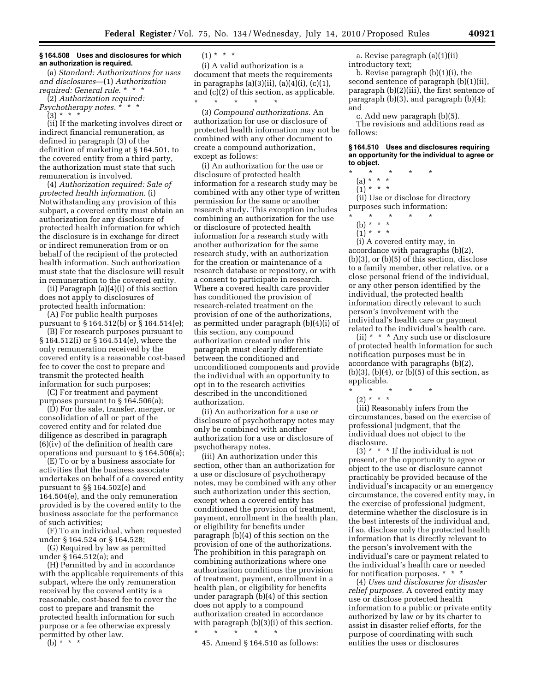## **§ 164.508 Uses and disclosures for which an authorization is required.**

(a) *Standard: Authorizations for uses and disclosures*—(1) *Authorization required: General rule.* \* \* \*

(2) *Authorization required: Psychotherapy notes.* \* \* \*

 $(3) * * * *$ 

(ii) If the marketing involves direct or indirect financial remuneration, as defined in paragraph (3) of the definition of marketing at § 164.501, to the covered entity from a third party, the authorization must state that such remuneration is involved.

(4) *Authorization required: Sale of protected health information.* (i) Notwithstanding any provision of this subpart, a covered entity must obtain an authorization for any disclosure of protected health information for which the disclosure is in exchange for direct or indirect remuneration from or on behalf of the recipient of the protected health information. Such authorization must state that the disclosure will result in remuneration to the covered entity.

(ii) Paragraph (a)(4)(i) of this section does not apply to disclosures of protected health information:

(A) For public health purposes pursuant to § 164.512(b) or § 164.514(e);

(B) For research purposes pursuant to § 164.512(i) or § 164.514(e), where the only remuneration received by the covered entity is a reasonable cost-based fee to cover the cost to prepare and transmit the protected health information for such purposes;

(C) For treatment and payment purposes pursuant to § 164.506(a);

(D) For the sale, transfer, merger, or consolidation of all or part of the covered entity and for related due diligence as described in paragraph (6)(iv) of the definition of health care operations and pursuant to § 164.506(a);

(E) To or by a business associate for activities that the business associate undertakes on behalf of a covered entity pursuant to §§ 164.502(e) and 164.504(e), and the only remuneration provided is by the covered entity to the business associate for the performance of such activities;

(F) To an individual, when requested under § 164.524 or § 164.528;

(G) Required by law as permitted under § 164.512(a); and

(H) Permitted by and in accordance with the applicable requirements of this subpart, where the only remuneration received by the covered entity is a reasonable, cost-based fee to cover the cost to prepare and transmit the protected health information for such purpose or a fee otherwise expressly permitted by other law.

(b)  $* * * *$ 

 $(1) * * * *$ 

(i) A valid authorization is a document that meets the requirements in paragraphs (a)(3)(ii), (a)(4)(i), (c)(1), and (c)(2) of this section, as applicable. \* \* \* \* \*

(3) *Compound authorizations.* An authorization for use or disclosure of protected health information may not be combined with any other document to create a compound authorization, except as follows:

(i) An authorization for the use or disclosure of protected health information for a research study may be combined with any other type of written permission for the same or another research study. This exception includes combining an authorization for the use or disclosure of protected health information for a research study with another authorization for the same research study, with an authorization for the creation or maintenance of a research database or repository, or with a consent to participate in research. Where a covered health care provider has conditioned the provision of research-related treatment on the provision of one of the authorizations, as permitted under paragraph (b)(4)(i) of this section, any compound authorization created under this paragraph must clearly differentiate between the conditioned and unconditioned components and provide the individual with an opportunity to opt in to the research activities described in the unconditioned authorization.

(ii) An authorization for a use or disclosure of psychotherapy notes may only be combined with another authorization for a use or disclosure of psychotherapy notes.

(iii) An authorization under this section, other than an authorization for a use or disclosure of psychotherapy notes, may be combined with any other such authorization under this section, except when a covered entity has conditioned the provision of treatment, payment, enrollment in the health plan, or eligibility for benefits under paragraph (b)(4) of this section on the provision of one of the authorizations. The prohibition in this paragraph on combining authorizations where one authorization conditions the provision of treatment, payment, enrollment in a health plan, or eligibility for benefits under paragraph (b)(4) of this section does not apply to a compound authorization created in accordance with paragraph (b)(3)(i) of this section.

45. Amend § 164.510 as follows:

\* \* \* \* \*

a. Revise paragraph (a)(1)(ii) introductory text;

b. Revise paragraph (b)(1)(i), the second sentence of paragraph (b)(1)(ii), paragraph (b)(2)(iii), the first sentence of paragraph (b)(3), and paragraph (b)(4); and

c. Add new paragraph (b)(5).

The revisions and additions read as follows:

#### **§ 164.510 Uses and disclosures requiring an opportunity for the individual to agree or to object.**

- \* \* \* \* \*
	- (a) \* \* \*
	- $(1) * * * *$

(ii) Use or disclose for directory purposes such information:

- \* \* \* \* \*
	- (b) \* \* \* (1) \* \* \*

(i) A covered entity may, in accordance with paragraphs (b)(2), (b)(3), or (b)(5) of this section, disclose to a family member, other relative, or a close personal friend of the individual, or any other person identified by the individual, the protected health information directly relevant to such person's involvement with the individual's health care or payment related to the individual's health care.

(ii) \* \* \* Any such use or disclosure of protected health information for such notification purposes must be in accordance with paragraphs (b)(2),  $(b)(3)$ ,  $(b)(4)$ , or  $(b)(5)$  of this section, as applicable.

\* \* \* \* \*

(2) \* \* \*

(iii) Reasonably infers from the circumstances, based on the exercise of professional judgment, that the individual does not object to the disclosure.

 $(3)$  \* \* \* If the individual is not present, or the opportunity to agree or object to the use or disclosure cannot practicably be provided because of the individual's incapacity or an emergency circumstance, the covered entity may, in the exercise of professional judgment, determine whether the disclosure is in the best interests of the individual and, if so, disclose only the protected health information that is directly relevant to the person's involvement with the individual's care or payment related to the individual's health care or needed for notification purposes. \* \* \*

(4) *Uses and disclosures for disaster relief purposes.* A covered entity may use or disclose protected health information to a public or private entity authorized by law or by its charter to assist in disaster relief efforts, for the purpose of coordinating with such entities the uses or disclosures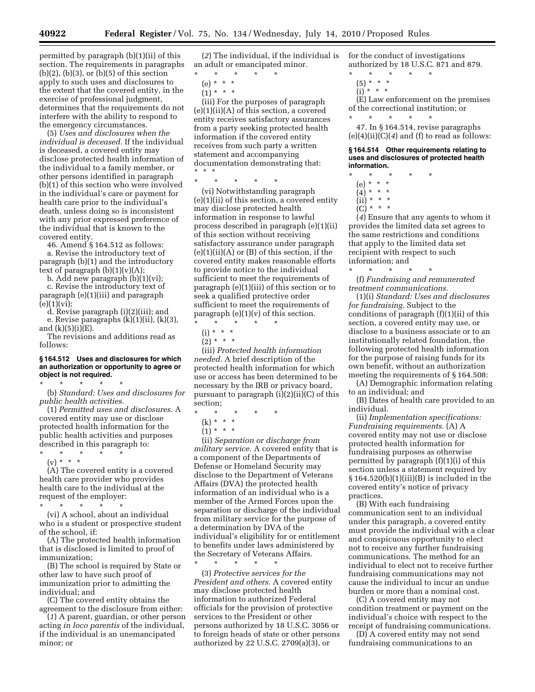permitted by paragraph (b)(1)(ii) of this section. The requirements in paragraphs  $(b)(2)$ ,  $(b)(3)$ , or  $(b)(5)$  of this section apply to such uses and disclosures to the extent that the covered entity, in the exercise of professional judgment, determines that the requirements do not interfere with the ability to respond to the emergency circumstances.

(5) *Uses and disclosures when the individual is deceased.* If the individual is deceased, a covered entity may disclose protected health information of the individual to a family member, or other persons identified in paragraph (b)(1) of this section who were involved in the individual's care or payment for health care prior to the individual's death, unless doing so is inconsistent with any prior expressed preference of the individual that is known to the covered entity.

46. Amend § 164.512 as follows: a. Revise the introductory text of paragraph (b)(1) and the introductory text of paragraph  $(b)(1)(v)(A);$ 

b. Add new paragraph (b)(1)(vi);

c. Revise the introductory text of paragraph (e)(1)(iii) and paragraph  $(e)(1)(vi);$ 

d. Revise paragraph (i)(2)(iii); and e. Revise paragraphs (k)(1)(ii), (k)(3), and (k)(5)(i)(E).

The revisions and additions read as follows:

#### **§ 164.512 Uses and disclosures for which an authorization or opportunity to agree or object is not required.**

\* \* \* \* \* (b) *Standard: Uses and disclosures for public health activities.* 

(1) *Permitted uses and disclosures.* A covered entity may use or disclose protected health information for the public health activities and purposes described in this paragraph to:

\* \* \* \* \* (v) \* \* \*

(A) The covered entity is a covered health care provider who provides health care to the individual at the request of the employer: \* \* \* \* \*

(vi) A school, about an individual who is a student or prospective student of the school, if:

(A) The protected health information that is disclosed is limited to proof of immunization;

(B) The school is required by State or other law to have such proof of immunization prior to admitting the individual; and

(C) The covered entity obtains the agreement to the disclosure from either:

(*1*) A parent, guardian, or other person acting *in loco parentis* of the individual, if the individual is an unemancipated minor; or

(*2*) The individual, if the individual is an adult or emancipated minor.

\* \* \* \* \* (e) \* \* \*

 $(1) * * * *$ 

(iii) For the purposes of paragraph  $(e)(1)(ii)(A)$  of this section, a covered entity receives satisfactory assurances from a party seeking protected health information if the covered entity receives from such party a written statement and accompanying documentation demonstrating that: \* \* \*

\* \* \* \* \*

(vi) Notwithstanding paragraph (e)(1)(ii) of this section, a covered entity may disclose protected health information in response to lawful process described in paragraph (e)(1)(ii) of this section without receiving satisfactory assurance under paragraph  $(e)(1)(ii)(A)$  or  $(B)$  of this section, if the covered entity makes reasonable efforts to provide notice to the individual sufficient to meet the requirements of paragraph (e)(1)(iii) of this section or to seek a qualified protective order sufficient to meet the requirements of paragraph  $(e)(1)(v)$  of this section.

\* \* \* \* \*

- (i) \* \* \*
- $(2) * * * *$

(iii) *Protected health information needed.* A brief description of the protected health information for which use or access has been determined to be necessary by the IRB or privacy board, pursuant to paragraph (i)(2)(ii)(C) of this section;

\* \* \* \* \*

(k) \* \* \*

 $(1) * * * *$ 

(ii) *Separation or discharge from military service.* A covered entity that is a component of the Departments of Defense or Homeland Security may disclose to the Department of Veterans Affairs (DVA) the protected health information of an individual who is a member of the Armed Forces upon the separation or discharge of the individual from military service for the purpose of a determination by DVA of the individual's eligibility for or entitlement to benefits under laws administered by the Secretary of Veterans Affairs.

\* \* \* \* \* (3) *Protective services for the President and others.* A covered entity may disclose protected health information to authorized Federal officials for the provision of protective services to the President or other persons authorized by 18 U.S.C. 3056 or to foreign heads of state or other persons authorized by 22 U.S.C. 2709(a)(3), or

for the conduct of investigations authorized by 18 U.S.C. 871 and 879.

- \* \* \* \* \*
- $(5) * * * *$  $(i)$  \* \* \*

(E) Law enforcement on the premises of the correctional institution; or \* \* \* \* \*

47. In § 164.514, revise paragraphs  $(e)(4)(ii)(C)(4)$  and  $(f)$  to read as follows:

**§ 164.514 Other requirements relating to uses and disclosures of protected health information.** 

- \* \* \* \* \*
	- (e) \* \* \*
	- $(4) * * * *$  $(ii) * * * *$
	- (C) \* \* \*
	-

(*4*) Ensure that any agents to whom it provides the limited data set agrees to the same restrictions and conditions that apply to the limited data set recipient with respect to such information; and

\* \* \* \* \* (f) *Fundraising and remunerated treatment communications.* 

(1)(i) *Standard: Uses and disclosures for fundraising.* Subject to the conditions of paragraph (f)(1)(ii) of this section, a covered entity may use, or disclose to a business associate or to an institutionally related foundation, the following protected health information for the purpose of raising funds for its own benefit, without an authorization meeting the requirements of § 164.508:

(A) Demographic information relating to an individual; and

(B) Dates of health care provided to an individual.

(ii) *Implementation specifications: Fundraising requirements.* (A) A covered entity may not use or disclose protected health information for fundraising purposes as otherwise permitted by paragraph (f)(1)(i) of this section unless a statement required by  $\S 164.520(b)(1)(iii)(B)$  is included in the covered entity's notice of privacy practices.

(B) With each fundraising communication sent to an individual under this paragraph, a covered entity must provide the individual with a clear and conspicuous opportunity to elect not to receive any further fundraising communications. The method for an individual to elect not to receive further fundraising communications may not cause the individual to incur an undue burden or more than a nominal cost.

(C) A covered entity may not condition treatment or payment on the individual's choice with respect to the receipt of fundraising communications.

(D) A covered entity may not send fundraising communications to an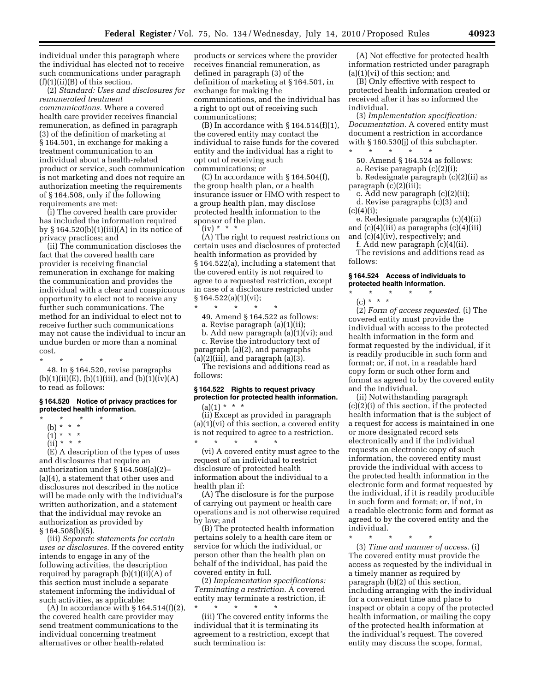individual under this paragraph where the individual has elected not to receive such communications under paragraph  $(f)(1)(ii)(B)$  of this section.

(2) *Standard: Uses and disclosures for remunerated treatment communications.* Where a covered health care provider receives financial remuneration, as defined in paragraph (3) of the definition of marketing at § 164.501, in exchange for making a treatment communication to an individual about a health-related product or service, such communication is not marketing and does not require an authorization meeting the requirements of § 164.508, only if the following requirements are met:

(i) The covered health care provider has included the information required by § 164.520(b)(1)(iii)(A) in its notice of privacy practices; and

(ii) The communication discloses the fact that the covered health care provider is receiving financial remuneration in exchange for making the communication and provides the individual with a clear and conspicuous opportunity to elect not to receive any further such communications. The method for an individual to elect not to receive further such communications may not cause the individual to incur an undue burden or more than a nominal cost.

\* \* \* \* \* 48. In § 164.520, revise paragraphs  $(b)(1)(ii)(E), (b)(1)(iii), and (b)(1)(iv)(A)$ to read as follows:

#### **§ 164.520 Notice of privacy practices for protected health information.**

- \* \* \* \* \* (b) \* \* \*
	- $(1) * * * *$
	- $(ii) * * * *$

(E) A description of the types of uses and disclosures that require an authorization under § 164.508(a)(2)– (a)(4), a statement that other uses and disclosures not described in the notice will be made only with the individual's written authorization, and a statement that the individual may revoke an authorization as provided by § 164.508(b)(5).

(iii) *Separate statements for certain uses or disclosures.* If the covered entity intends to engage in any of the following activities, the description required by paragraph (b)(1)(ii)(A) of this section must include a separate statement informing the individual of such activities, as applicable:

(A) In accordance with  $\S 164.514(f)(2)$ , the covered health care provider may send treatment communications to the individual concerning treatment alternatives or other health-related

products or services where the provider receives financial remuneration, as defined in paragraph (3) of the definition of marketing at § 164.501, in exchange for making the communications, and the individual has a right to opt out of receiving such communications;

(B) In accordance with  $\S 164.514(f)(1)$ , the covered entity may contact the individual to raise funds for the covered entity and the individual has a right to opt out of receiving such communications; or

(C) In accordance with § 164.504(f), the group health plan, or a health insurance issuer or HMO with respect to a group health plan, may disclose protected health information to the sponsor of the plan.

 $(iv) * * * *$ 

(A) The right to request restrictions on certain uses and disclosures of protected health information as provided by § 164.522(a), including a statement that the covered entity is not required to agree to a requested restriction, except in case of a disclosure restricted under § 164.522(a)(1)(vi);

\* \* \* \* \* 49. Amend § 164.522 as follows: a. Revise paragraph (a)(1)(ii); b. Add new paragraph (a)(1)(vi); and c. Revise the introductory text of paragraph (a)(2), and paragraphs  $(a)(2)(iii)$ , and paragraph  $(a)(3)$ .

The revisions and additions read as follows:

## **§ 164.522 Rights to request privacy protection for protected health information.**   $(a)(1) * * * *$

(ii) Except as provided in paragraph  $(a)(1)(vi)$  of this section, a covered entity is not required to agree to a restriction.

\* \* \* \* \* (vi) A covered entity must agree to the request of an individual to restrict disclosure of protected health information about the individual to a health plan if:

(A) The disclosure is for the purpose of carrying out payment or health care operations and is not otherwise required by law; and

(B) The protected health information pertains solely to a health care item or service for which the individual, or person other than the health plan on behalf of the individual, has paid the covered entity in full.

(2) *Implementation specifications: Terminating a restriction.* A covered entity may terminate a restriction, if: \* \* \* \* \*

(iii) The covered entity informs the individual that it is terminating its agreement to a restriction, except that such termination is:

(A) Not effective for protected health information restricted under paragraph (a)(1)(vi) of this section; and

(B) Only effective with respect to protected health information created or received after it has so informed the individual.

(3) *Implementation specification: Documentation.* A covered entity must document a restriction in accordance with § 160.530(j) of this subchapter.

50. Amend § 164.524 as follows:

\* \* \* \* \*

a. Revise paragraph (c)(2)(i);

b. Redesignate paragraph (c)(2)(ii) as paragraph (c)(2)(iii);

c. Add new paragraph (c)(2)(ii); d. Revise paragraphs (c)(3) and  $(c)(4)(i);$ 

e. Redesignate paragraphs (c)(4)(ii) and  $(c)(4)(iii)$  as paragraphs  $(c)(4)(iii)$ and (c)(4)(iv), respectively; and

f. Add new paragraph (c)(4)(ii).

The revisions and additions read as follows:

#### **§ 164.524 Access of individuals to protected health information.**

\* \* \* \* \* (c) \* \* \*

(2) *Form of access requested.* (i) The covered entity must provide the individual with access to the protected health information in the form and format requested by the individual, if it is readily producible in such form and format; or, if not, in a readable hard copy form or such other form and format as agreed to by the covered entity and the individual.

(ii) Notwithstanding paragraph (c)(2)(i) of this section, if the protected health information that is the subject of a request for access is maintained in one or more designated record sets electronically and if the individual requests an electronic copy of such information, the covered entity must provide the individual with access to the protected health information in the electronic form and format requested by the individual, if it is readily producible in such form and format; or, if not, in a readable electronic form and format as agreed to by the covered entity and the individual.

\* \* \* \* \*

(3) *Time and manner of access.* (i) The covered entity must provide the access as requested by the individual in a timely manner as required by paragraph (b)(2) of this section, including arranging with the individual for a convenient time and place to inspect or obtain a copy of the protected health information, or mailing the copy of the protected health information at the individual's request. The covered entity may discuss the scope, format,